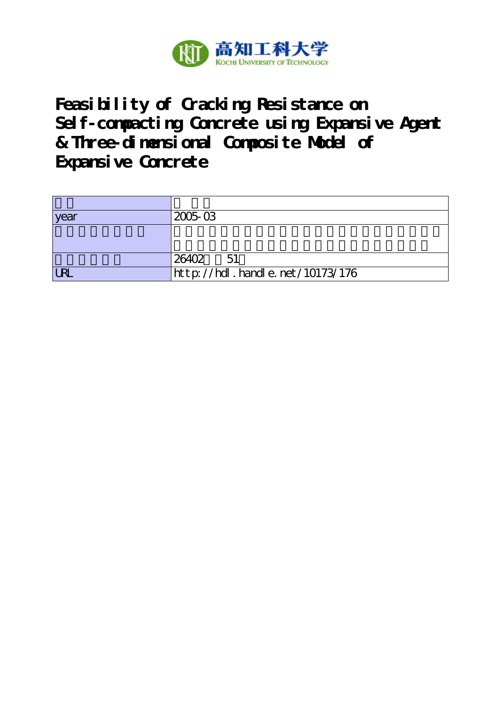

**Feasibility of Cracking Resistance on Self-compacting Concrete using Expansive Agent & Three-dimensional Composite Model of Expansive Concrete**

| vear | 200503                          |
|------|---------------------------------|
|      |                                 |
|      |                                 |
|      | 26402<br>51                     |
|      | http://hdl.handle.net/10173/176 |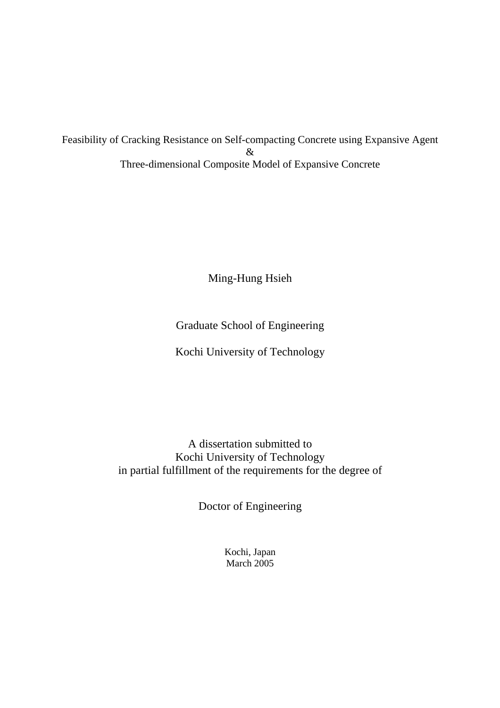Feasibility of Cracking Resistance on Self-compacting Concrete using Expansive Agent & Three-dimensional Composite Model of Expansive Concrete

Ming-Hung Hsieh

Graduate School of Engineering

Kochi University of Technology

A dissertation submitted to Kochi University of Technology in partial fulfillment of the requirements for the degree of

Doctor of Engineering

Kochi, Japan March 2005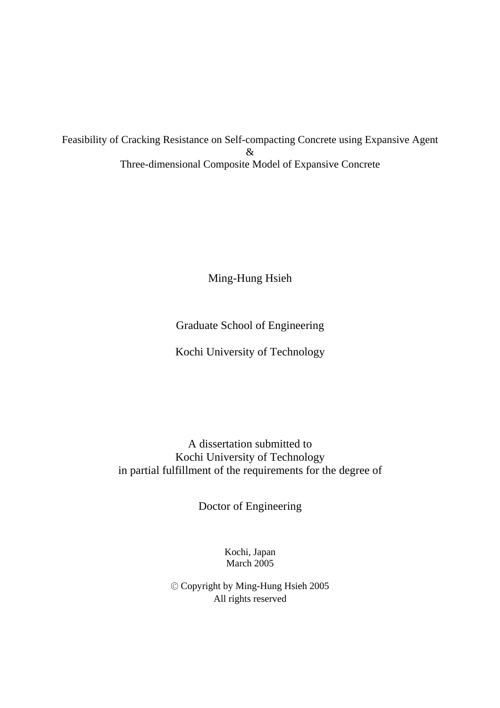Feasibility of Cracking Resistance on Self-compacting Concrete using Expansive Agent & Three-dimensional Composite Model of Expansive Concrete

Ming-Hung Hsieh

Graduate School of Engineering

Kochi University of Technology

A dissertation submitted to Kochi University of Technology in partial fulfillment of the requirements for the degree of

Doctor of Engineering

Kochi, Japan March 2005

© Copyright by Ming-Hung Hsieh 2005 All rights reserved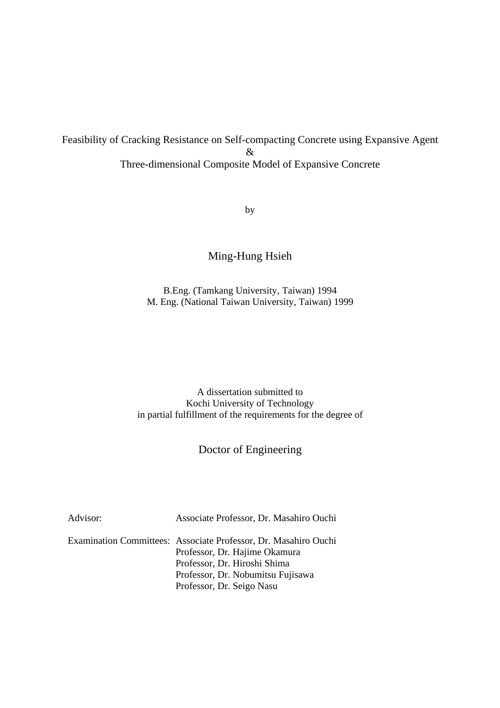Feasibility of Cracking Resistance on Self-compacting Concrete using Expansive Agent & Three-dimensional Composite Model of Expansive Concrete

by

# Ming-Hung Hsieh

B.Eng. (Tamkang University, Taiwan) 1994 M. Eng. (National Taiwan University, Taiwan) 1999

A dissertation submitted to Kochi University of Technology in partial fulfillment of the requirements for the degree of

Doctor of Engineering

| Advisor: | Associate Professor, Dr. Masahiro Ouchi                                                                                                                                                            |
|----------|----------------------------------------------------------------------------------------------------------------------------------------------------------------------------------------------------|
|          | Examination Committees: Associate Professor, Dr. Masahiro Ouchi<br>Professor, Dr. Hajime Okamura<br>Professor, Dr. Hiroshi Shima<br>Professor, Dr. Nobumitsu Fujisawa<br>Professor, Dr. Seigo Nasu |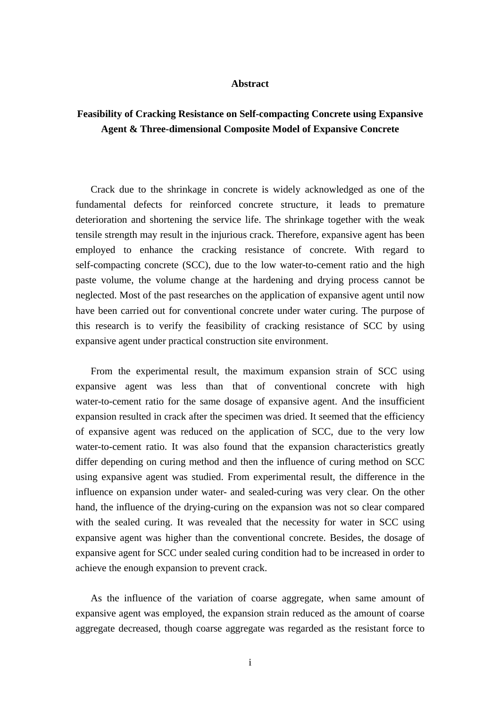### **Abstract**

### **Feasibility of Cracking Resistance on Self-compacting Concrete using Expansive Agent & Three-dimensional Composite Model of Expansive Concrete**

Crack due to the shrinkage in concrete is widely acknowledged as one of the fundamental defects for reinforced concrete structure, it leads to premature deterioration and shortening the service life. The shrinkage together with the weak tensile strength may result in the injurious crack. Therefore, expansive agent has been employed to enhance the cracking resistance of concrete. With regard to self-compacting concrete (SCC), due to the low water-to-cement ratio and the high paste volume, the volume change at the hardening and drying process cannot be neglected. Most of the past researches on the application of expansive agent until now have been carried out for conventional concrete under water curing. The purpose of this research is to verify the feasibility of cracking resistance of SCC by using expansive agent under practical construction site environment.

From the experimental result, the maximum expansion strain of SCC using expansive agent was less than that of conventional concrete with high water-to-cement ratio for the same dosage of expansive agent. And the insufficient expansion resulted in crack after the specimen was dried. It seemed that the efficiency of expansive agent was reduced on the application of SCC, due to the very low water-to-cement ratio. It was also found that the expansion characteristics greatly differ depending on curing method and then the influence of curing method on SCC using expansive agent was studied. From experimental result, the difference in the influence on expansion under water- and sealed-curing was very clear. On the other hand, the influence of the drying-curing on the expansion was not so clear compared with the sealed curing. It was revealed that the necessity for water in SCC using expansive agent was higher than the conventional concrete. Besides, the dosage of expansive agent for SCC under sealed curing condition had to be increased in order to achieve the enough expansion to prevent crack.

As the influence of the variation of coarse aggregate, when same amount of expansive agent was employed, the expansion strain reduced as the amount of coarse aggregate decreased, though coarse aggregate was regarded as the resistant force to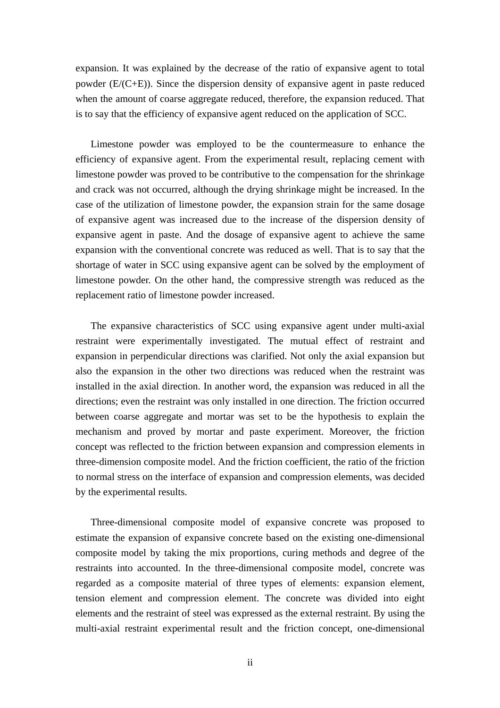expansion. It was explained by the decrease of the ratio of expansive agent to total powder (E/(C+E)). Since the dispersion density of expansive agent in paste reduced when the amount of coarse aggregate reduced, therefore, the expansion reduced. That is to say that the efficiency of expansive agent reduced on the application of SCC.

Limestone powder was employed to be the countermeasure to enhance the efficiency of expansive agent. From the experimental result, replacing cement with limestone powder was proved to be contributive to the compensation for the shrinkage and crack was not occurred, although the drying shrinkage might be increased. In the case of the utilization of limestone powder, the expansion strain for the same dosage of expansive agent was increased due to the increase of the dispersion density of expansive agent in paste. And the dosage of expansive agent to achieve the same expansion with the conventional concrete was reduced as well. That is to say that the shortage of water in SCC using expansive agent can be solved by the employment of limestone powder. On the other hand, the compressive strength was reduced as the replacement ratio of limestone powder increased.

The expansive characteristics of SCC using expansive agent under multi-axial restraint were experimentally investigated. The mutual effect of restraint and expansion in perpendicular directions was clarified. Not only the axial expansion but also the expansion in the other two directions was reduced when the restraint was installed in the axial direction. In another word, the expansion was reduced in all the directions; even the restraint was only installed in one direction. The friction occurred between coarse aggregate and mortar was set to be the hypothesis to explain the mechanism and proved by mortar and paste experiment. Moreover, the friction concept was reflected to the friction between expansion and compression elements in three-dimension composite model. And the friction coefficient, the ratio of the friction to normal stress on the interface of expansion and compression elements, was decided by the experimental results.

Three-dimensional composite model of expansive concrete was proposed to estimate the expansion of expansive concrete based on the existing one-dimensional composite model by taking the mix proportions, curing methods and degree of the restraints into accounted. In the three-dimensional composite model, concrete was regarded as a composite material of three types of elements: expansion element, tension element and compression element. The concrete was divided into eight elements and the restraint of steel was expressed as the external restraint. By using the multi-axial restraint experimental result and the friction concept, one-dimensional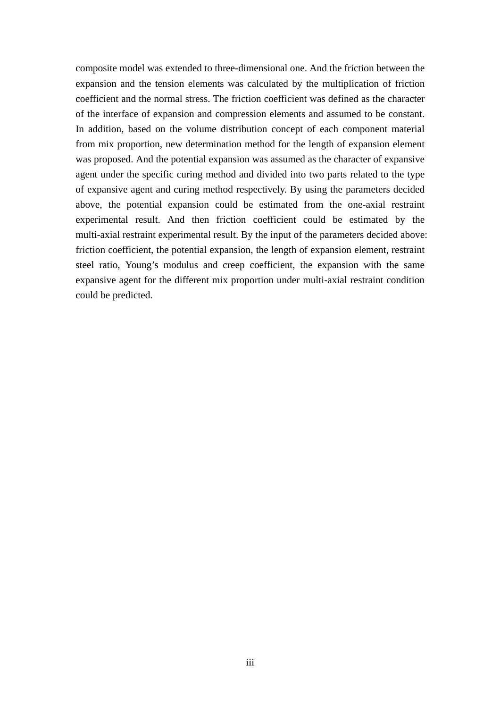composite model was extended to three-dimensional one. And the friction between the expansion and the tension elements was calculated by the multiplication of friction coefficient and the normal stress. The friction coefficient was defined as the character of the interface of expansion and compression elements and assumed to be constant. In addition, based on the volume distribution concept of each component material from mix proportion, new determination method for the length of expansion element was proposed. And the potential expansion was assumed as the character of expansive agent under the specific curing method and divided into two parts related to the type of expansive agent and curing method respectively. By using the parameters decided above, the potential expansion could be estimated from the one-axial restraint experimental result. And then friction coefficient could be estimated by the multi-axial restraint experimental result. By the input of the parameters decided above: friction coefficient, the potential expansion, the length of expansion element, restraint steel ratio, Young's modulus and creep coefficient, the expansion with the same expansive agent for the different mix proportion under multi-axial restraint condition could be predicted.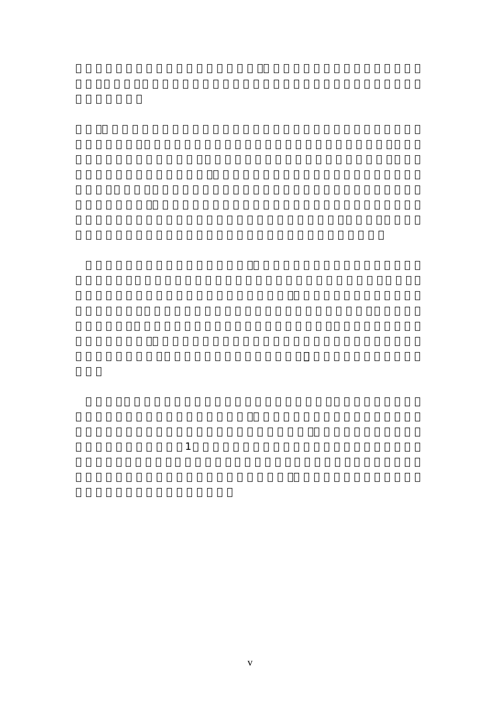v

 $1$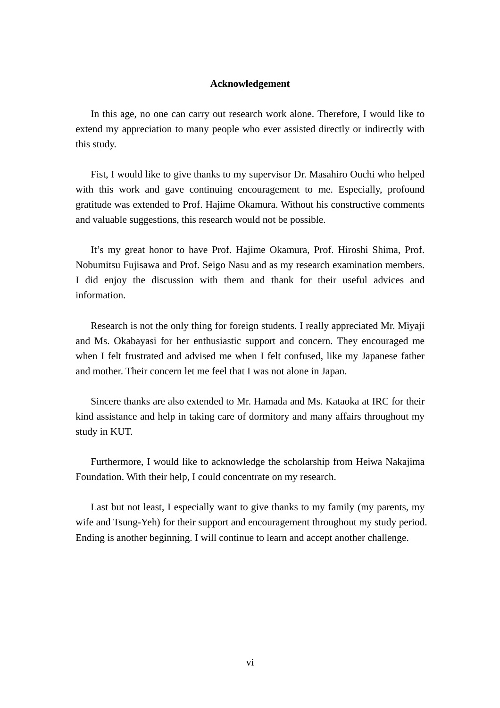### **Acknowledgement**

In this age, no one can carry out research work alone. Therefore, I would like to extend my appreciation to many people who ever assisted directly or indirectly with this study.

Fist, I would like to give thanks to my supervisor Dr. Masahiro Ouchi who helped with this work and gave continuing encouragement to me. Especially, profound gratitude was extended to Prof. Hajime Okamura. Without his constructive comments and valuable suggestions, this research would not be possible.

It's my great honor to have Prof. Hajime Okamura, Prof. Hiroshi Shima, Prof. Nobumitsu Fujisawa and Prof. Seigo Nasu and as my research examination members. I did enjoy the discussion with them and thank for their useful advices and information.

Research is not the only thing for foreign students. I really appreciated Mr. Miyaji and Ms. Okabayasi for her enthusiastic support and concern. They encouraged me when I felt frustrated and advised me when I felt confused, like my Japanese father and mother. Their concern let me feel that I was not alone in Japan.

Sincere thanks are also extended to Mr. Hamada and Ms. Kataoka at IRC for their kind assistance and help in taking care of dormitory and many affairs throughout my study in KUT.

Furthermore, I would like to acknowledge the scholarship from Heiwa Nakajima Foundation. With their help, I could concentrate on my research.

Last but not least, I especially want to give thanks to my family (my parents, my wife and Tsung-Yeh) for their support and encouragement throughout my study period. Ending is another beginning. I will continue to learn and accept another challenge.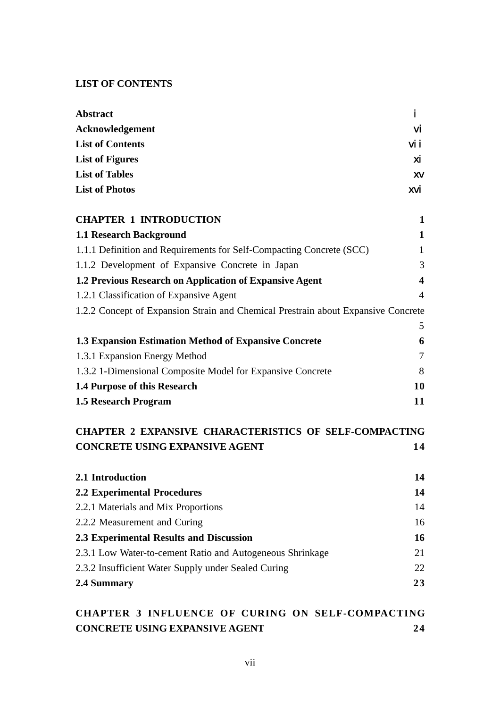### **LIST OF CONTENTS**

| <b>Abstract</b>         |      |
|-------------------------|------|
| Acknowledgement         |      |
| <b>List of Contents</b> | vi i |
| <b>List of Figures</b>  | xi   |
| <b>List of Tables</b>   | XV   |
| <b>List of Photos</b>   | xvi  |

| <b>CHAPTER 1 INTRODUCTION</b>                                                     | 1  |
|-----------------------------------------------------------------------------------|----|
| <b>1.1 Research Background</b>                                                    |    |
| 1.1.1 Definition and Requirements for Self-Compacting Concrete (SCC)              |    |
| 1.1.2 Development of Expansive Concrete in Japan                                  | 3  |
| 1.2 Previous Research on Application of Expansive Agent                           | 4  |
| 1.2.1 Classification of Expansive Agent                                           | 4  |
| 1.2.2 Concept of Expansion Strain and Chemical Prestrain about Expansive Concrete |    |
|                                                                                   | 5  |
| 1.3 Expansion Estimation Method of Expansive Concrete                             | 6  |
| 1.3.1 Expansion Energy Method                                                     | 7  |
| 1.3.2 1-Dimensional Composite Model for Expansive Concrete                        | 8  |
| 1.4 Purpose of this Research                                                      | 10 |
| 1.5 Research Program                                                              | 11 |

# **CHAPTER 2 EXPANSIVE CHARACTERISTICS OF SELF-COMPACTING CONCRETE USING EXPANSIVE AGENT 14**

| 2.1 Introduction                                          | 14 |
|-----------------------------------------------------------|----|
| <b>2.2 Experimental Procedures</b>                        | 14 |
| 2.2.1 Materials and Mix Proportions                       | 14 |
| 2.2.2 Measurement and Curing                              | 16 |
| 2.3 Experimental Results and Discussion                   | 16 |
| 2.3.1 Low Water-to-cement Ratio and Autogeneous Shrinkage | 21 |
| 2.3.2 Insufficient Water Supply under Sealed Curing       | 22 |
| 2.4 Summary                                               | 23 |

# **CHAPTER 3 INFLUENCE OF CURING ON SELF-COMPACTING CONCRETE USING EXPANSIVE AGENT 24**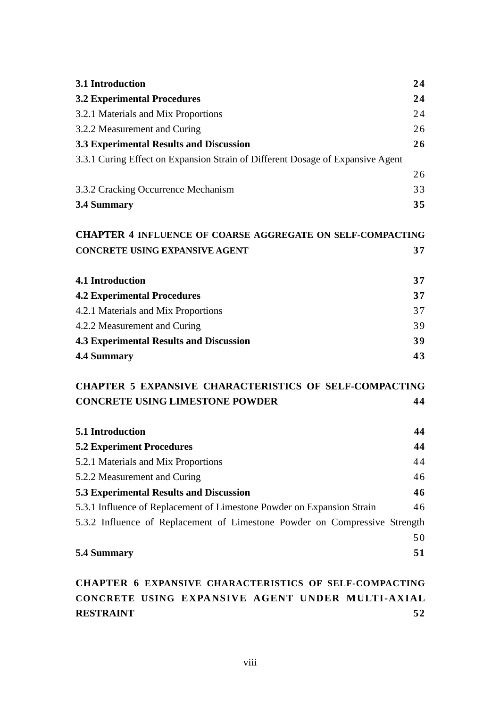| 3.1 Introduction                                                               | 24 |
|--------------------------------------------------------------------------------|----|
| <b>3.2 Experimental Procedures</b>                                             | 24 |
| 3.2.1 Materials and Mix Proportions                                            | 24 |
| 3.2.2 Measurement and Curing                                                   | 26 |
| 3.3 Experimental Results and Discussion                                        | 26 |
| 3.3.1 Curing Effect on Expansion Strain of Different Dosage of Expansive Agent |    |
|                                                                                | 26 |
| 3.3.2 Cracking Occurrence Mechanism                                            | 33 |
| 3.4 Summary                                                                    | 35 |
| <b>CHAPTER 4 INFLUENCE OF COARSE AGGREGATE ON SELF-COMPACTING</b>              |    |
| <b>CONCRETE USING EXPANSIVE AGENT</b>                                          | 37 |
| <b>4.1 Introduction</b>                                                        | 37 |
| <b>4.2 Experimental Procedures</b>                                             | 37 |
| 4.2.1 Materials and Mix Proportions                                            | 37 |
| 4.2.2 Measurement and Curing                                                   | 39 |
| <b>4.3 Experimental Results and Discussion</b>                                 | 39 |
| <b>4.4 Summary</b>                                                             | 43 |
| <b>CHAPTER 5 EXPANSIVE CHARACTERISTICS OF SELF-COMPACTING</b>                  |    |
| <b>CONCRETE USING LIMESTONE POWDER</b>                                         | 44 |
| 5.1 Introduction                                                               | 44 |
| <b>5.2 Experiment Procedures</b>                                               | 44 |
| 5.2.1 Materials and Mix Proportions                                            | 44 |
| 5.2.2 Measurement and Curing                                                   | 46 |
| 5.3 Experimental Results and Discussion                                        | 46 |
| 5.3.1 Influence of Replacement of Limestone Powder on Expansion Strain         | 46 |
| 5.3.2 Influence of Replacement of Limestone Powder on Compressive Strength     |    |
|                                                                                | 50 |
| 5.4 Summary                                                                    | 51 |
| CHAPTER 6 EXPANSIVE CHARACTERISTICS OF SELF-COMPACTING                         |    |

# **CONCRETE USING EXPANSIVE AGENT UNDER MULTI-AXIAL RESTRAINT 52**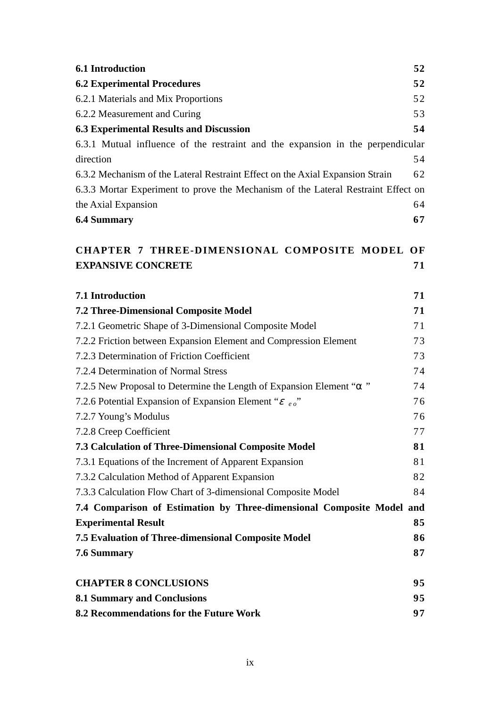| <b>6.1 Introduction</b>                                                           | 52 |
|-----------------------------------------------------------------------------------|----|
| <b>6.2 Experimental Procedures</b>                                                | 52 |
| 6.2.1 Materials and Mix Proportions                                               | 52 |
| 6.2.2 Measurement and Curing                                                      | 53 |
| <b>6.3 Experimental Results and Discussion</b>                                    | 54 |
| 6.3.1 Mutual influence of the restraint and the expansion in the perpendicular    |    |
| direction                                                                         | 54 |
| 6.3.2 Mechanism of the Lateral Restraint Effect on the Axial Expansion Strain     | 62 |
| 6.3.3 Mortar Experiment to prove the Mechanism of the Lateral Restraint Effect on |    |
| the Axial Expansion                                                               | 64 |
| <b>6.4 Summary</b>                                                                | 67 |
| CHAPTER 7 THREE-DIMENSIONAL COMPOSITE MODEL OF                                    |    |
| <b>EXPANSIVE CONCRETE</b>                                                         | 71 |
| 7.1 Introduction                                                                  | 71 |
| <b>7.2 Three-Dimensional Composite Model</b>                                      | 71 |
| 7.2.1 Geometric Shape of 3-Dimensional Composite Model                            | 71 |
| 7.2.2 Friction between Expansion Element and Compression Element                  | 73 |
| 7.2.3 Determination of Friction Coefficient                                       | 73 |
| 7.2.4 Determination of Normal Stress                                              | 74 |
| ,,<br>7.2.5 New Proposal to Determine the Length of Expansion Element "           | 74 |
| 7.2.6 Potential Expansion of Expansion Element " $_{e0}$ "                        | 76 |
| 7.2.7 Young's Modulus                                                             | 76 |
| 7.2.8 Creep Coefficient                                                           | 77 |
| 7.3 Calculation of Three-Dimensional Composite Model                              | 81 |
| 7.3.1 Equations of the Increment of Apparent Expansion                            | 81 |
| 7.3.2 Calculation Method of Apparent Expansion                                    | 82 |
| 7.3.3 Calculation Flow Chart of 3-dimensional Composite Model                     | 84 |
| 7.4 Comparison of Estimation by Three-dimensional Composite Model and             |    |
| <b>Experimental Result</b>                                                        | 85 |
| <b>7.5 Evaluation of Three-dimensional Composite Model</b>                        | 86 |
| 7.6 Summary                                                                       | 87 |
| <b>CHAPTER 8 CONCLUSIONS</b>                                                      | 95 |
| <b>8.1 Summary and Conclusions</b>                                                | 95 |
| 8.2 Recommendations for the Future Work                                           | 97 |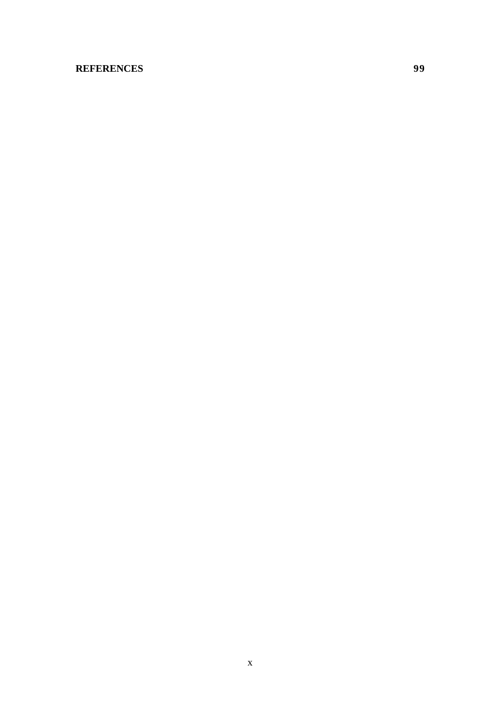### **REFERENCES 99**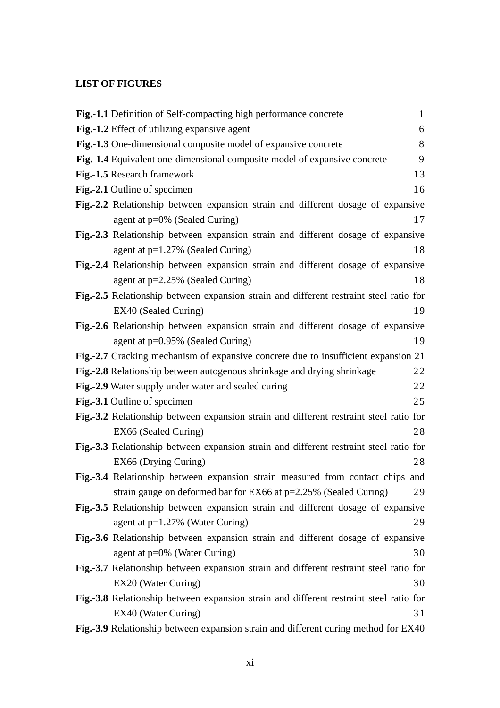### **LIST OF FIGURES**

| Fig.-1.1 Definition of Self-compacting high performance concrete                       | 1  |
|----------------------------------------------------------------------------------------|----|
| Fig.-1.2 Effect of utilizing expansive agent                                           | 6  |
| Fig.-1.3 One-dimensional composite model of expansive concrete                         | 8  |
| Fig.-1.4 Equivalent one-dimensional composite model of expansive concrete              | 9  |
| Fig.-1.5 Research framework                                                            | 13 |
| Fig.-2.1 Outline of specimen                                                           | 16 |
| Fig.-2.2 Relationship between expansion strain and different dosage of expansive       |    |
| agent at $p=0\%$ (Sealed Curing)                                                       | 17 |
| Fig.-2.3 Relationship between expansion strain and different dosage of expansive       |    |
| agent at p=1.27% (Sealed Curing)                                                       | 18 |
| Fig.-2.4 Relationship between expansion strain and different dosage of expansive       |    |
| agent at $p=2.25\%$ (Sealed Curing)                                                    | 18 |
| Fig.-2.5 Relationship between expansion strain and different restraint steel ratio for |    |
| EX40 (Sealed Curing)                                                                   | 19 |
| Fig.-2.6 Relationship between expansion strain and different dosage of expansive       |    |
| agent at $p=0.95\%$ (Sealed Curing)                                                    | 19 |
| Fig.-2.7 Cracking mechanism of expansive concrete due to insufficient expansion 21     |    |
| Fig.-2.8 Relationship between autogenous shrinkage and drying shrinkage                | 22 |
| Fig.-2.9 Water supply under water and sealed curing                                    | 22 |
| Fig.-3.1 Outline of specimen                                                           | 25 |
| Fig.-3.2 Relationship between expansion strain and different restraint steel ratio for |    |
| EX66 (Sealed Curing)                                                                   | 28 |
| Fig.-3.3 Relationship between expansion strain and different restraint steel ratio for |    |
| EX66 (Drying Curing)                                                                   | 28 |
| Fig.-3.4 Relationship between expansion strain measured from contact chips and         |    |
| strain gauge on deformed bar for EX66 at $p=2.25\%$ (Sealed Curing)                    | 29 |
| Fig.-3.5 Relationship between expansion strain and different dosage of expansive       |    |
| agent at $p=1.27\%$ (Water Curing)<br>29                                               |    |
| Fig.-3.6 Relationship between expansion strain and different dosage of expansive       |    |
| agent at $p=0\%$ (Water Curing)                                                        | 30 |
| Fig.-3.7 Relationship between expansion strain and different restraint steel ratio for |    |
| EX20 (Water Curing)                                                                    | 30 |
| Fig.-3.8 Relationship between expansion strain and different restraint steel ratio for |    |
| EX40 (Water Curing)                                                                    | 31 |
| Fig.-3.9 Relationship between expansion strain and different curing method for EX40    |    |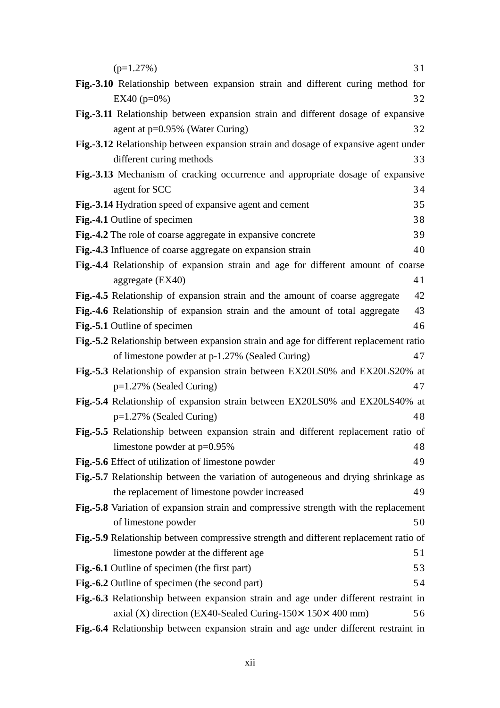| $(p=1.27\%)$                                                                           | 31 |
|----------------------------------------------------------------------------------------|----|
| Fig.-3.10 Relationship between expansion strain and different curing method for        |    |
| $EX40(p=0\%)$                                                                          | 32 |
| Fig.-3.11 Relationship between expansion strain and different dosage of expansive      |    |
| agent at $p=0.95\%$ (Water Curing)                                                     | 32 |
| Fig.-3.12 Relationship between expansion strain and dosage of expansive agent under    |    |
| different curing methods                                                               | 33 |
| Fig.-3.13 Mechanism of cracking occurrence and appropriate dosage of expansive         |    |
| agent for SCC                                                                          | 34 |
| Fig.-3.14 Hydration speed of expansive agent and cement                                | 35 |
| Fig.-4.1 Outline of specimen                                                           | 38 |
| Fig.-4.2 The role of coarse aggregate in expansive concrete                            | 39 |
| Fig.-4.3 Influence of coarse aggregate on expansion strain                             | 40 |
| Fig.-4.4 Relationship of expansion strain and age for different amount of coarse       |    |
| aggregate (EX40)                                                                       | 41 |
| Fig.-4.5 Relationship of expansion strain and the amount of coarse aggregate           | 42 |
| Fig.-4.6 Relationship of expansion strain and the amount of total aggregate            | 43 |
| Fig.-5.1 Outline of specimen                                                           | 46 |
| Fig.-5.2 Relationship between expansion strain and age for different replacement ratio |    |
| of limestone powder at p-1.27% (Sealed Curing)                                         | 47 |
| Fig.-5.3 Relationship of expansion strain between EX20LS0% and EX20LS20% at            |    |
| $p=1.27\%$ (Sealed Curing)                                                             | 47 |
| Fig.-5.4 Relationship of expansion strain between EX20LS0% and EX20LS40% at            |    |
| $p=1.27\%$ (Sealed Curing)                                                             | 48 |
| Fig.-5.5 Relationship between expansion strain and different replacement ratio of      |    |
| limestone powder at $p=0.95\%$                                                         | 48 |
| Fig.-5.6 Effect of utilization of limestone powder                                     | 49 |
| Fig.-5.7 Relationship between the variation of autogeneous and drying shrinkage as     |    |
| the replacement of limestone powder increased                                          | 49 |
| Fig.-5.8 Variation of expansion strain and compressive strength with the replacement   |    |
| of limestone powder                                                                    | 50 |
| Fig.-5.9 Relationship between compressive strength and different replacement ratio of  |    |
| limestone powder at the different age                                                  | 51 |
| Fig.-6.1 Outline of specimen (the first part)                                          | 53 |
| Fig.-6.2 Outline of specimen (the second part)                                         | 54 |
| Fig.-6.3 Relationship between expansion strain and age under different restraint in    |    |
| axial (X) direction (EX40-Sealed Curing- $150 \times 150 \times 400$ mm)               | 56 |
| Fig.-6.4 Relationship between expansion strain and age under different restraint in    |    |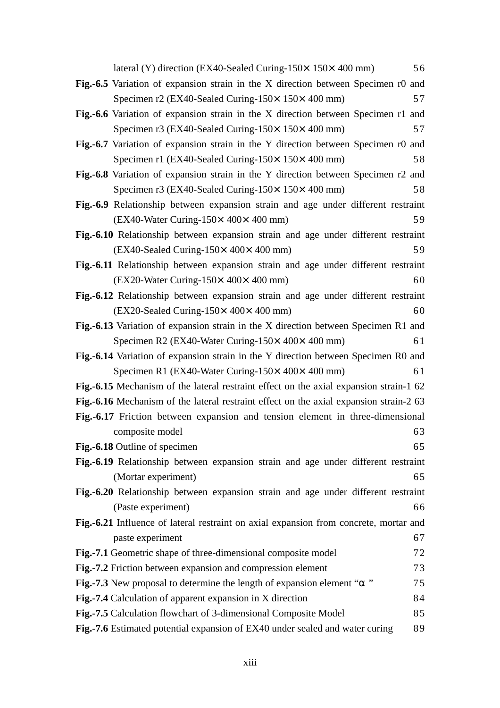| lateral (Y) direction (EX40-Sealed Curing- $150 \times 150 \times 400$ mm)<br>56       |
|----------------------------------------------------------------------------------------|
| Fig.-6.5 Variation of expansion strain in the X direction between Specimen r0 and      |
| Specimen r2 (EX40-Sealed Curing- $150 \times 150 \times 400$ mm)<br>57                 |
| Fig.-6.6 Variation of expansion strain in the X direction between Specimen r1 and      |
| Specimen r3 (EX40-Sealed Curing- $150 \times 150 \times 400$ mm)<br>57                 |
| Fig.-6.7 Variation of expansion strain in the Y direction between Specimen r0 and      |
| Specimen r1 (EX40-Sealed Curing-150× 150× 400 mm)<br>58                                |
| Fig.-6.8 Variation of expansion strain in the Y direction between Specimen r2 and      |
| Specimen r3 (EX40-Sealed Curing- $150 \times 150 \times 400$ mm)<br>58                 |
| Fig.-6.9 Relationship between expansion strain and age under different restraint       |
| $(EX40-Water Curing-150\times 400\times 400$ mm)<br>59                                 |
| Fig.-6.10 Relationship between expansion strain and age under different restraint      |
| $(EX40$ -Sealed Curing-150 $\times$ 400 $\times$ 400 mm)<br>59                         |
| Fig.-6.11 Relationship between expansion strain and age under different restraint      |
| $(EX20-Water Curing-150\times 400\times 400$ mm)<br>60                                 |
| Fig.-6.12 Relationship between expansion strain and age under different restraint      |
| $(EX20$ -Sealed Curing-150 $\times$ 400 $\times$ 400 mm)<br>60                         |
| Fig.-6.13 Variation of expansion strain in the X direction between Specimen R1 and     |
| Specimen R2 (EX40-Water Curing- $150 \times 400 \times 400$ mm)<br>61                  |
| Fig.-6.14 Variation of expansion strain in the Y direction between Specimen R0 and     |
| Specimen R1 (EX40-Water Curing- $150 \times 400 \times 400$ mm)<br>61                  |
| Fig.-6.15 Mechanism of the lateral restraint effect on the axial expansion strain-1 62 |
| Fig.-6.16 Mechanism of the lateral restraint effect on the axial expansion strain-2 63 |
| Fig.-6.17 Friction between expansion and tension element in three-dimensional          |
| 63<br>composite model                                                                  |
| Fig.-6.18 Outline of specimen<br>65                                                    |
| Fig.-6.19 Relationship between expansion strain and age under different restraint      |
| (Mortar experiment)<br>65                                                              |
| Fig.-6.20 Relationship between expansion strain and age under different restraint      |
| (Paste experiment)<br>66                                                               |
| Fig.-6.21 Influence of lateral restraint on axial expansion from concrete, mortar and  |
| 67<br>paste experiment                                                                 |
| Fig.-7.1 Geometric shape of three-dimensional composite model<br>72                    |
| Fig.-7.2 Friction between expansion and compression element<br>73                      |
| ,,<br>Fig.-7.3 New proposal to determine the length of expansion element "<br>75       |
| Fig.-7.4 Calculation of apparent expansion in X direction<br>84                        |
| Fig.-7.5 Calculation flowchart of 3-dimensional Composite Model<br>85                  |
| Fig.-7.6 Estimated potential expansion of EX40 under sealed and water curing<br>89     |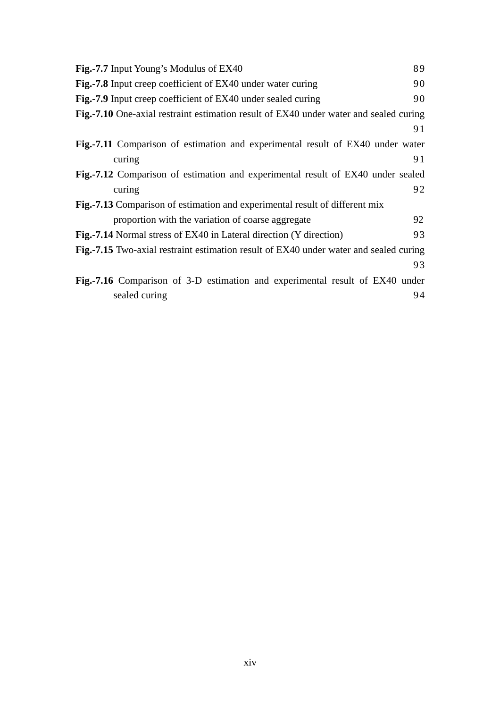| Fig.-7.7 Input Young's Modulus of EX40                                                 | 89 |
|----------------------------------------------------------------------------------------|----|
| Fig.-7.8 Input creep coefficient of EX40 under water curing                            | 90 |
| Fig.-7.9 Input creep coefficient of EX40 under sealed curing                           | 90 |
| Fig.-7.10 One-axial restraint estimation result of EX40 under water and sealed curing  |    |
|                                                                                        | 91 |
| Fig.-7.11 Comparison of estimation and experimental result of EX40 under water         |    |
| curing                                                                                 | 91 |
| Fig.-7.12 Comparison of estimation and experimental result of EX40 under sealed        |    |
| curing                                                                                 | 92 |
| Fig.-7.13 Comparison of estimation and experimental result of different mix            |    |
| proportion with the variation of coarse aggregate                                      | 92 |
| Fig.-7.14 Normal stress of EX40 in Lateral direction (Y direction)                     | 93 |
| Fig. -7.15 Two-axial restraint estimation result of EX40 under water and sealed curing |    |
|                                                                                        | 93 |
| Fig.-7.16 Comparison of 3-D estimation and experimental result of EX40 under           |    |
| sealed curing                                                                          | 94 |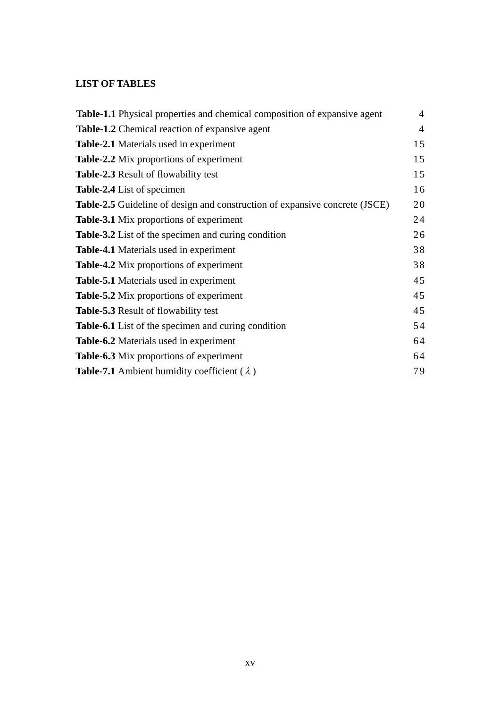### **LIST OF TABLES**

| <b>Table-1.1</b> Physical properties and chemical composition of expansive agent | $\overline{4}$ |
|----------------------------------------------------------------------------------|----------------|
| <b>Table-1.2</b> Chemical reaction of expansive agent                            | $\overline{4}$ |
| <b>Table-2.1</b> Materials used in experiment                                    | 15             |
| Table-2.2 Mix proportions of experiment                                          | 15             |
| Table-2.3 Result of flowability test                                             | 15             |
| Table-2.4 List of specimen                                                       | 16             |
| Table-2.5 Guideline of design and construction of expansive concrete (JSCE)      | 20             |
| <b>Table-3.1</b> Mix proportions of experiment                                   | 24             |
| <b>Table-3.2</b> List of the specimen and curing condition                       | 26             |
| Table-4.1 Materials used in experiment                                           | 38             |
| Table-4.2 Mix proportions of experiment                                          | 38             |
| <b>Table-5.1</b> Materials used in experiment                                    | 45             |
| Table-5.2 Mix proportions of experiment                                          | 45             |
| <b>Table-5.3</b> Result of flowability test                                      | 45             |
| <b>Table-6.1</b> List of the specimen and curing condition                       | 54             |
| <b>Table-6.2</b> Materials used in experiment                                    | 64             |
| <b>Table-6.3</b> Mix proportions of experiment                                   | 64             |
| <b>Table-7.1</b> Ambient humidity coefficient ( $\lambda$ )                      | 79             |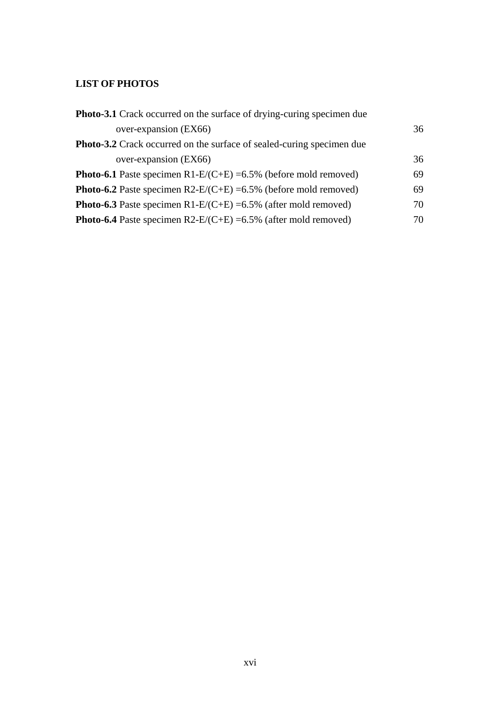### **LIST OF PHOTOS**

| <b>Photo-3.1</b> Crack occurred on the surface of drying-curing specimen due |     |
|------------------------------------------------------------------------------|-----|
| over-expansion (EX66)                                                        | 36  |
| <b>Photo-3.2</b> Crack occurred on the surface of sealed-curing specimen due |     |
| over-expansion (EX66)                                                        | 36  |
| <b>Photo-6.1</b> Paste specimen $R1-E/(C+E) = 6.5\%$ (before mold removed)   | 69  |
| <b>Photo-6.2</b> Paste specimen $R2-E/(C+E) = 6.5\%$ (before mold removed)   | 69  |
| <b>Photo-6.3</b> Paste specimen $R1-E/(C+E) = 6.5\%$ (after mold removed)    | 70  |
| <b>Photo-6.4</b> Paste specimen $R2-E/(C+E) = 6.5\%$ (after mold removed)    | 70. |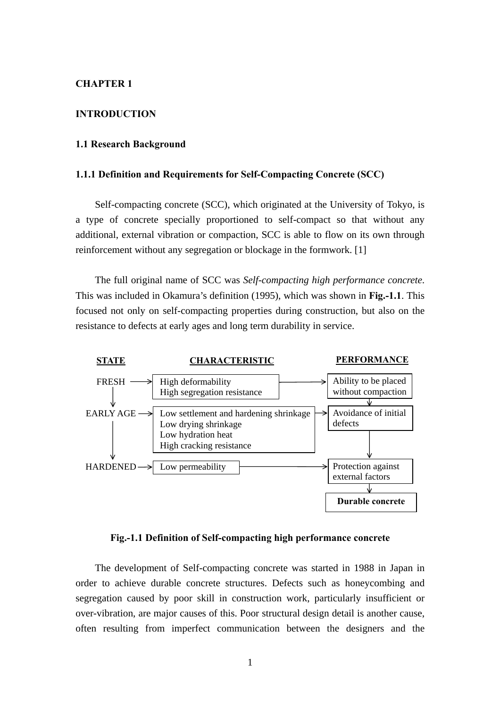### **CHAPTER 1**

### **INTRODUCTION**

#### **1.1 Research Background**

### **1.1.1 Definition and Requirements for Self-Compacting Concrete (SCC)**

Self-compacting concrete (SCC), which originated at the University of Tokyo, is a type of concrete specially proportioned to self-compact so that without any additional, external vibration or compaction, SCC is able to flow on its own through reinforcement without any segregation or blockage in the formwork. [1]

The full original name of SCC was *Self-compacting high performance concrete*. This was included in Okamura's definition (1995), which was shown in **Fig.-1.1**. This focused not only on self-compacting properties during construction, but also on the resistance to defects at early ages and long term durability in service.



### **Fig.-1.1 Definition of Self-compacting high performance concrete**

The development of Self-compacting concrete was started in 1988 in Japan in order to achieve durable concrete structures. Defects such as honeycombing and segregation caused by poor skill in construction work, particularly insufficient or over-vibration, are major causes of this. Poor structural design detail is another cause, often resulting from imperfect communication between the designers and the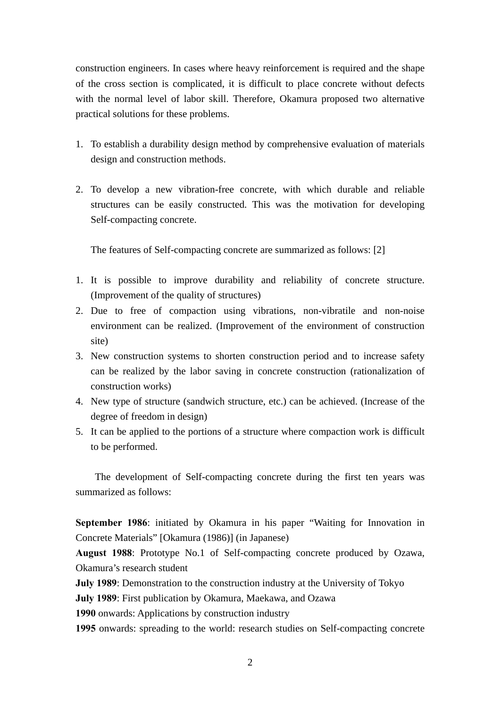construction engineers. In cases where heavy reinforcement is required and the shape of the cross section is complicated, it is difficult to place concrete without defects with the normal level of labor skill. Therefore, Okamura proposed two alternative practical solutions for these problems.

- 1. To establish a durability design method by comprehensive evaluation of materials design and construction methods.
- 2. To develop a new vibration-free concrete, with which durable and reliable structures can be easily constructed. This was the motivation for developing Self-compacting concrete.

The features of Self-compacting concrete are summarized as follows: [2]

- 1. It is possible to improve durability and reliability of concrete structure. (Improvement of the quality of structures)
- 2. Due to free of compaction using vibrations, non-vibratile and non-noise environment can be realized. (Improvement of the environment of construction site)
- 3. New construction systems to shorten construction period and to increase safety can be realized by the labor saving in concrete construction (rationalization of construction works)
- 4. New type of structure (sandwich structure, etc.) can be achieved. (Increase of the degree of freedom in design)
- 5. It can be applied to the portions of a structure where compaction work is difficult to be performed.

The development of Self-compacting concrete during the first ten years was summarized as follows:

**September 1986**: initiated by Okamura in his paper "Waiting for Innovation in Concrete Materials" [Okamura (1986)] (in Japanese)

**August 1988**: Prototype No.1 of Self-compacting concrete produced by Ozawa, Okamura's research student

**July 1989**: Demonstration to the construction industry at the University of Tokyo

**July 1989**: First publication by Okamura, Maekawa, and Ozawa

**1990** onwards: Applications by construction industry

**1995** onwards: spreading to the world: research studies on Self-compacting concrete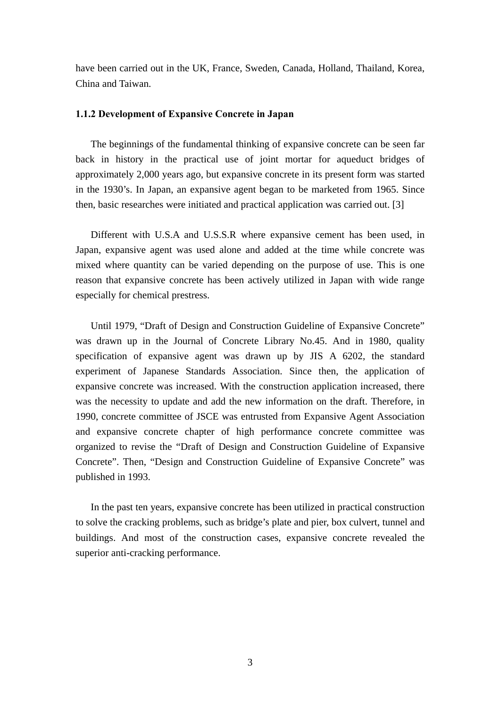have been carried out in the UK, France, Sweden, Canada, Holland, Thailand, Korea, China and Taiwan.

### **1.1.2 Development of Expansive Concrete in Japan**

The beginnings of the fundamental thinking of expansive concrete can be seen far back in history in the practical use of joint mortar for aqueduct bridges of approximately 2,000 years ago, but expansive concrete in its present form was started in the 1930's. In Japan, an expansive agent began to be marketed from 1965. Since then, basic researches were initiated and practical application was carried out. [3]

Different with U.S.A and U.S.S.R where expansive cement has been used, in Japan, expansive agent was used alone and added at the time while concrete was mixed where quantity can be varied depending on the purpose of use. This is one reason that expansive concrete has been actively utilized in Japan with wide range especially for chemical prestress.

Until 1979, "Draft of Design and Construction Guideline of Expansive Concrete" was drawn up in the Journal of Concrete Library No.45. And in 1980, quality specification of expansive agent was drawn up by JIS A 6202, the standard experiment of Japanese Standards Association. Since then, the application of expansive concrete was increased. With the construction application increased, there was the necessity to update and add the new information on the draft. Therefore, in 1990, concrete committee of JSCE was entrusted from Expansive Agent Association and expansive concrete chapter of high performance concrete committee was organized to revise the "Draft of Design and Construction Guideline of Expansive Concrete". Then, "Design and Construction Guideline of Expansive Concrete" was published in 1993.

In the past ten years, expansive concrete has been utilized in practical construction to solve the cracking problems, such as bridge's plate and pier, box culvert, tunnel and buildings. And most of the construction cases, expansive concrete revealed the superior anti-cracking performance.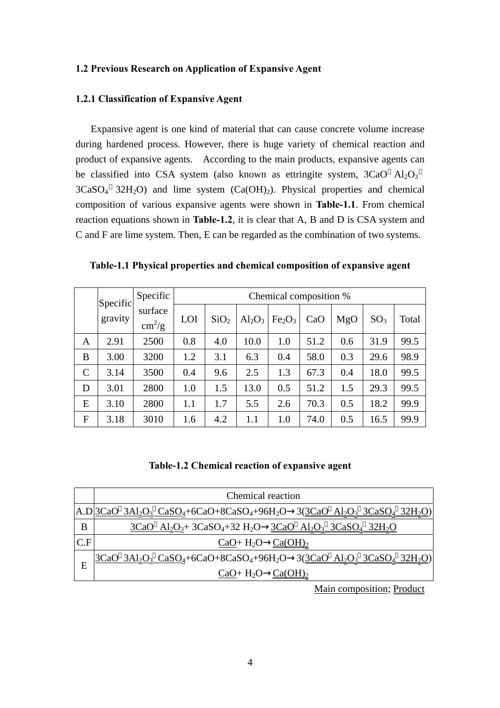### **1.2 Previous Research on Application of Expansive Agent**

### **1.2.1 Classification of Expansive Agent**

Expansive agent is one kind of material that can cause concrete volume increase during hardened process. However, there is huge variety of chemical reaction and product of expansive agents. According to the main products, expansive agents can be classified into CSA system (also known as ettringite system,  $3CaO$  Al<sub>2</sub>O<sub>3</sub>  $3CaSO<sub>4</sub>$   $32H<sub>2</sub>O$  and lime system  $(Ca(OH)<sub>2</sub>)$ . Physical properties and chemical composition of various expansive agents were shown in **Table-1.1**. From chemical reaction equations shown in **Table-1.2**, it is clear that A, B and D is CSA system and C and F are lime system. Then, E can be regarded as the combination of two systems.

**Table-1.1 Physical properties and chemical composition of expansive agent** 

|                | Specific                          | Specific | Chemical composition % |           |                                |     |      |                 |       |      |
|----------------|-----------------------------------|----------|------------------------|-----------|--------------------------------|-----|------|-----------------|-------|------|
| gravity        | surface<br>$\text{cm}^2/\text{g}$ | LOI      | SiO <sub>2</sub>       | $Al_2O_3$ | Fe <sub>2</sub> O <sub>3</sub> | CaO | MgO  | SO <sub>3</sub> | Total |      |
| A              | 2.91                              | 2500     | 0.8                    | 4.0       | 10.0                           | 1.0 | 51.2 | 0.6             | 31.9  | 99.5 |
| B              | 3.00                              | 3200     | 1.2                    | 3.1       | 6.3                            | 0.4 | 58.0 | 0.3             | 29.6  | 98.9 |
| $\mathsf{C}$   | 3.14                              | 3500     | 0.4                    | 9.6       | 2.5                            | 1.3 | 67.3 | 0.4             | 18.0  | 99.5 |
| D              | 3.01                              | 2800     | 1.0                    | 1.5       | 13.0                           | 0.5 | 51.2 | 1.5             | 29.3  | 99.5 |
| E              | 3.10                              | 2800     | 1.1                    | 1.7       | 5.5                            | 2.6 | 70.3 | 0.5             | 18.2  | 99.9 |
| $\overline{F}$ | 3.18                              | 3010     | 1.6                    | 4.2       | 1.1                            | 1.0 | 74.0 | 0.5             | 16.5  | 99.9 |

**Table-1.2 Chemical reaction of expansive agent** 

|     | <b>Chemical reaction</b>                                                                                                                                    |  |  |  |  |  |  |
|-----|-------------------------------------------------------------------------------------------------------------------------------------------------------------|--|--|--|--|--|--|
|     | $ A.D 3CaO 3Al_2O_3 C_8SO_4+6CaO+8CaSO_4+96H_2O 3(3CaO Al_2O_3 3CaSO_4 32H_2O)$                                                                             |  |  |  |  |  |  |
| B   | $3CaO$ Al <sub>2</sub> O <sub>3</sub> + 3CaSO <sub>4</sub> +32 H <sub>2</sub> O $3CaO$ Al <sub>2</sub> O <sub>3</sub> 3CaSO <sub>4</sub> 32H <sub>2</sub> O |  |  |  |  |  |  |
| C.F | $CaO+H_2O$ $Ca(OH)_2$                                                                                                                                       |  |  |  |  |  |  |
| E   | $ 3CaO 3Al_2O_3 CaSO_4+6CaO+8CaSO_4+96H_2O$ $3(3CaO Al_2O_3 3CaSO_4 32H_2O)$<br>CaO+ H <sub>2</sub> O $Ca(OH)_2$                                            |  |  |  |  |  |  |

Main composition; Product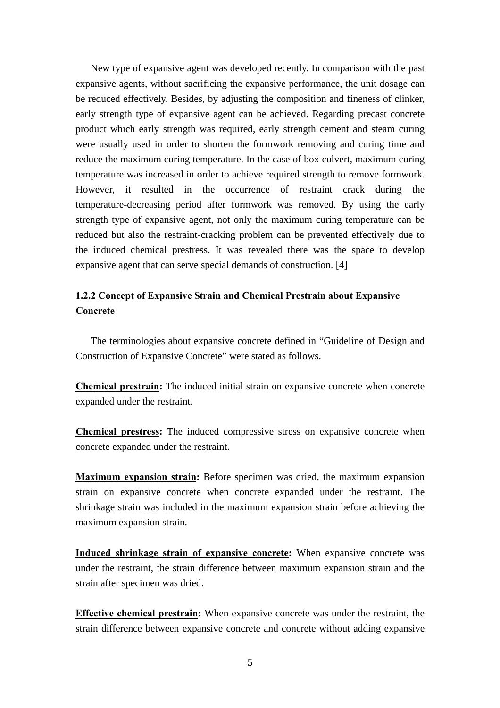New type of expansive agent was developed recently. In comparison with the past expansive agents, without sacrificing the expansive performance, the unit dosage can be reduced effectively. Besides, by adjusting the composition and fineness of clinker, early strength type of expansive agent can be achieved. Regarding precast concrete product which early strength was required, early strength cement and steam curing were usually used in order to shorten the formwork removing and curing time and reduce the maximum curing temperature. In the case of box culvert, maximum curing temperature was increased in order to achieve required strength to remove formwork. However, it resulted in the occurrence of restraint crack during the temperature-decreasing period after formwork was removed. By using the early strength type of expansive agent, not only the maximum curing temperature can be reduced but also the restraint-cracking problem can be prevented effectively due to the induced chemical prestress. It was revealed there was the space to develop expansive agent that can serve special demands of construction. [4]

### **1.2.2 Concept of Expansive Strain and Chemical Prestrain about Expansive Concrete**

The terminologies about expansive concrete defined in "Guideline of Design and Construction of Expansive Concrete" were stated as follows.

**Chemical prestrain:** The induced initial strain on expansive concrete when concrete expanded under the restraint.

**Chemical prestress:** The induced compressive stress on expansive concrete when concrete expanded under the restraint.

**Maximum expansion strain:** Before specimen was dried, the maximum expansion strain on expansive concrete when concrete expanded under the restraint. The shrinkage strain was included in the maximum expansion strain before achieving the maximum expansion strain.

**Induced shrinkage strain of expansive concrete:** When expansive concrete was under the restraint, the strain difference between maximum expansion strain and the strain after specimen was dried.

**Effective chemical prestrain:** When expansive concrete was under the restraint, the strain difference between expansive concrete and concrete without adding expansive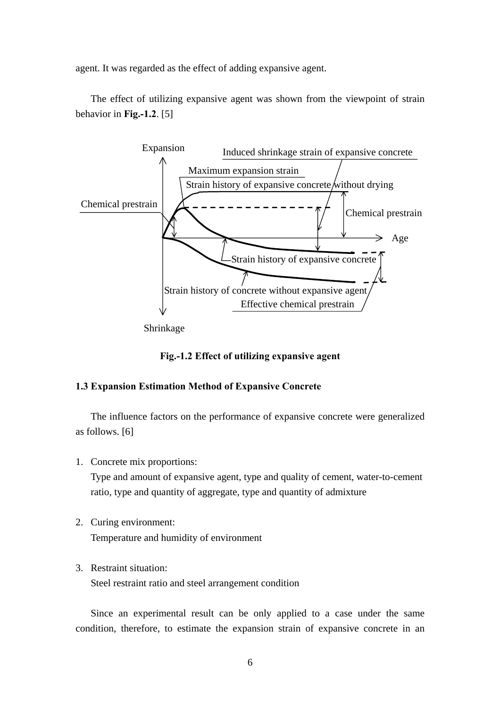agent. It was regarded as the effect of adding expansive agent.

The effect of utilizing expansive agent was shown from the viewpoint of strain behavior in **Fig.-1.2**. [5]



Shrinkage

**Fig.-1.2 Effect of utilizing expansive agent** 

### **1.3 Expansion Estimation Method of Expansive Concrete**

The influence factors on the performance of expansive concrete were generalized as follows. [6]

1. Concrete mix proportions:

Type and amount of expansive agent, type and quality of cement, water-to-cement ratio, type and quantity of aggregate, type and quantity of admixture

2. Curing environment:

Temperature and humidity of environment

3. Restraint situation:

Steel restraint ratio and steel arrangement condition

Since an experimental result can be only applied to a case under the same condition, therefore, to estimate the expansion strain of expansive concrete in an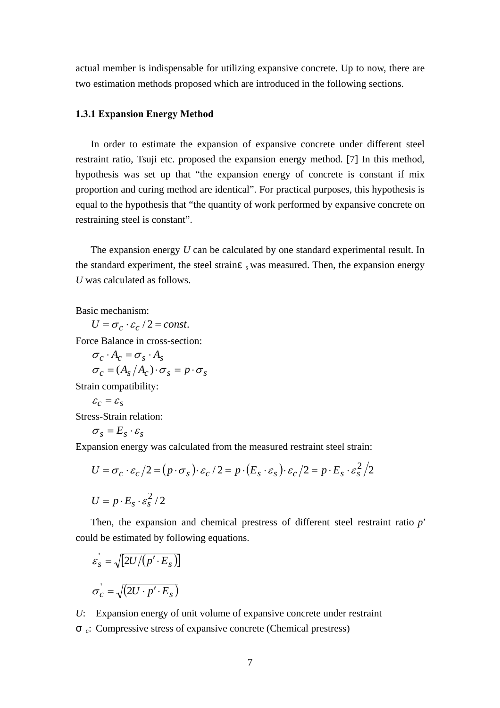actual member is indispensable for utilizing expansive concrete. Up to now, there are two estimation methods proposed which are introduced in the following sections.

### **1.3.1 Expansion Energy Method**

In order to estimate the expansion of expansive concrete under different steel restraint ratio, Tsuji etc. proposed the expansion energy method. [7] In this method, hypothesis was set up that "the expansion energy of concrete is constant if mix proportion and curing method are identical". For practical purposes, this hypothesis is equal to the hypothesis that "the quantity of work performed by expansive concrete on restraining steel is constant".

The expansion energy *U* can be calculated by one standard experimental result. In the standard experiment, the steel strain  $\sim$  s was measured. Then, the expansion energy *U* was calculated as follows.

Basic mechanism:

 $U = \sigma_c \cdot \varepsilon_c / 2 = const.$ 

Force Balance in cross-section:

$$
\sigma_c \cdot A_c = \sigma_s \cdot A_s
$$
  

$$
\sigma_c = (A_s / A_c) \cdot \sigma_s = p \cdot \sigma_s
$$

Strain compatibility:

$$
\varepsilon_c = \varepsilon_s
$$

Stress-Strain relation:

$$
\sigma_s = E_s \cdot \varepsilon_s
$$

Expansion energy was calculated from the measured restraint steel strain:

$$
U = \sigma_c \cdot \varepsilon_c / 2 = (p \cdot \sigma_s) \cdot \varepsilon_c / 2 = p \cdot (E_s \cdot \varepsilon_s) \cdot \varepsilon_c / 2 = p \cdot E_s \cdot \varepsilon_s^2 / 2
$$
  

$$
U = p \cdot E_s \cdot \varepsilon_s^2 / 2
$$

Then, the expansion and chemical prestress of different steel restraint ratio *p'* could be estimated by following equations.

$$
\varepsilon_{S}^{'} = \sqrt{[2U/(p' \cdot E_{S})]}
$$

$$
\sigma_{C}^{'} = \sqrt{(2U \cdot p' \cdot E_{S})}
$$

*U*: Expansion energy of unit volume of expansive concrete under restraint

c: Compressive stress of expansive concrete (Chemical prestress)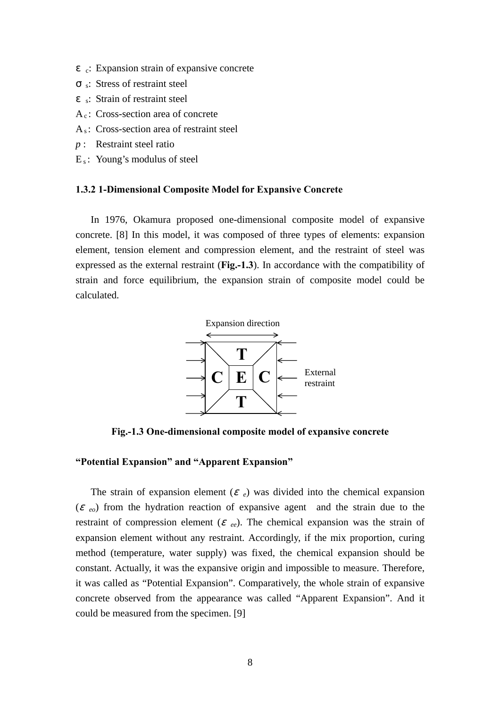- c: Expansion strain of expansive concrete
- s: Stress of restraint steel
- s: Strain of restraint steel
- $A_c$ : Cross-section area of concrete
- As: Cross-section area of restraint steel
- *p* : Restraint steel ratio
- $E_s$ : Young's modulus of steel

#### **1.3.2 1-Dimensional Composite Model for Expansive Concrete**

In 1976, Okamura proposed one-dimensional composite model of expansive concrete. [8] In this model, it was composed of three types of elements: expansion element, tension element and compression element, and the restraint of steel was expressed as the external restraint (**Fig.-1.3**). In accordance with the compatibility of strain and force equilibrium, the expansion strain of composite model could be calculated.



**Fig.-1.3 One-dimensional composite model of expansive concrete** 

### **"Potential Expansion" and "Apparent Expansion"**

The strain of expansion element ( *<sup>e</sup>*) was divided into the chemical expansion ( *eo*) from the hydration reaction of expansive agent and the strain due to the restraint of compression element ( *ee*). The chemical expansion was the strain of expansion element without any restraint. Accordingly, if the mix proportion, curing method (temperature, water supply) was fixed, the chemical expansion should be constant. Actually, it was the expansive origin and impossible to measure. Therefore, it was called as "Potential Expansion". Comparatively, the whole strain of expansive concrete observed from the appearance was called "Apparent Expansion". And it could be measured from the specimen. [9]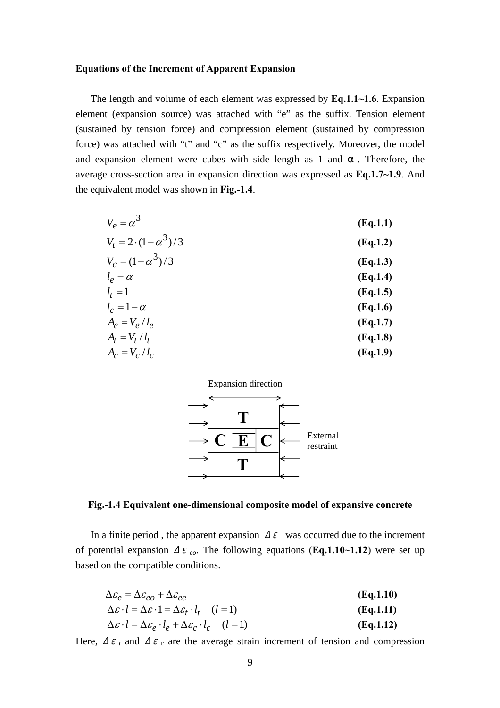### **Equations of the Increment of Apparent Expansion**

The length and volume of each element was expressed by **Eq.1.1~1.6**. Expansion element (expansion source) was attached with "e" as the suffix. Tension element (sustained by tension force) and compression element (sustained by compression force) was attached with "t" and "c" as the suffix respectively. Moreover, the model and expansion element were cubes with side length as 1 and . Therefore, the average cross-section area in expansion direction was expressed as **Eq.1.7~1.9**. And the equivalent model was shown in **Fig.-1.4**.

$$
V_e = \alpha^3
$$
 (Eq.1.1)  
\n
$$
V_t = 2 \cdot (1 - \alpha^3)/3
$$
 (Eq.1.2)  
\n
$$
V_c = (1 - \alpha^3)/3
$$
 (Eq.1.3)  
\n
$$
l_e = \alpha
$$
 (Eq.1.4)  
\n
$$
l_t = 1
$$
 (Eq.1.5)  
\n
$$
l_c = 1 - \alpha
$$
 (Eq.1.6)  
\n
$$
A_e = V_e / l_e
$$
 (Eq.1.7)  
\n
$$
A_t = V_t / l_t
$$
 (Eq.1.8)  
\n
$$
A_c = V_c / l_c
$$
 (Eq.1.9)



#### **Fig.-1.4 Equivalent one-dimensional composite model of expansive concrete**

In a finite period, the apparent expansion was occurred due to the increment of potential expansion  $_{eo}$ . The following equations (**Eq.1.10~1.12**) were set up based on the compatible conditions.

$$
\Delta \varepsilon_e = \Delta \varepsilon_{eo} + \Delta \varepsilon_{ee} \tag{Eq.1.10}
$$

$$
\Delta \varepsilon \cdot l = \Delta \varepsilon \cdot 1 = \Delta \varepsilon_t \cdot l_t \quad (l = 1)
$$
 (Eq.1.11)

$$
\Delta \varepsilon \cdot l = \Delta \varepsilon_e \cdot l_e + \Delta \varepsilon_c \cdot l_c \quad (l = 1)
$$
 (Eq.1.12)

Here,  $\tau_t$  and  $\tau_c$  are the average strain increment of tension and compression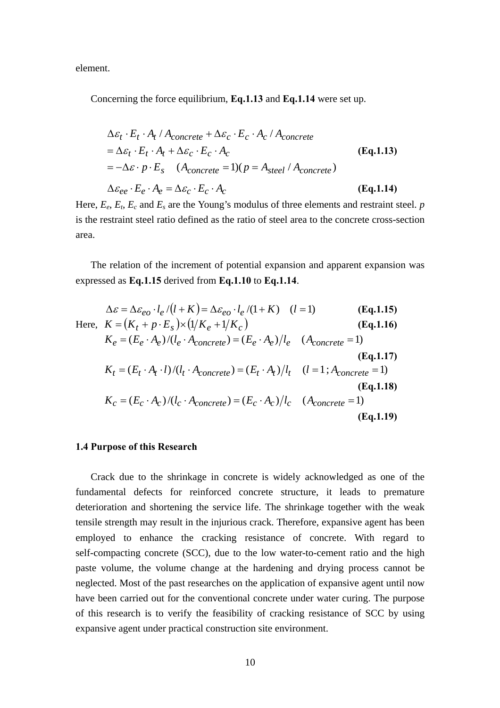element.

Concerning the force equilibrium, **Eq.1.13** and **Eq.1.14** were set up.

$$
\Delta \varepsilon_t \cdot E_t \cdot A_t / A_{concrete} + \Delta \varepsilon_c \cdot E_c \cdot A_c / A_{concrete}
$$
  
=  $\Delta \varepsilon_t \cdot E_t \cdot A_t + \Delta \varepsilon_c \cdot E_c \cdot A_c$  (Eq.1.13)  
=  $-\Delta \varepsilon \cdot p \cdot E_s$  ( $A_{concrete} = 1$ )( $p = A_{steel} / A_{concrete}$ )  
 $\Delta \varepsilon_{ee} \cdot E_e \cdot A_e = \Delta \varepsilon_c \cdot E_c \cdot A_c$  (Eq.1.14)

Here,  $E_e$ ,  $E_t$ ,  $E_c$  and  $E_s$  are the Young's modulus of three elements and restraint steel. *p* is the restraint steel ratio defined as the ratio of steel area to the concrete cross-section area.

The relation of the increment of potential expansion and apparent expansion was expressed as **Eq.1.15** derived from **Eq.1.10** to **Eq.1.14**.

$$
\Delta \varepsilon = \Delta \varepsilon_{eo} \cdot l_e / (l + K) = \Delta \varepsilon_{eo} \cdot l_e / (1 + K) \quad (l = 1)
$$
 (Eq.1.15)  
\nHere,  $K = (K_t + p \cdot E_s) \times (1/K_e + 1/K_c)$  (Eq.1.16)  
\n $K_e = (E_e \cdot A_e) / (l_e \cdot A_{concrete}) = (E_e \cdot A_e) / l_e$  (A<sub>concrete</sub> = 1)  
\nEq.1.17)  
\n $K_t = (E_t \cdot A_t \cdot l) / (l_t \cdot A_{concrete}) = (E_t \cdot A_t) / l_t$  (l = 1; A<sub>concrete</sub> = 1)  
\nEq.1.18)  
\n $K_c = (E_c \cdot A_c) / (l_c \cdot A_{concrete}) = (E_c \cdot A_c) / l_c$  (A<sub>concrete</sub> = 1)  
\nEq.1.19)

#### **1.4 Purpose of this Research**

Crack due to the shrinkage in concrete is widely acknowledged as one of the fundamental defects for reinforced concrete structure, it leads to premature deterioration and shortening the service life. The shrinkage together with the weak tensile strength may result in the injurious crack. Therefore, expansive agent has been employed to enhance the cracking resistance of concrete. With regard to self-compacting concrete (SCC), due to the low water-to-cement ratio and the high paste volume, the volume change at the hardening and drying process cannot be neglected. Most of the past researches on the application of expansive agent until now have been carried out for the conventional concrete under water curing. The purpose of this research is to verify the feasibility of cracking resistance of SCC by using expansive agent under practical construction site environment.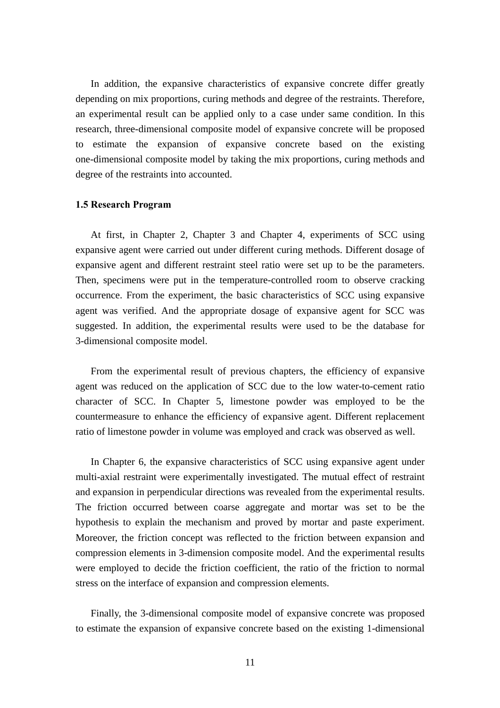In addition, the expansive characteristics of expansive concrete differ greatly depending on mix proportions, curing methods and degree of the restraints. Therefore, an experimental result can be applied only to a case under same condition. In this research, three-dimensional composite model of expansive concrete will be proposed to estimate the expansion of expansive concrete based on the existing one-dimensional composite model by taking the mix proportions, curing methods and degree of the restraints into accounted.

#### **1.5 Research Program**

At first, in Chapter 2, Chapter 3 and Chapter 4, experiments of SCC using expansive agent were carried out under different curing methods. Different dosage of expansive agent and different restraint steel ratio were set up to be the parameters. Then, specimens were put in the temperature-controlled room to observe cracking occurrence. From the experiment, the basic characteristics of SCC using expansive agent was verified. And the appropriate dosage of expansive agent for SCC was suggested. In addition, the experimental results were used to be the database for 3-dimensional composite model.

From the experimental result of previous chapters, the efficiency of expansive agent was reduced on the application of SCC due to the low water-to-cement ratio character of SCC. In Chapter 5, limestone powder was employed to be the countermeasure to enhance the efficiency of expansive agent. Different replacement ratio of limestone powder in volume was employed and crack was observed as well.

In Chapter 6, the expansive characteristics of SCC using expansive agent under multi-axial restraint were experimentally investigated. The mutual effect of restraint and expansion in perpendicular directions was revealed from the experimental results. The friction occurred between coarse aggregate and mortar was set to be the hypothesis to explain the mechanism and proved by mortar and paste experiment. Moreover, the friction concept was reflected to the friction between expansion and compression elements in 3-dimension composite model. And the experimental results were employed to decide the friction coefficient, the ratio of the friction to normal stress on the interface of expansion and compression elements.

Finally, the 3-dimensional composite model of expansive concrete was proposed to estimate the expansion of expansive concrete based on the existing 1-dimensional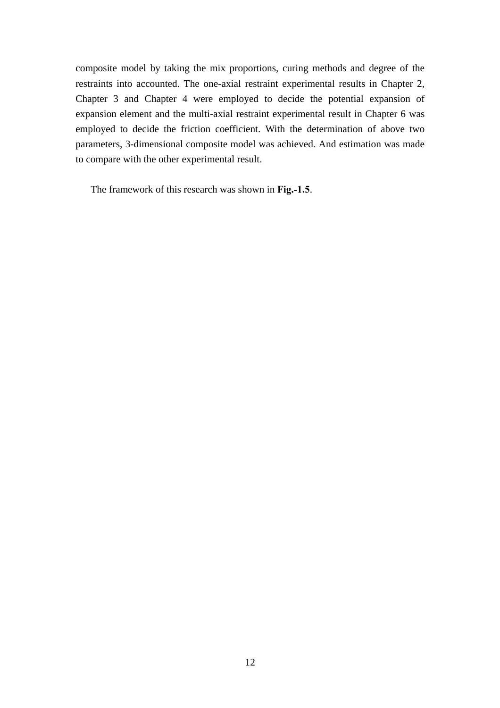composite model by taking the mix proportions, curing methods and degree of the restraints into accounted. The one-axial restraint experimental results in Chapter 2, Chapter 3 and Chapter 4 were employed to decide the potential expansion of expansion element and the multi-axial restraint experimental result in Chapter 6 was employed to decide the friction coefficient. With the determination of above two parameters, 3-dimensional composite model was achieved. And estimation was made to compare with the other experimental result.

The framework of this research was shown in **Fig.-1.5**.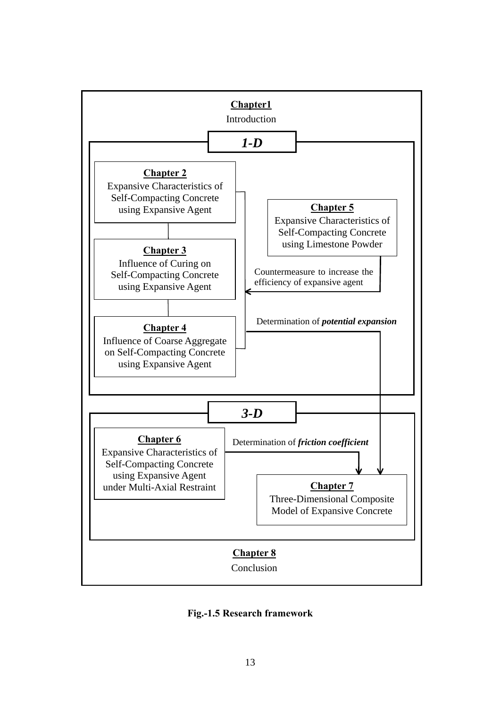

**Fig.-1.5 Research framework**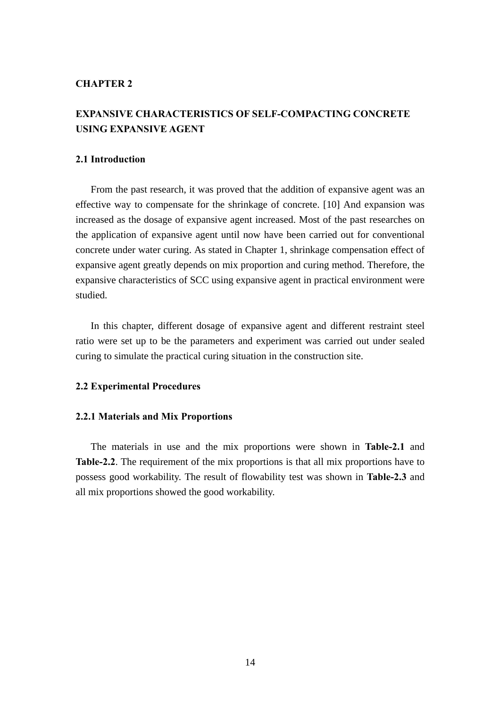### **CHAPTER 2**

### **EXPANSIVE CHARACTERISTICS OF SELF-COMPACTING CONCRETE USING EXPANSIVE AGENT**

### **2.1 Introduction**

From the past research, it was proved that the addition of expansive agent was an effective way to compensate for the shrinkage of concrete. [10] And expansion was increased as the dosage of expansive agent increased. Most of the past researches on the application of expansive agent until now have been carried out for conventional concrete under water curing. As stated in Chapter 1, shrinkage compensation effect of expansive agent greatly depends on mix proportion and curing method. Therefore, the expansive characteristics of SCC using expansive agent in practical environment were studied.

In this chapter, different dosage of expansive agent and different restraint steel ratio were set up to be the parameters and experiment was carried out under sealed curing to simulate the practical curing situation in the construction site.

### **2.2 Experimental Procedures**

#### **2.2.1 Materials and Mix Proportions**

The materials in use and the mix proportions were shown in **Table-2.1** and **Table-2.2**. The requirement of the mix proportions is that all mix proportions have to possess good workability. The result of flowability test was shown in **Table-2.3** and all mix proportions showed the good workability.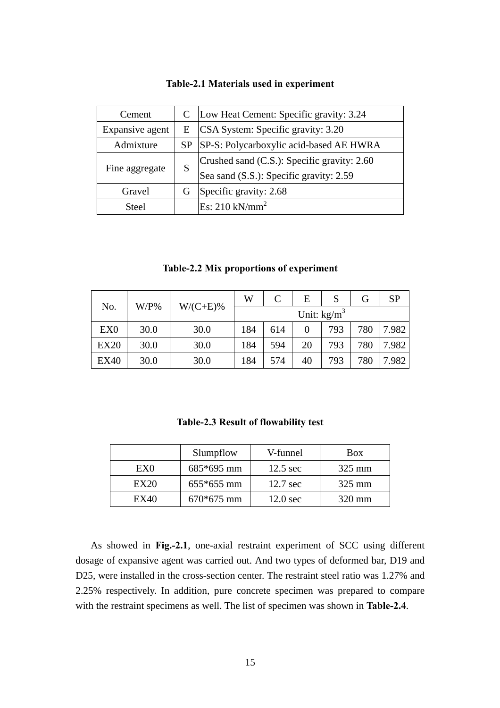| Cement          |    | C Low Heat Cement: Specific gravity: 3.24                                              |  |
|-----------------|----|----------------------------------------------------------------------------------------|--|
| Expansive agent | Е  | CSA System: Specific gravity: 3.20                                                     |  |
| Admixture       | SP | SP-S: Polycarboxylic acid-based AE HWRA                                                |  |
|                 |    |                                                                                        |  |
| Fine aggregate  |    | Crushed sand (C.S.): Specific gravity: 2.60<br>Sea sand (S.S.): Specific gravity: 2.59 |  |
| Gravel          | G  | Specific gravity: 2.68                                                                 |  |
| <b>Steel</b>    |    | Es: 210 kN/mm <sup>2</sup>                                                             |  |

### **Table-2.1 Materials used in experiment**

**Table-2.2 Mix proportions of experiment** 

| No.             | $W/P\%$ | $W/(C+E)\%$ | W                     | $\mathsf{C}$ | E  | S   | G   | <b>SP</b> |
|-----------------|---------|-------------|-----------------------|--------------|----|-----|-----|-----------|
|                 |         |             | Unit: $\text{kg/m}^3$ |              |    |     |     |           |
| EX <sub>0</sub> | 30.0    | 30.0        | 184                   | 614          |    | 793 | 780 | 7.982     |
| <b>EX20</b>     | 30.0    | 30.0        | 184                   | 594          | 20 | 793 | 780 | 7.982     |
| <b>EX40</b>     | 30.0    | 30.0        | 184                   | 574          | 40 | 793 | 780 | 7.982     |

|  |  |  | Table-2.3 Result of flowability test |
|--|--|--|--------------------------------------|
|--|--|--|--------------------------------------|

|                 | Slumpflow    | V-funnel           | <b>Box</b>       |
|-----------------|--------------|--------------------|------------------|
| EX <sub>0</sub> | $685*695$ mm | $12.5 \text{ sec}$ | $325 \text{ mm}$ |
| EX20            | $655*655$ mm | $12.7 \text{ sec}$ | $325 \text{ mm}$ |
| EX40            | $670*675$ mm | $12.0 \text{ sec}$ | $320 \text{ mm}$ |

As showed in **Fig.-2.1**, one-axial restraint experiment of SCC using different dosage of expansive agent was carried out. And two types of deformed bar, D19 and D25, were installed in the cross-section center. The restraint steel ratio was 1.27% and 2.25% respectively. In addition, pure concrete specimen was prepared to compare with the restraint specimens as well. The list of specimen was shown in **Table-2.4**.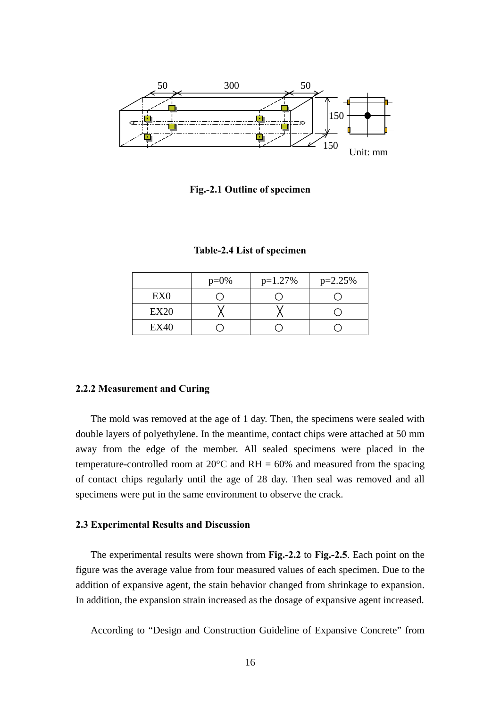

**Fig.-2.1 Outline of specimen** 

#### **Table-2.4 List of specimen**

|                 | $p=0%$ | $p=1.27%$ | $p=2.25%$ |
|-----------------|--------|-----------|-----------|
| EX <sub>0</sub> |        |           |           |
| EX20            |        |           |           |
| EX40            |        |           |           |

### **2.2.2 Measurement and Curing**

The mold was removed at the age of 1 day. Then, the specimens were sealed with double layers of polyethylene. In the meantime, contact chips were attached at 50 mm away from the edge of the member. All sealed specimens were placed in the temperature-controlled room at  $20^{\circ}$ C and RH = 60% and measured from the spacing of contact chips regularly until the age of 28 day. Then seal was removed and all specimens were put in the same environment to observe the crack.

### **2.3 Experimental Results and Discussion**

The experimental results were shown from **Fig.-2.2** to **Fig.-2.5**. Each point on the figure was the average value from four measured values of each specimen. Due to the addition of expansive agent, the stain behavior changed from shrinkage to expansion. In addition, the expansion strain increased as the dosage of expansive agent increased.

According to "Design and Construction Guideline of Expansive Concrete" from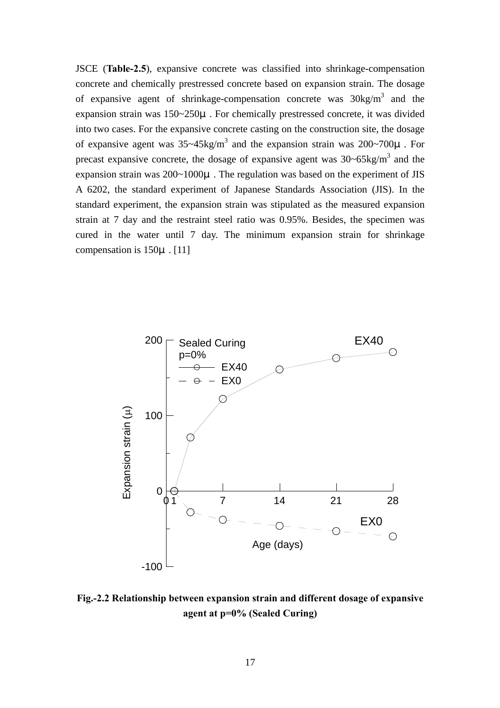JSCE (**Table-2.5**), expansive concrete was classified into shrinkage-compensation concrete and chemically prestressed concrete based on expansion strain. The dosage of expansive agent of shrinkage-compensation concrete was  $30\text{kg/m}^3$  and the expansion strain was 150~250μ. For chemically prestressed concrete, it was divided into two cases. For the expansive concrete casting on the construction site, the dosage of expansive agent was  $35 \sim 45 \text{kg/m}^3$  and the expansion strain was  $200 \sim 700 \mu$ . For precast expansive concrete, the dosage of expansive agent was  $30\nu 65\text{kg/m}^3$  and the expansion strain was  $200~1000\mu$ . The regulation was based on the experiment of JIS A 6202, the standard experiment of Japanese Standards Association (JIS). In the standard experiment, the expansion strain was stipulated as the measured expansion strain at 7 day and the restraint steel ratio was 0.95%. Besides, the specimen was cured in the water until 7 day. The minimum expansion strain for shrinkage compensation is  $150\mu$ . [11]



**Fig.-2.2 Relationship between expansion strain and different dosage of expansive agent at p=0% (Sealed Curing)**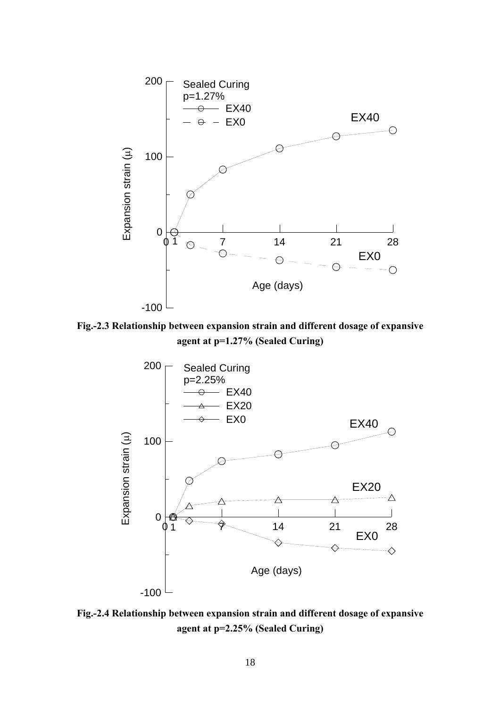

**Fig.-2.3 Relationship between expansion strain and different dosage of expansive agent at p=1.27% (Sealed Curing)** 



**Fig.-2.4 Relationship between expansion strain and different dosage of expansive agent at p=2.25% (Sealed Curing)**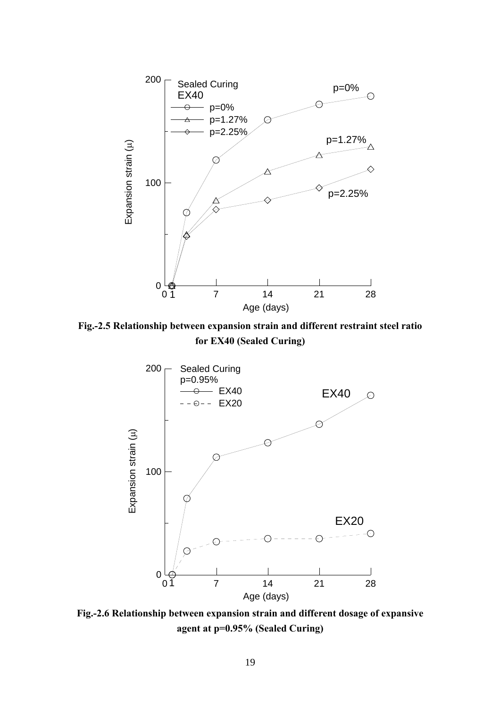

**Fig.-2.5 Relationship between expansion strain and different restraint steel ratio for EX40 (Sealed Curing)** 



**Fig.-2.6 Relationship between expansion strain and different dosage of expansive agent at p=0.95% (Sealed Curing)**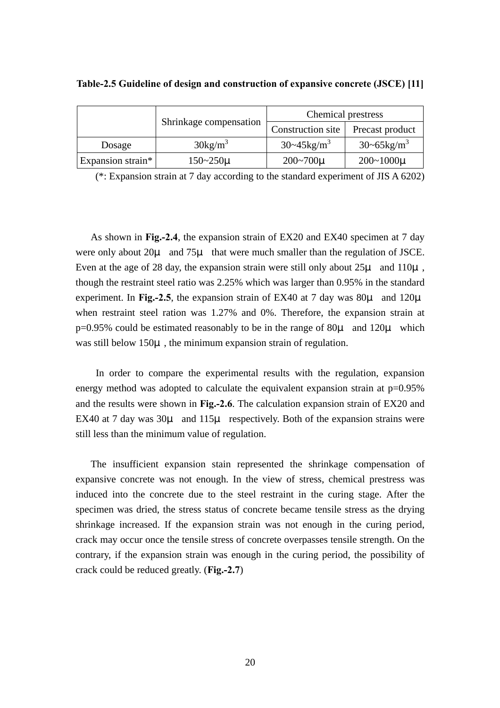|                   |                        | Chemical prestress      |                         |  |  |  |
|-------------------|------------------------|-------------------------|-------------------------|--|--|--|
|                   | Shrinkage compensation | Construction site       | Precast product         |  |  |  |
| Dosage            | $30\text{kg/m}^3$      | $30 - 45 \text{kg/m}^3$ | $30 - 65 \text{kg/m}^3$ |  |  |  |
| Expansion strain* | $150 - 250\mu$         | $200 - 700\mu$          | $200 - 1000\mu$         |  |  |  |

### **Table-2.5 Guideline of design and construction of expansive concrete (JSCE) [11]**

(\*: Expansion strain at 7 day according to the standard experiment of JIS A 6202)

As shown in **Fig.-2.4**, the expansion strain of EX20 and EX40 specimen at 7 day were only about 20μ and 75μ that were much smaller than the regulation of JSCE. Even at the age of 28 day, the expansion strain were still only about  $25\mu$  and  $110\mu$ , though the restraint steel ratio was 2.25% which was larger than 0.95% in the standard experiment. In Fig.-2.5, the expansion strain of EX40 at 7 day was  $80\mu$  and  $120\mu$ when restraint steel ration was 1.27% and 0%. Therefore, the expansion strain at  $p=0.95\%$  could be estimated reasonably to be in the range of  $80\mu$  and  $120\mu$  which was still below  $150\mu$ , the minimum expansion strain of regulation.

In order to compare the experimental results with the regulation, expansion energy method was adopted to calculate the equivalent expansion strain at  $p=0.95\%$ and the results were shown in **Fig.-2.6**. The calculation expansion strain of EX20 and EX40 at 7 day was 30μ and 115μ respectively. Both of the expansion strains were still less than the minimum value of regulation.

The insufficient expansion stain represented the shrinkage compensation of expansive concrete was not enough. In the view of stress, chemical prestress was induced into the concrete due to the steel restraint in the curing stage. After the specimen was dried, the stress status of concrete became tensile stress as the drying shrinkage increased. If the expansion strain was not enough in the curing period, crack may occur once the tensile stress of concrete overpasses tensile strength. On the contrary, if the expansion strain was enough in the curing period, the possibility of crack could be reduced greatly. (**Fig.-2.7**)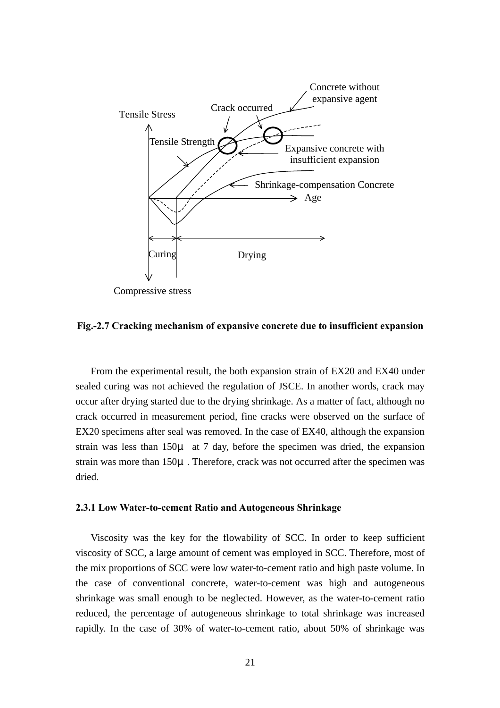

Compressive stress

### **Fig.-2.7 Cracking mechanism of expansive concrete due to insufficient expansion**

From the experimental result, the both expansion strain of EX20 and EX40 under sealed curing was not achieved the regulation of JSCE. In another words, crack may occur after drying started due to the drying shrinkage. As a matter of fact, although no crack occurred in measurement period, fine cracks were observed on the surface of EX20 specimens after seal was removed. In the case of EX40, although the expansion strain was less than  $150\mu$  at 7 day, before the specimen was dried, the expansion strain was more than 150μ. Therefore, crack was not occurred after the specimen was dried.

#### **2.3.1 Low Water-to-cement Ratio and Autogeneous Shrinkage**

Viscosity was the key for the flowability of SCC. In order to keep sufficient viscosity of SCC, a large amount of cement was employed in SCC. Therefore, most of the mix proportions of SCC were low water-to-cement ratio and high paste volume. In the case of conventional concrete, water-to-cement was high and autogeneous shrinkage was small enough to be neglected. However, as the water-to-cement ratio reduced, the percentage of autogeneous shrinkage to total shrinkage was increased rapidly. In the case of 30% of water-to-cement ratio, about 50% of shrinkage was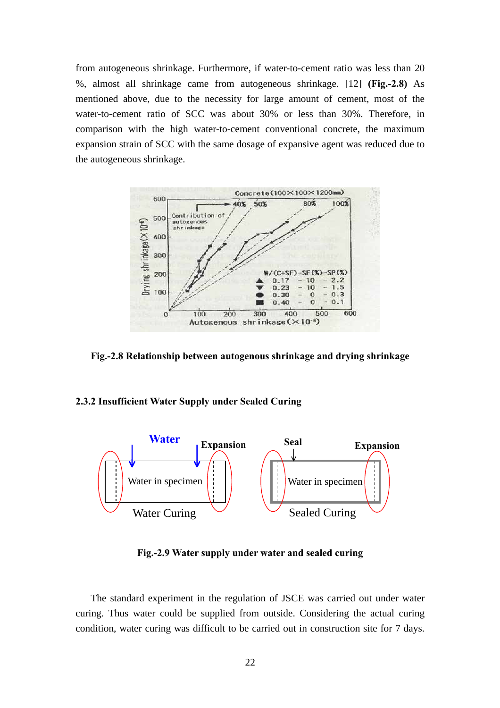from autogeneous shrinkage. Furthermore, if water-to-cement ratio was less than 20 %, almost all shrinkage came from autogeneous shrinkage. [12] **(Fig.-2.8)** As mentioned above, due to the necessity for large amount of cement, most of the water-to-cement ratio of SCC was about 30% or less than 30%. Therefore, in comparison with the high water-to-cement conventional concrete, the maximum expansion strain of SCC with the same dosage of expansive agent was reduced due to the autogeneous shrinkage.



**Fig.-2.8 Relationship between autogenous shrinkage and drying shrinkage** 

### **2.3.2 Insufficient Water Supply under Sealed Curing**



**Fig.-2.9 Water supply under water and sealed curing** 

The standard experiment in the regulation of JSCE was carried out under water curing. Thus water could be supplied from outside. Considering the actual curing condition, water curing was difficult to be carried out in construction site for 7 days.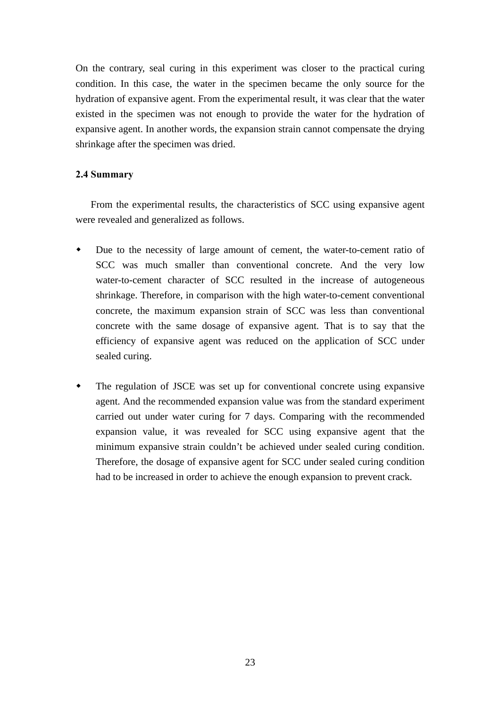On the contrary, seal curing in this experiment was closer to the practical curing condition. In this case, the water in the specimen became the only source for the hydration of expansive agent. From the experimental result, it was clear that the water existed in the specimen was not enough to provide the water for the hydration of expansive agent. In another words, the expansion strain cannot compensate the drying shrinkage after the specimen was dried.

### **2.4 Summary**

From the experimental results, the characteristics of SCC using expansive agent were revealed and generalized as follows.

- Due to the necessity of large amount of cement, the water-to-cement ratio of SCC was much smaller than conventional concrete. And the very low water-to-cement character of SCC resulted in the increase of autogeneous shrinkage. Therefore, in comparison with the high water-to-cement conventional concrete, the maximum expansion strain of SCC was less than conventional concrete with the same dosage of expansive agent. That is to say that the efficiency of expansive agent was reduced on the application of SCC under sealed curing.
- The regulation of JSCE was set up for conventional concrete using expansive agent. And the recommended expansion value was from the standard experiment carried out under water curing for 7 days. Comparing with the recommended expansion value, it was revealed for SCC using expansive agent that the minimum expansive strain couldn't be achieved under sealed curing condition. Therefore, the dosage of expansive agent for SCC under sealed curing condition had to be increased in order to achieve the enough expansion to prevent crack.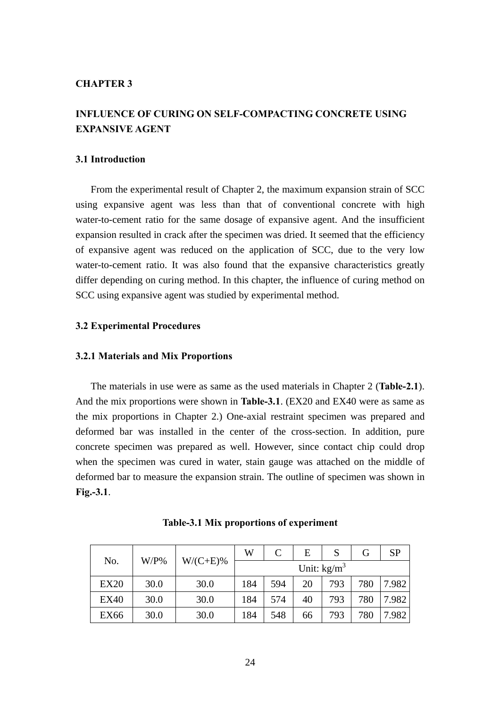### **CHAPTER 3**

# **INFLUENCE OF CURING ON SELF-COMPACTING CONCRETE USING EXPANSIVE AGENT**

### **3.1 Introduction**

From the experimental result of Chapter 2, the maximum expansion strain of SCC using expansive agent was less than that of conventional concrete with high water-to-cement ratio for the same dosage of expansive agent. And the insufficient expansion resulted in crack after the specimen was dried. It seemed that the efficiency of expansive agent was reduced on the application of SCC, due to the very low water-to-cement ratio. It was also found that the expansive characteristics greatly differ depending on curing method. In this chapter, the influence of curing method on SCC using expansive agent was studied by experimental method.

### **3.2 Experimental Procedures**

### **3.2.1 Materials and Mix Proportions**

The materials in use were as same as the used materials in Chapter 2 (**Table-2.1**). And the mix proportions were shown in **Table-3.1**. (EX20 and EX40 were as same as the mix proportions in Chapter 2.) One-axial restraint specimen was prepared and deformed bar was installed in the center of the cross-section. In addition, pure concrete specimen was prepared as well. However, since contact chip could drop when the specimen was cured in water, stain gauge was attached on the middle of deformed bar to measure the expansion strain. The outline of specimen was shown in **Fig.-3.1**.

|             | $W/P\%$ |             | W                     | C   | E  | S   | G   | <b>SP</b> |  |
|-------------|---------|-------------|-----------------------|-----|----|-----|-----|-----------|--|
| No.         |         | $W/(C+E)\%$ | Unit: $\text{kg/m}^3$ |     |    |     |     |           |  |
| <b>EX20</b> | 30.0    | 30.0        | 184                   | 594 | 20 | 793 | 780 | 7.982     |  |
| <b>EX40</b> | 30.0    | 30.0        | 184                   | 574 | 40 | 793 | 780 | 7.982     |  |
| <b>EX66</b> | 30.0    | 30.0        | 184                   | 548 | 66 | 793 | 780 | 7.982     |  |

**Table-3.1 Mix proportions of experiment**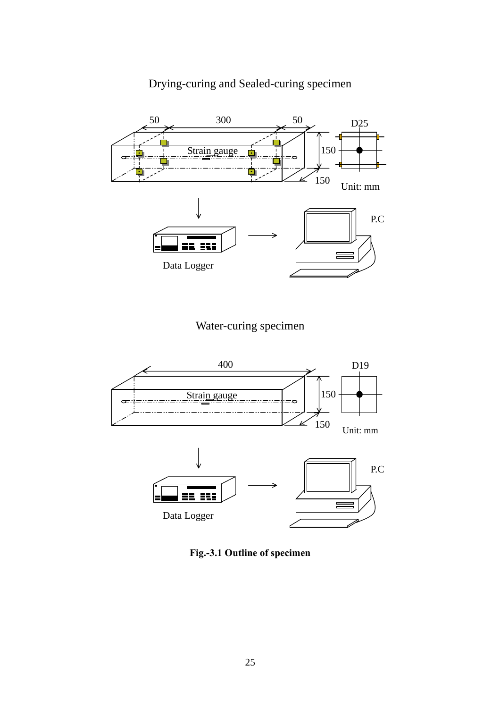

# Drying-curing and Sealed-curing specimen

Water-curing specimen



**Fig.-3.1 Outline of specimen**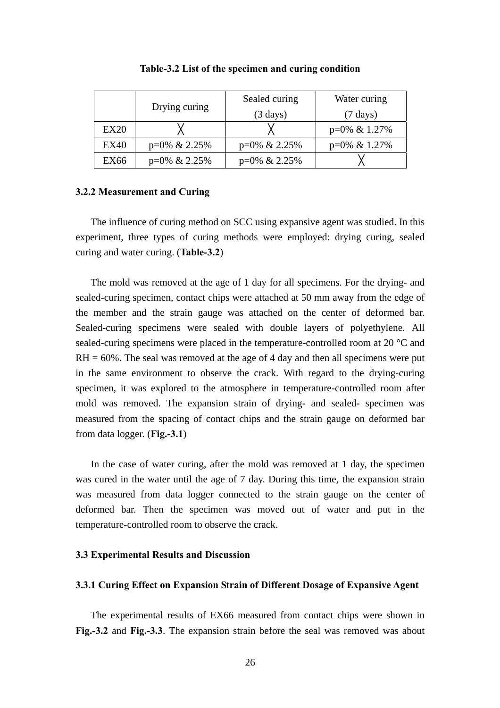|             |                   | Sealed curing      | Water curing       |
|-------------|-------------------|--------------------|--------------------|
|             | Drying curing     | $(3 \text{ days})$ | $(7 \text{ days})$ |
| EX20        |                   |                    | $p=0\% \& 1.27\%$  |
| <b>EX40</b> | $p=0\% \& 2.25\%$ | $p=0\% \& 2.25\%$  | $p=0\% \& 1.27\%$  |
| EX66        | $p=0\% \& 2.25\%$ | $p=0\% \& 2.25\%$  |                    |

### **Table-3.2 List of the specimen and curing condition**

### **3.2.2 Measurement and Curing**

The influence of curing method on SCC using expansive agent was studied. In this experiment, three types of curing methods were employed: drying curing, sealed curing and water curing. (**Table-3.2**)

The mold was removed at the age of 1 day for all specimens. For the drying- and sealed-curing specimen, contact chips were attached at 50 mm away from the edge of the member and the strain gauge was attached on the center of deformed bar. Sealed-curing specimens were sealed with double layers of polyethylene. All sealed-curing specimens were placed in the temperature-controlled room at 20 °C and  $RH = 60\%$ . The seal was removed at the age of 4 day and then all specimens were put in the same environment to observe the crack. With regard to the drying-curing specimen, it was explored to the atmosphere in temperature-controlled room after mold was removed. The expansion strain of drying- and sealed- specimen was measured from the spacing of contact chips and the strain gauge on deformed bar from data logger. (**Fig.-3.1**)

In the case of water curing, after the mold was removed at 1 day, the specimen was cured in the water until the age of 7 day. During this time, the expansion strain was measured from data logger connected to the strain gauge on the center of deformed bar. Then the specimen was moved out of water and put in the temperature-controlled room to observe the crack.

### **3.3 Experimental Results and Discussion**

### **3.3.1 Curing Effect on Expansion Strain of Different Dosage of Expansive Agent**

The experimental results of EX66 measured from contact chips were shown in **Fig.-3.2** and **Fig.-3.3**. The expansion strain before the seal was removed was about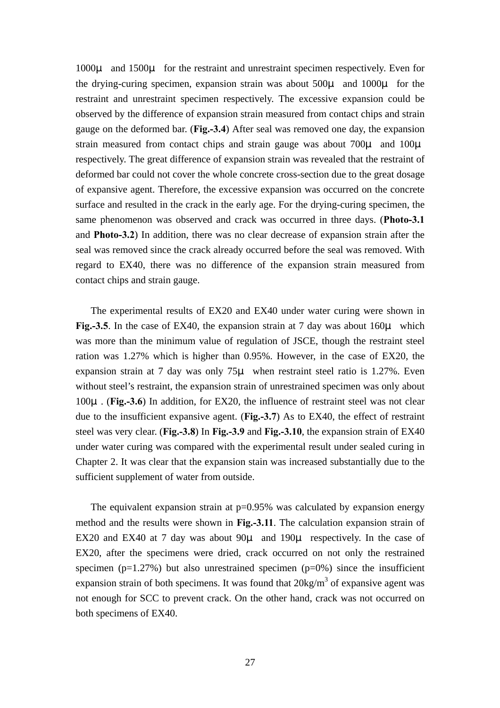1000μ and 1500μ for the restraint and unrestraint specimen respectively. Even for the drying-curing specimen, expansion strain was about  $500\mu$  and  $1000\mu$  for the restraint and unrestraint specimen respectively. The excessive expansion could be observed by the difference of expansion strain measured from contact chips and strain gauge on the deformed bar. (**Fig.-3.4**) After seal was removed one day, the expansion strain measured from contact chips and strain gauge was about  $700\mu$  and  $100\mu$ respectively. The great difference of expansion strain was revealed that the restraint of deformed bar could not cover the whole concrete cross-section due to the great dosage of expansive agent. Therefore, the excessive expansion was occurred on the concrete surface and resulted in the crack in the early age. For the drying-curing specimen, the same phenomenon was observed and crack was occurred in three days. (**Photo-3.1** and **Photo-3.2**) In addition, there was no clear decrease of expansion strain after the seal was removed since the crack already occurred before the seal was removed. With regard to EX40, there was no difference of the expansion strain measured from contact chips and strain gauge.

The experimental results of EX20 and EX40 under water curing were shown in **Fig.-3.5**. In the case of EX40, the expansion strain at 7 day was about  $160\mu$  which was more than the minimum value of regulation of JSCE, though the restraint steel ration was 1.27% which is higher than 0.95%. However, in the case of EX20, the expansion strain at 7 day was only 75μ when restraint steel ratio is 1.27%. Even without steel's restraint, the expansion strain of unrestrained specimen was only about 100μ. (**Fig.-3.6**) In addition, for EX20, the influence of restraint steel was not clear due to the insufficient expansive agent. (**Fig.-3.7**) As to EX40, the effect of restraint steel was very clear. (**Fig.-3.8**) In **Fig.-3.9** and **Fig.-3.10**, the expansion strain of EX40 under water curing was compared with the experimental result under sealed curing in Chapter 2. It was clear that the expansion stain was increased substantially due to the sufficient supplement of water from outside.

The equivalent expansion strain at  $p=0.95%$  was calculated by expansion energy method and the results were shown in **Fig.-3.11**. The calculation expansion strain of EX20 and EX40 at 7 day was about 90μ and 190μ respectively. In the case of EX20, after the specimens were dried, crack occurred on not only the restrained specimen ( $p=1.27\%$ ) but also unrestrained specimen ( $p=0\%$ ) since the insufficient expansion strain of both specimens. It was found that  $20\text{kg/m}^3$  of expansive agent was not enough for SCC to prevent crack. On the other hand, crack was not occurred on both specimens of EX40.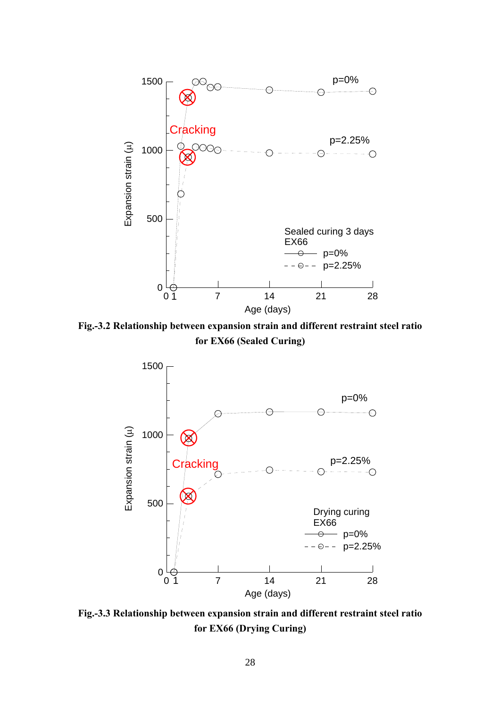

**Fig.-3.2 Relationship between expansion strain and different restraint steel ratio for EX66 (Sealed Curing)** 



**Fig.-3.3 Relationship between expansion strain and different restraint steel ratio for EX66 (Drying Curing)**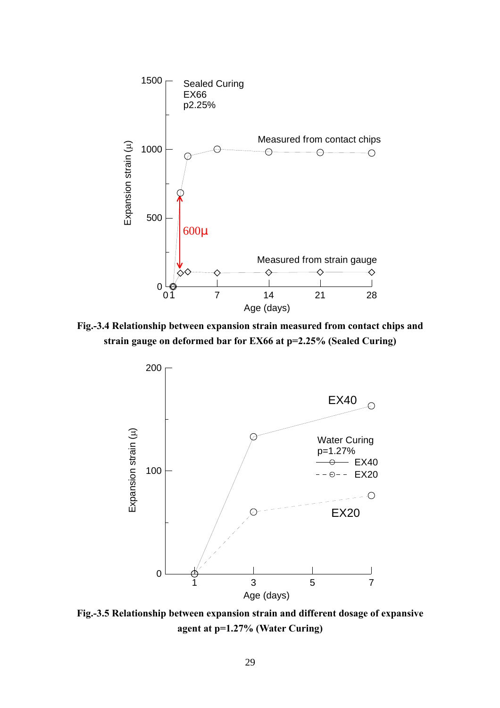

**Fig.-3.4 Relationship between expansion strain measured from contact chips and strain gauge on deformed bar for EX66 at p=2.25% (Sealed Curing)** 



**Fig.-3.5 Relationship between expansion strain and different dosage of expansive agent at p=1.27% (Water Curing)**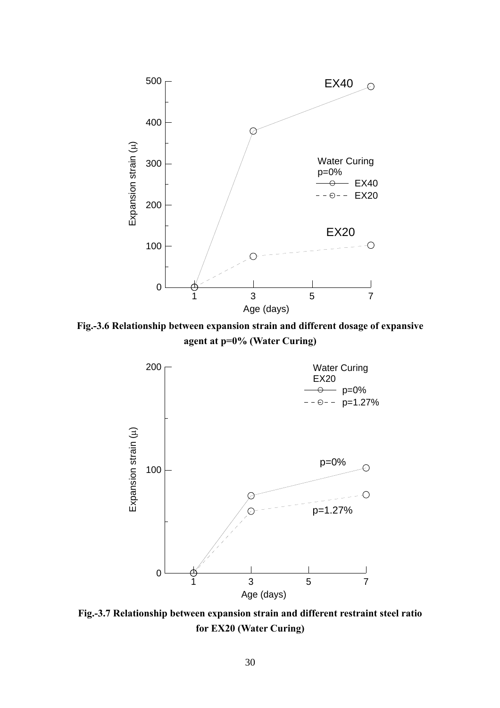

**Fig.-3.6 Relationship between expansion strain and different dosage of expansive agent at p=0% (Water Curing)** 



**Fig.-3.7 Relationship between expansion strain and different restraint steel ratio for EX20 (Water Curing)**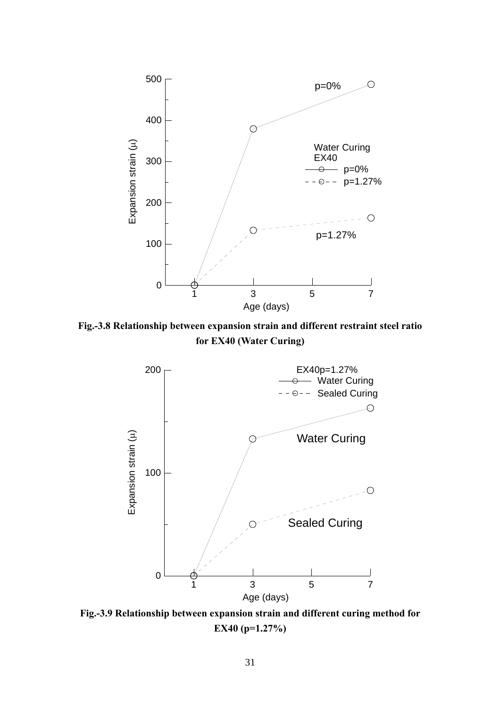

**Fig.-3.8 Relationship between expansion strain and different restraint steel ratio for EX40 (Water Curing)** 



**Fig.-3.9 Relationship between expansion strain and different curing method for EX40 (p=1.27%)**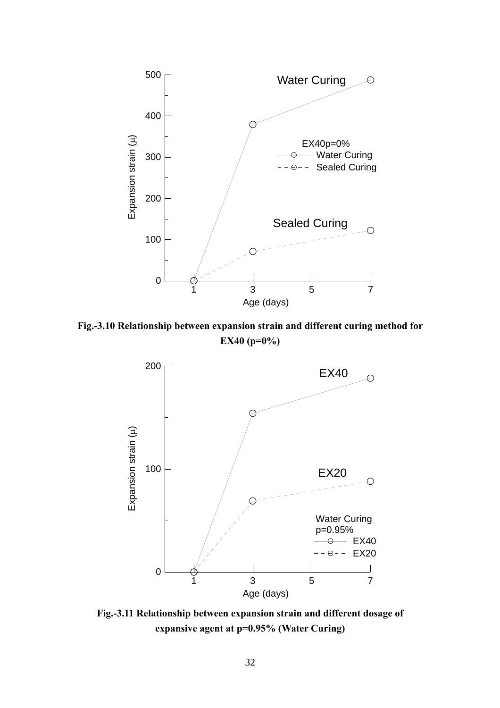

**Fig.-3.10 Relationship between expansion strain and different curing method for EX40 (p=0%)** 



**Fig.-3.11 Relationship between expansion strain and different dosage of expansive agent at p=0.95% (Water Curing)**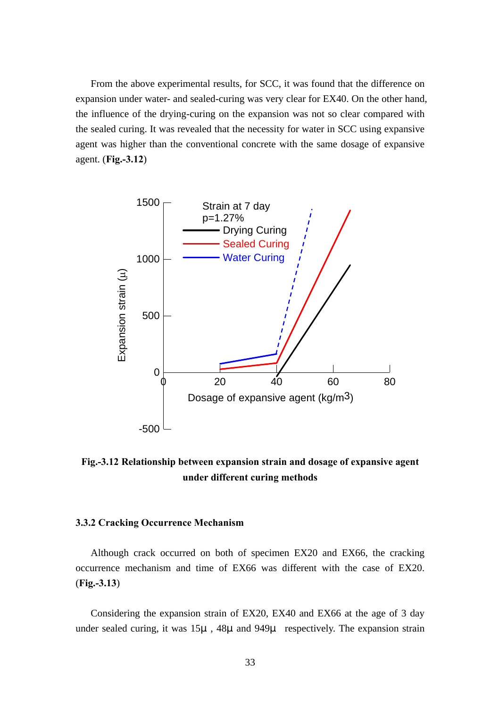From the above experimental results, for SCC, it was found that the difference on expansion under water- and sealed-curing was very clear for EX40. On the other hand, the influence of the drying-curing on the expansion was not so clear compared with the sealed curing. It was revealed that the necessity for water in SCC using expansive agent was higher than the conventional concrete with the same dosage of expansive agent. (**Fig.-3.12**)



**Fig.-3.12 Relationship between expansion strain and dosage of expansive agent under different curing methods** 

### **3.3.2 Cracking Occurrence Mechanism**

Although crack occurred on both of specimen EX20 and EX66, the cracking occurrence mechanism and time of EX66 was different with the case of EX20. (**Fig.-3.13**)

Considering the expansion strain of EX20, EX40 and EX66 at the age of 3 day under sealed curing, it was  $15\mu$ ,  $48\mu$  and  $949\mu$  respectively. The expansion strain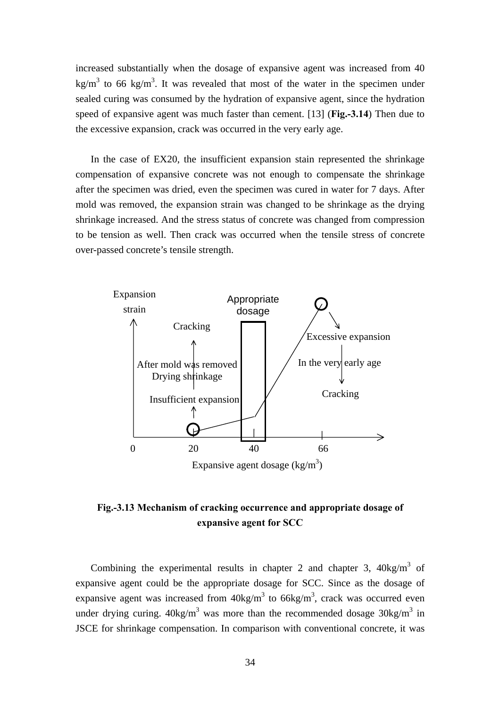increased substantially when the dosage of expansive agent was increased from 40 kg/m<sup>3</sup> to 66 kg/m<sup>3</sup>. It was revealed that most of the water in the specimen under sealed curing was consumed by the hydration of expansive agent, since the hydration speed of expansive agent was much faster than cement. [13] (**Fig.-3.14**) Then due to the excessive expansion, crack was occurred in the very early age.

In the case of EX20, the insufficient expansion stain represented the shrinkage compensation of expansive concrete was not enough to compensate the shrinkage after the specimen was dried, even the specimen was cured in water for 7 days. After mold was removed, the expansion strain was changed to be shrinkage as the drying shrinkage increased. And the stress status of concrete was changed from compression to be tension as well. Then crack was occurred when the tensile stress of concrete over-passed concrete's tensile strength.





Combining the experimental results in chapter 2 and chapter 3,  $40 \text{kg/m}^3$  of expansive agent could be the appropriate dosage for SCC. Since as the dosage of expansive agent was increased from  $40\text{kg/m}^3$  to  $66\text{kg/m}^3$ , crack was occurred even under drying curing.  $40 \text{kg/m}^3$  was more than the recommended dosage  $30 \text{kg/m}^3$  in JSCE for shrinkage compensation. In comparison with conventional concrete, it was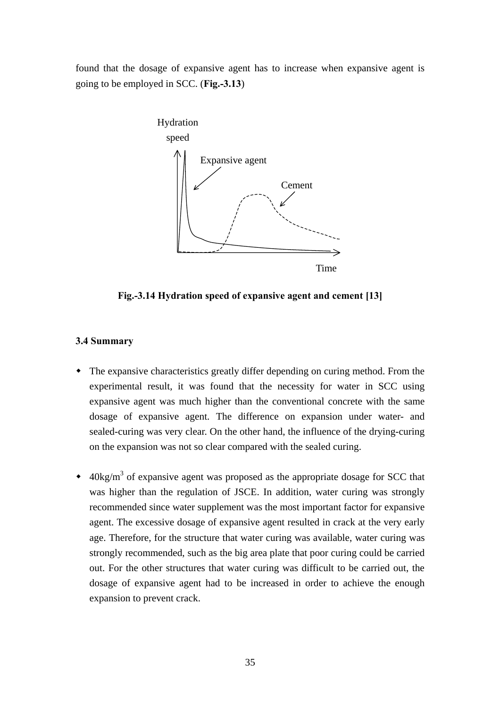found that the dosage of expansive agent has to increase when expansive agent is going to be employed in SCC. (**Fig.-3.13**)



**Fig.-3.14 Hydration speed of expansive agent and cement [13]** 

## **3.4 Summary**

- The expansive characteristics greatly differ depending on curing method. From the experimental result, it was found that the necessity for water in SCC using expansive agent was much higher than the conventional concrete with the same dosage of expansive agent. The difference on expansion under water- and sealed-curing was very clear. On the other hand, the influence of the drying-curing on the expansion was not so clear compared with the sealed curing.
- $\bullet$  40kg/m<sup>3</sup> of expansive agent was proposed as the appropriate dosage for SCC that was higher than the regulation of JSCE. In addition, water curing was strongly recommended since water supplement was the most important factor for expansive agent. The excessive dosage of expansive agent resulted in crack at the very early age. Therefore, for the structure that water curing was available, water curing was strongly recommended, such as the big area plate that poor curing could be carried out. For the other structures that water curing was difficult to be carried out, the dosage of expansive agent had to be increased in order to achieve the enough expansion to prevent crack.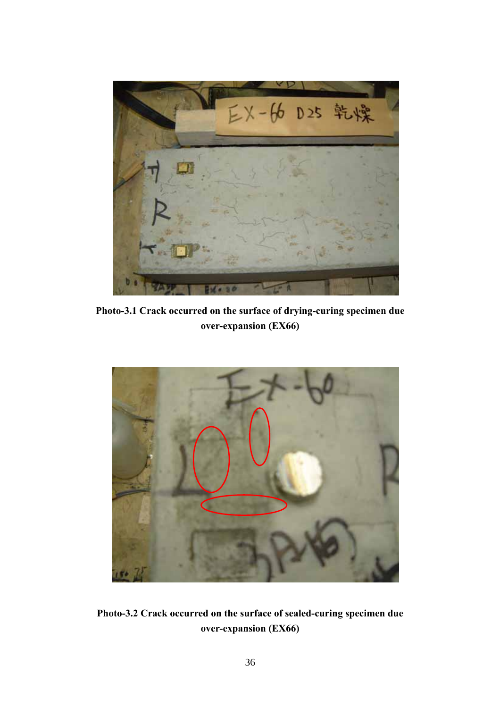

**Photo-3.1 Crack occurred on the surface of drying-curing specimen due over-expansion (EX66)** 



**Photo-3.2 Crack occurred on the surface of sealed-curing specimen due over-expansion (EX66)**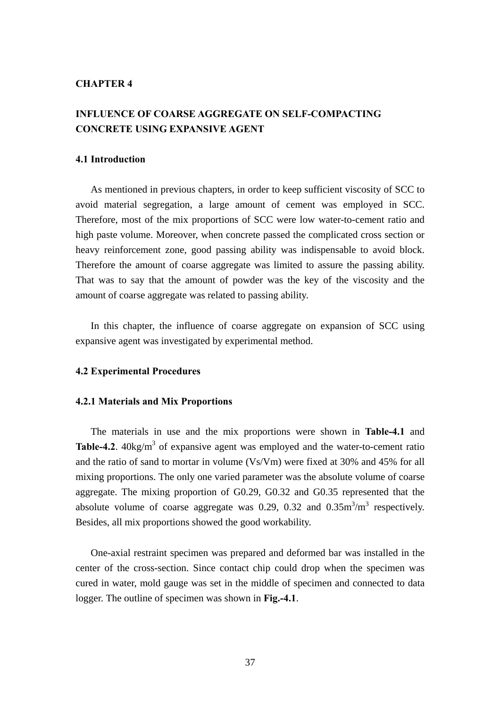### **CHAPTER 4**

# **INFLUENCE OF COARSE AGGREGATE ON SELF-COMPACTING CONCRETE USING EXPANSIVE AGENT**

### **4.1 Introduction**

As mentioned in previous chapters, in order to keep sufficient viscosity of SCC to avoid material segregation, a large amount of cement was employed in SCC. Therefore, most of the mix proportions of SCC were low water-to-cement ratio and high paste volume. Moreover, when concrete passed the complicated cross section or heavy reinforcement zone, good passing ability was indispensable to avoid block. Therefore the amount of coarse aggregate was limited to assure the passing ability. That was to say that the amount of powder was the key of the viscosity and the amount of coarse aggregate was related to passing ability.

In this chapter, the influence of coarse aggregate on expansion of SCC using expansive agent was investigated by experimental method.

#### **4.2 Experimental Procedures**

### **4.2.1 Materials and Mix Proportions**

The materials in use and the mix proportions were shown in **Table-4.1** and **Table-4.2**.  $40\text{kg/m}^3$  of expansive agent was employed and the water-to-cement ratio and the ratio of sand to mortar in volume (Vs/Vm) were fixed at 30% and 45% for all mixing proportions. The only one varied parameter was the absolute volume of coarse aggregate. The mixing proportion of G0.29, G0.32 and G0.35 represented that the absolute volume of coarse aggregate was 0.29, 0.32 and  $0.35 \text{m}^3/\text{m}^3$  respectively. Besides, all mix proportions showed the good workability.

One-axial restraint specimen was prepared and deformed bar was installed in the center of the cross-section. Since contact chip could drop when the specimen was cured in water, mold gauge was set in the middle of specimen and connected to data logger. The outline of specimen was shown in **Fig.-4.1**.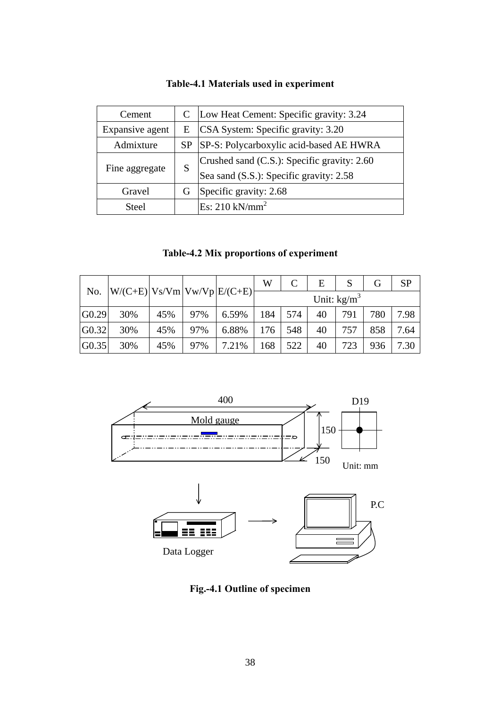| Cement          |     | Low Heat Cement: Specific gravity: 3.24                                                |
|-----------------|-----|----------------------------------------------------------------------------------------|
| Expansive agent | E   | CSA System: Specific gravity: 3.20                                                     |
| Admixture       | SP. | SP-S: Polycarboxylic acid-based AE HWRA                                                |
|                 |     |                                                                                        |
| Fine aggregate  |     | Crushed sand (C.S.): Specific gravity: 2.60<br>Sea sand (S.S.): Specific gravity: 2.58 |
| Gravel          | G   | Specific gravity: 2.68                                                                 |
| Steel           |     | Es: 210 kN/mm <sup>2</sup>                                                             |

# **Table-4.1 Materials used in experiment**

**Table-4.2 Mix proportions of experiment** 

| No.                 |     | $ W/(C+E) Vs/Vm Vw/Vp E/(C+E) $ |     |       | W   | $\mathsf{C}$ | E  | S              | G   | <b>SP</b> |
|---------------------|-----|---------------------------------|-----|-------|-----|--------------|----|----------------|-----|-----------|
|                     |     |                                 |     |       |     |              |    | Unit: $kg/m^3$ |     |           |
| $G$ <sub>0.29</sub> | 30% | 45%                             | 97% | 6.59% | 184 | 574          | 40 | 791            | 780 | 7.98      |
| $G$ <sub>0.32</sub> | 30% | 45%                             | 97% | 6.88% | 176 | 548          | 40 | 757            | 858 | 7.64      |
| G(0.35)             | 30% | 45%                             | 97% | 7.21% | 168 | 522          | 40 | 723            | 936 | 7.30      |



**Fig.-4.1 Outline of specimen**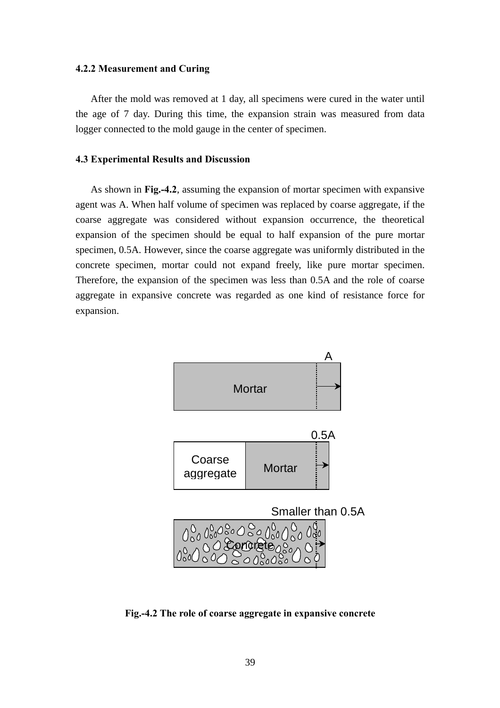### **4.2.2 Measurement and Curing**

After the mold was removed at 1 day, all specimens were cured in the water until the age of 7 day. During this time, the expansion strain was measured from data logger connected to the mold gauge in the center of specimen.

### **4.3 Experimental Results and Discussion**

As shown in **Fig.-4.2**, assuming the expansion of mortar specimen with expansive agent was A. When half volume of specimen was replaced by coarse aggregate, if the coarse aggregate was considered without expansion occurrence, the theoretical expansion of the specimen should be equal to half expansion of the pure mortar specimen, 0.5A. However, since the coarse aggregate was uniformly distributed in the concrete specimen, mortar could not expand freely, like pure mortar specimen. Therefore, the expansion of the specimen was less than 0.5A and the role of coarse aggregate in expansive concrete was regarded as one kind of resistance force for expansion.



**Fig.-4.2 The role of coarse aggregate in expansive concrete**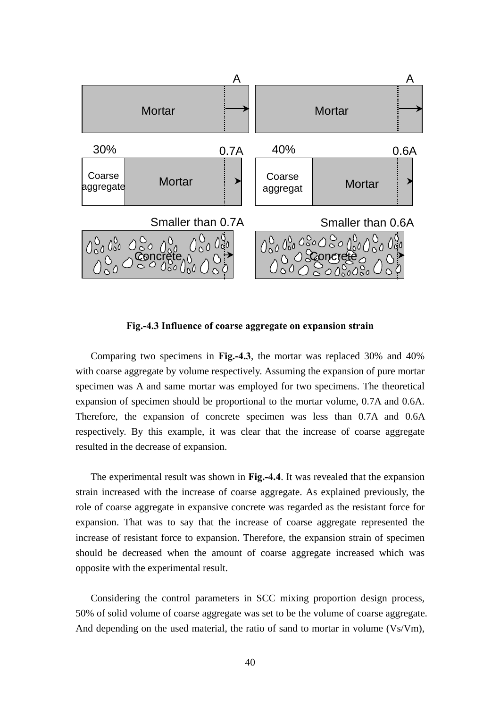

**Fig.-4.3 Influence of coarse aggregate on expansion strain**

Comparing two specimens in **Fig.-4.3**, the mortar was replaced 30% and 40% with coarse aggregate by volume respectively. Assuming the expansion of pure mortar specimen was A and same mortar was employed for two specimens. The theoretical expansion of specimen should be proportional to the mortar volume, 0.7A and 0.6A. Therefore, the expansion of concrete specimen was less than 0.7A and 0.6A respectively. By this example, it was clear that the increase of coarse aggregate resulted in the decrease of expansion.

The experimental result was shown in **Fig.-4.4**. It was revealed that the expansion strain increased with the increase of coarse aggregate. As explained previously, the role of coarse aggregate in expansive concrete was regarded as the resistant force for expansion. That was to say that the increase of coarse aggregate represented the increase of resistant force to expansion. Therefore, the expansion strain of specimen should be decreased when the amount of coarse aggregate increased which was opposite with the experimental result.

Considering the control parameters in SCC mixing proportion design process, 50% of solid volume of coarse aggregate was set to be the volume of coarse aggregate. And depending on the used material, the ratio of sand to mortar in volume (Vs/Vm),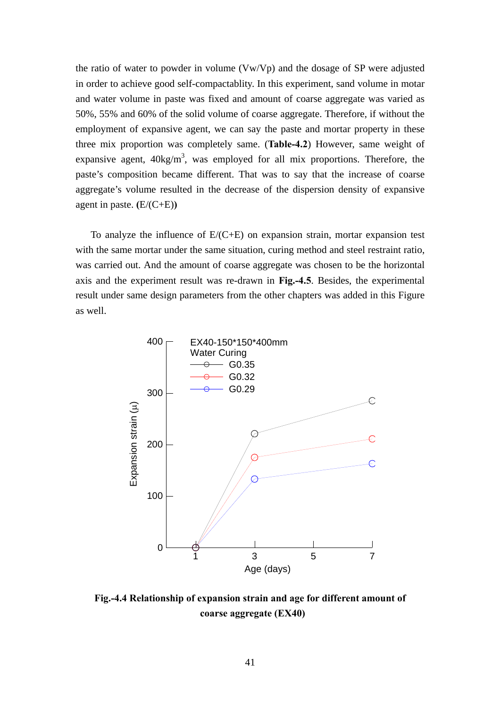the ratio of water to powder in volume (Vw/Vp) and the dosage of SP were adjusted in order to achieve good self-compactablity. In this experiment, sand volume in motar and water volume in paste was fixed and amount of coarse aggregate was varied as 50%, 55% and 60% of the solid volume of coarse aggregate. Therefore, if without the employment of expansive agent, we can say the paste and mortar property in these three mix proportion was completely same. (**Table-4.2**) However, same weight of expansive agent,  $40 \text{kg/m}^3$ , was employed for all mix proportions. Therefore, the paste's composition became different. That was to say that the increase of coarse aggregate's volume resulted in the decrease of the dispersion density of expansive agent in paste. **(**E/(C+E)**)**

To analyze the influence of E/(C+E) on expansion strain, mortar expansion test with the same mortar under the same situation, curing method and steel restraint ratio, was carried out. And the amount of coarse aggregate was chosen to be the horizontal axis and the experiment result was re-drawn in **Fig.-4.5**. Besides, the experimental result under same design parameters from the other chapters was added in this Figure as well.



**Fig.-4.4 Relationship of expansion strain and age for different amount of coarse aggregate (EX40)**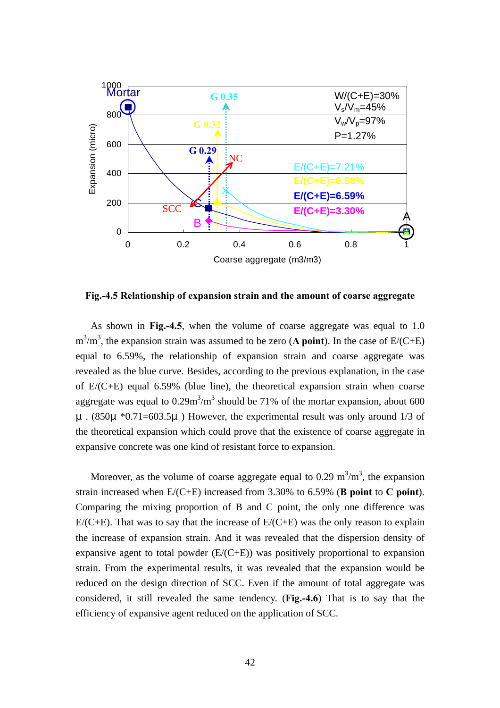

**Fig.-4.5 Relationship of expansion strain and the amount of coarse aggregate** 

As shown in **Fig.-4.5**, when the volume of coarse aggregate was equal to 1.0  $m^3/m^3$ , the expansion strain was assumed to be zero (**A point**). In the case of  $E/(C+E)$ equal to 6.59%, the relationship of expansion strain and coarse aggregate was revealed as the blue curve. Besides, according to the previous explanation, in the case of  $E/(C+E)$  equal 6.59% (blue line), the theoretical expansion strain when coarse aggregate was equal to  $0.29 \text{m}^3/\text{m}^3$  should be 71% of the mortar expansion, about 600 μ. (850μ \*0.71=603.5μ) However, the experimental result was only around 1/3 of the theoretical expansion which could prove that the existence of coarse aggregate in expansive concrete was one kind of resistant force to expansion.

Moreover, as the volume of coarse aggregate equal to 0.29  $m^3/m^3$ , the expansion strain increased when E/(C+E) increased from 3.30% to 6.59% (**B point** to **C point**). Comparing the mixing proportion of B and C point, the only one difference was  $E/(C+E)$ . That was to say that the increase of  $E/(C+E)$  was the only reason to explain the increase of expansion strain. And it was revealed that the dispersion density of expansive agent to total powder (E/(C+E)) was positively proportional to expansion strain. From the experimental results, it was revealed that the expansion would be reduced on the design direction of SCC. Even if the amount of total aggregate was considered, it still revealed the same tendency. (**Fig.-4.6**) That is to say that the efficiency of expansive agent reduced on the application of SCC.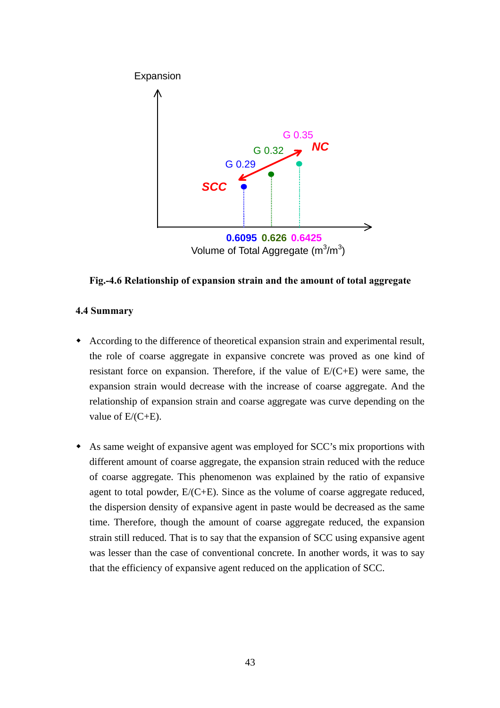

### **Fig.-4.6 Relationship of expansion strain and the amount of total aggregate**

### **4.4 Summary**

- According to the difference of theoretical expansion strain and experimental result, the role of coarse aggregate in expansive concrete was proved as one kind of resistant force on expansion. Therefore, if the value of E/(C+E) were same, the expansion strain would decrease with the increase of coarse aggregate. And the relationship of expansion strain and coarse aggregate was curve depending on the value of E/(C+E).
- As same weight of expansive agent was employed for SCC's mix proportions with different amount of coarse aggregate, the expansion strain reduced with the reduce of coarse aggregate. This phenomenon was explained by the ratio of expansive agent to total powder, E/(C+E). Since as the volume of coarse aggregate reduced, the dispersion density of expansive agent in paste would be decreased as the same time. Therefore, though the amount of coarse aggregate reduced, the expansion strain still reduced. That is to say that the expansion of SCC using expansive agent was lesser than the case of conventional concrete. In another words, it was to say that the efficiency of expansive agent reduced on the application of SCC.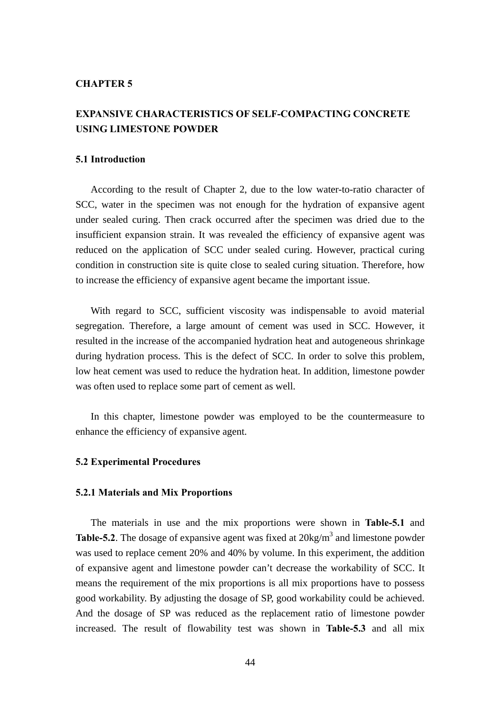### **CHAPTER 5**

# **EXPANSIVE CHARACTERISTICS OF SELF-COMPACTING CONCRETE USING LIMESTONE POWDER**

### **5.1 Introduction**

According to the result of Chapter 2, due to the low water-to-ratio character of SCC, water in the specimen was not enough for the hydration of expansive agent under sealed curing. Then crack occurred after the specimen was dried due to the insufficient expansion strain. It was revealed the efficiency of expansive agent was reduced on the application of SCC under sealed curing. However, practical curing condition in construction site is quite close to sealed curing situation. Therefore, how to increase the efficiency of expansive agent became the important issue.

With regard to SCC, sufficient viscosity was indispensable to avoid material segregation. Therefore, a large amount of cement was used in SCC. However, it resulted in the increase of the accompanied hydration heat and autogeneous shrinkage during hydration process. This is the defect of SCC. In order to solve this problem, low heat cement was used to reduce the hydration heat. In addition, limestone powder was often used to replace some part of cement as well.

In this chapter, limestone powder was employed to be the countermeasure to enhance the efficiency of expansive agent.

#### **5.2 Experimental Procedures**

### **5.2.1 Materials and Mix Proportions**

The materials in use and the mix proportions were shown in **Table-5.1** and **Table-5.2**. The dosage of expansive agent was fixed at  $20 \text{kg/m}^3$  and limestone powder was used to replace cement 20% and 40% by volume. In this experiment, the addition of expansive agent and limestone powder can't decrease the workability of SCC. It means the requirement of the mix proportions is all mix proportions have to possess good workability. By adjusting the dosage of SP, good workability could be achieved. And the dosage of SP was reduced as the replacement ratio of limestone powder increased. The result of flowability test was shown in **Table-5.3** and all mix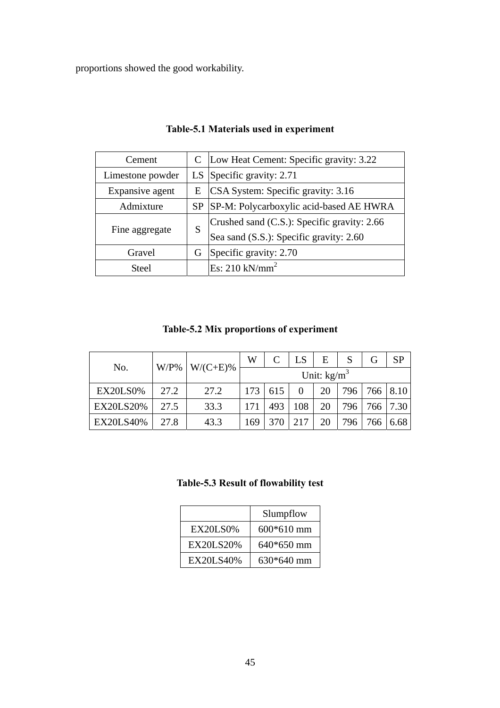proportions showed the good workability.

| Cement           |   | C Low Heat Cement: Specific gravity: 3.22                                              |
|------------------|---|----------------------------------------------------------------------------------------|
| Limestone powder |   | LS Specific gravity: 2.71                                                              |
| Expansive agent  | E | CSA System: Specific gravity: 3.16                                                     |
| Admixture        |   | SP SP-M: Polycarboxylic acid-based AE HWRA                                             |
|                  |   |                                                                                        |
| Fine aggregate   |   | Crushed sand (C.S.): Specific gravity: 2.66<br>Sea sand (S.S.): Specific gravity: 2.60 |
| Gravel           | G | Specific gravity: 2.70                                                                 |
| Steel            |   | Es: 210 kN/mm <sup>2</sup>                                                             |

# **Table-5.1 Materials used in experiment**

# **Table-5.2 Mix proportions of experiment**

|                  | $W/(C+E)\%$ | W    |     | LS                    | Ε   | S  | G   | <b>SP</b> |          |
|------------------|-------------|------|-----|-----------------------|-----|----|-----|-----------|----------|
| No.              | $W/P\%$     |      |     | Unit: $\text{kg/m}^3$ |     |    |     |           |          |
| <b>EX20LS0%</b>  | 27.2        | 27.2 | 173 | 615                   |     | 20 | 796 |           | 766 8.10 |
| <b>EX20LS20%</b> | 27.5        | 33.3 | 171 | 493                   | 108 | 20 | 796 | 766       | 7.30.    |
| <b>EX20LS40%</b> | 27.8        | 43.3 | 169 |                       | 217 | 20 | 796 | 766       | 6.68     |

**Table-5.3 Result of flowability test** 

|                  | Slumpflow    |
|------------------|--------------|
| EX20LS0%         | $600*610$ mm |
| <b>EX20LS20%</b> | $640*650$ mm |
| <b>EX20LS40%</b> | $630*640$ mm |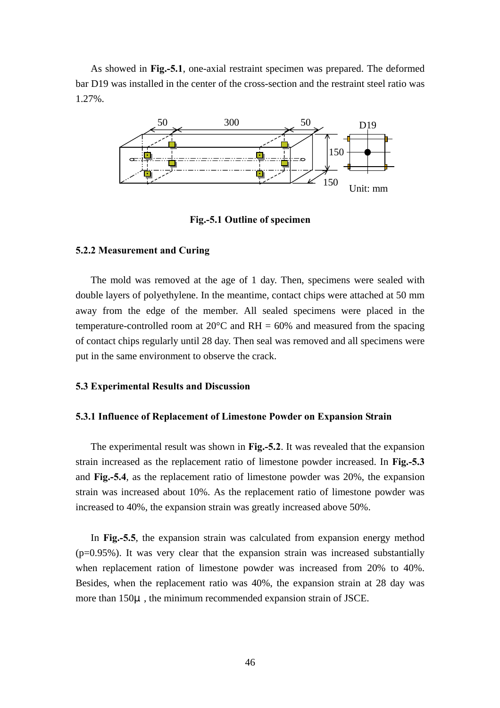As showed in **Fig.-5.1**, one-axial restraint specimen was prepared. The deformed bar D19 was installed in the center of the cross-section and the restraint steel ratio was 1.27%.



**Fig.-5.1 Outline of specimen** 

#### **5.2.2 Measurement and Curing**

The mold was removed at the age of 1 day. Then, specimens were sealed with double layers of polyethylene. In the meantime, contact chips were attached at 50 mm away from the edge of the member. All sealed specimens were placed in the temperature-controlled room at  $20^{\circ}$ C and RH = 60% and measured from the spacing of contact chips regularly until 28 day. Then seal was removed and all specimens were put in the same environment to observe the crack.

### **5.3 Experimental Results and Discussion**

### **5.3.1 Influence of Replacement of Limestone Powder on Expansion Strain**

The experimental result was shown in **Fig.-5.2**. It was revealed that the expansion strain increased as the replacement ratio of limestone powder increased. In **Fig.-5.3** and **Fig.-5.4**, as the replacement ratio of limestone powder was 20%, the expansion strain was increased about 10%. As the replacement ratio of limestone powder was increased to 40%, the expansion strain was greatly increased above 50%.

In **Fig.-5.5**, the expansion strain was calculated from expansion energy method (p=0.95%). It was very clear that the expansion strain was increased substantially when replacement ration of limestone powder was increased from 20% to 40%. Besides, when the replacement ratio was 40%, the expansion strain at 28 day was more than 150μ, the minimum recommended expansion strain of JSCE.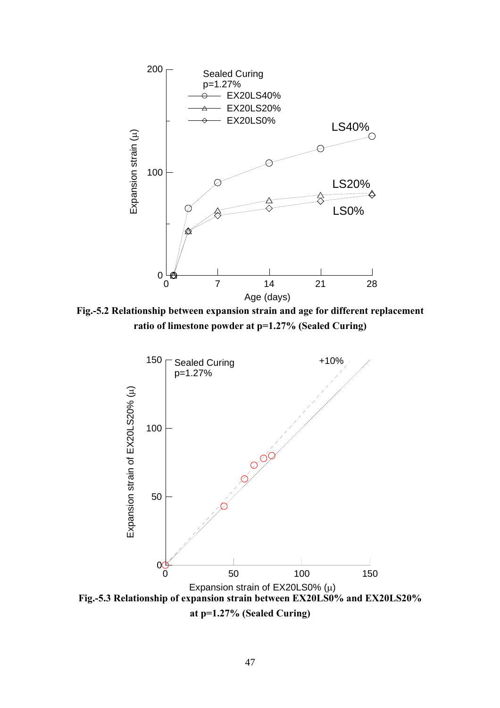

**Fig.-5.2 Relationship between expansion strain and age for different replacement ratio of limestone powder at p=1.27% (Sealed Curing)** 



**at p=1.27% (Sealed Curing)**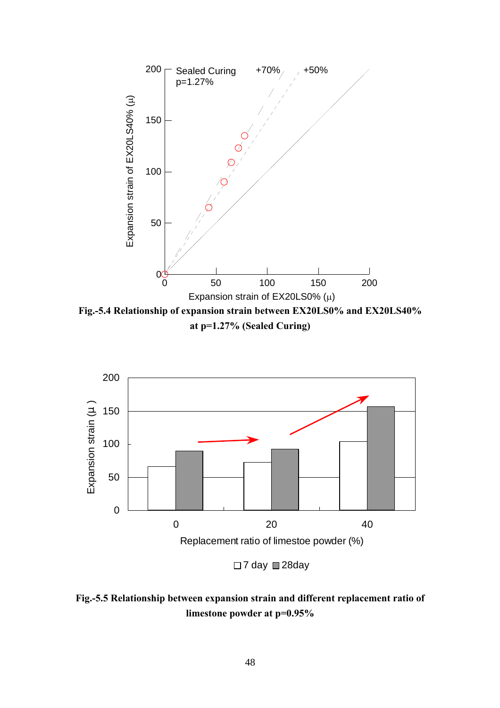

**at p=1.27% (Sealed Curing)** 



**Fig.-5.5 Relationship between expansion strain and different replacement ratio of limestone powder at p=0.95%**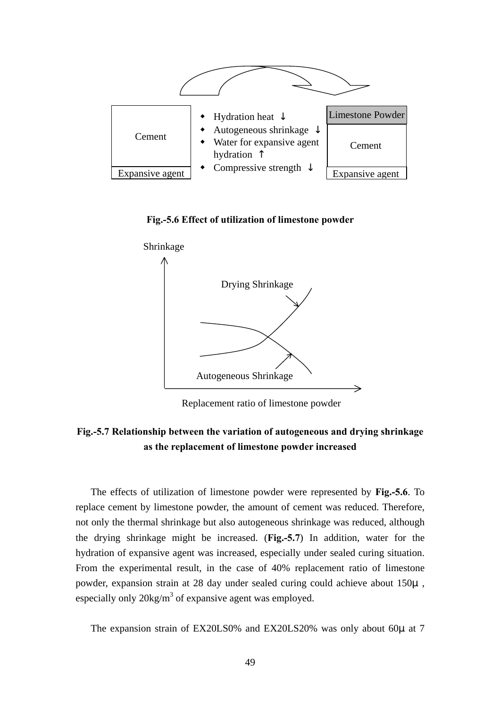

**Fig.-5.6 Effect of utilization of limestone powder** 



Replacement ratio of limestone powder

# **Fig.-5.7 Relationship between the variation of autogeneous and drying shrinkage as the replacement of limestone powder increased**

The effects of utilization of limestone powder were represented by **Fig.-5.6**. To replace cement by limestone powder, the amount of cement was reduced. Therefore, not only the thermal shrinkage but also autogeneous shrinkage was reduced, although the drying shrinkage might be increased. (**Fig.-5.7**) In addition, water for the hydration of expansive agent was increased, especially under sealed curing situation. From the experimental result, in the case of 40% replacement ratio of limestone powder, expansion strain at 28 day under sealed curing could achieve about 150μ, especially only  $20 \text{kg/m}^3$  of expansive agent was employed.

The expansion strain of EX20LS0% and EX20LS20% was only about 60μat 7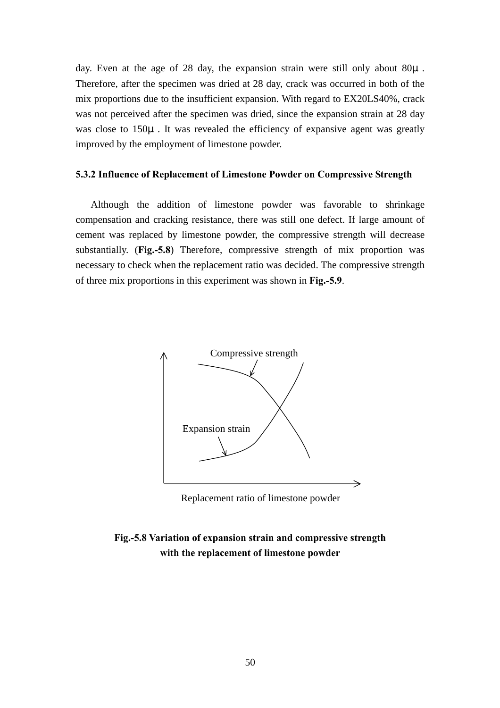day. Even at the age of 28 day, the expansion strain were still only about  $80\mu$ . Therefore, after the specimen was dried at 28 day, crack was occurred in both of the mix proportions due to the insufficient expansion. With regard to EX20LS40%, crack was not perceived after the specimen was dried, since the expansion strain at 28 day was close to 150μ. It was revealed the efficiency of expansive agent was greatly improved by the employment of limestone powder.

### **5.3.2 Influence of Replacement of Limestone Powder on Compressive Strength**

Although the addition of limestone powder was favorable to shrinkage compensation and cracking resistance, there was still one defect. If large amount of cement was replaced by limestone powder, the compressive strength will decrease substantially. (**Fig.-5.8**) Therefore, compressive strength of mix proportion was necessary to check when the replacement ratio was decided. The compressive strength of three mix proportions in this experiment was shown in **Fig.-5.9**.



Replacement ratio of limestone powder

# **Fig.-5.8 Variation of expansion strain and compressive strength with the replacement of limestone powder**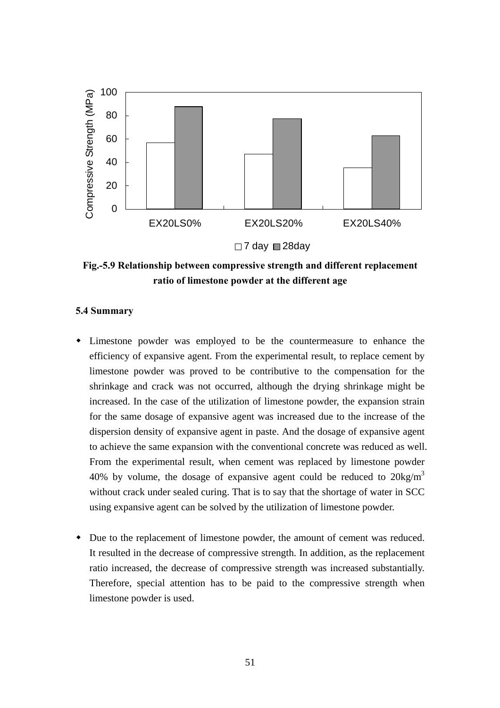

**Fig.-5.9 Relationship between compressive strength and different replacement ratio of limestone powder at the different age** 

### **5.4 Summary**

- Limestone powder was employed to be the countermeasure to enhance the efficiency of expansive agent. From the experimental result, to replace cement by limestone powder was proved to be contributive to the compensation for the shrinkage and crack was not occurred, although the drying shrinkage might be increased. In the case of the utilization of limestone powder, the expansion strain for the same dosage of expansive agent was increased due to the increase of the dispersion density of expansive agent in paste. And the dosage of expansive agent to achieve the same expansion with the conventional concrete was reduced as well. From the experimental result, when cement was replaced by limestone powder 40% by volume, the dosage of expansive agent could be reduced to  $20\text{kg/m}^3$ without crack under sealed curing. That is to say that the shortage of water in SCC using expansive agent can be solved by the utilization of limestone powder. (a)  $\frac{100}{25}$  80<br>  $\frac{20}{30}$  60<br>  $\frac{20}{30}$  60<br>  $\frac{20}{20}$  EX20LS09<br>
Fig.-5.9 Relationship between tratio of line<br>  $\frac{40}{20}$  EX20LS09<br>
Fig.-5.9 Relationship between tratio of line<br>  $\frac{40}{20}$  EX20LS09<br>
Fig.-5.9 R
- Due to the replacement of limestone powder, the amount of cement was reduced. It resulted in the decrease of compressive strength. In addition, as the replacement ratio increased, the decrease of compressive strength was increased substantially. Therefore, special attention has to be paid to the compressive strength when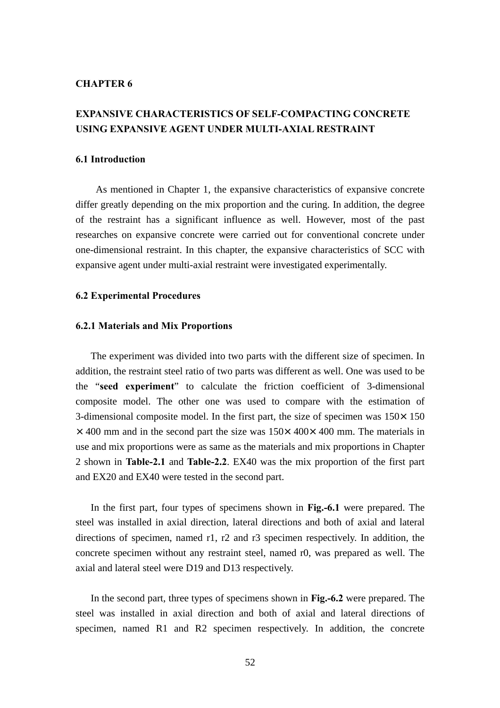### **CHAPTER 6**

# **EXPANSIVE CHARACTERISTICS OF SELF-COMPACTING CONCRETE USING EXPANSIVE AGENT UNDER MULTI-AXIAL RESTRAINT**

### **6.1 Introduction**

As mentioned in Chapter 1, the expansive characteristics of expansive concrete differ greatly depending on the mix proportion and the curing. In addition, the degree of the restraint has a significant influence as well. However, most of the past researches on expansive concrete were carried out for conventional concrete under one-dimensional restraint. In this chapter, the expansive characteristics of SCC with expansive agent under multi-axial restraint were investigated experimentally.

### **6.2 Experimental Procedures**

#### **6.2.1 Materials and Mix Proportions**

The experiment was divided into two parts with the different size of specimen. In addition, the restraint steel ratio of two parts was different as well. One was used to be the "**seed experiment**" to calculate the friction coefficient of 3-dimensional composite model. The other one was used to compare with the estimation of 3-dimensional composite model. In the first part, the size of specimen was  $150 \times 150$  $\times$  400 mm and in the second part the size was 150 $\times$  400 $\times$  400 mm. The materials in use and mix proportions were as same as the materials and mix proportions in Chapter 2 shown in **Table-2.1** and **Table-2.2**. EX40 was the mix proportion of the first part and EX20 and EX40 were tested in the second part.

In the first part, four types of specimens shown in **Fig.-6.1** were prepared. The steel was installed in axial direction, lateral directions and both of axial and lateral directions of specimen, named r1, r2 and r3 specimen respectively. In addition, the concrete specimen without any restraint steel, named r0, was prepared as well. The axial and lateral steel were D19 and D13 respectively.

In the second part, three types of specimens shown in **Fig.-6.2** were prepared. The steel was installed in axial direction and both of axial and lateral directions of specimen, named R1 and R2 specimen respectively. In addition, the concrete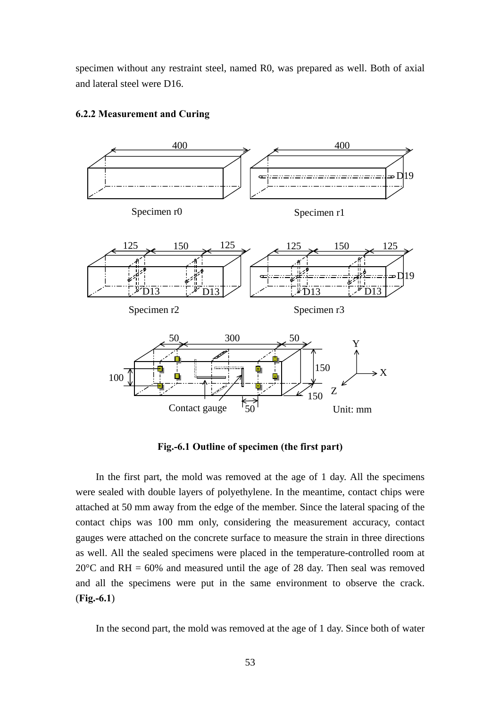specimen without any restraint steel, named R0, was prepared as well. Both of axial and lateral steel were D16.



## **6.2.2 Measurement and Curing**

**Fig.-6.1 Outline of specimen (the first part)** 

In the first part, the mold was removed at the age of 1 day. All the specimens were sealed with double layers of polyethylene. In the meantime, contact chips were attached at 50 mm away from the edge of the member. Since the lateral spacing of the contact chips was 100 mm only, considering the measurement accuracy, contact gauges were attached on the concrete surface to measure the strain in three directions as well. All the sealed specimens were placed in the temperature-controlled room at  $20^{\circ}$ C and RH = 60% and measured until the age of 28 day. Then seal was removed and all the specimens were put in the same environment to observe the crack. (**Fig.-6.1**)

In the second part, the mold was removed at the age of 1 day. Since both of water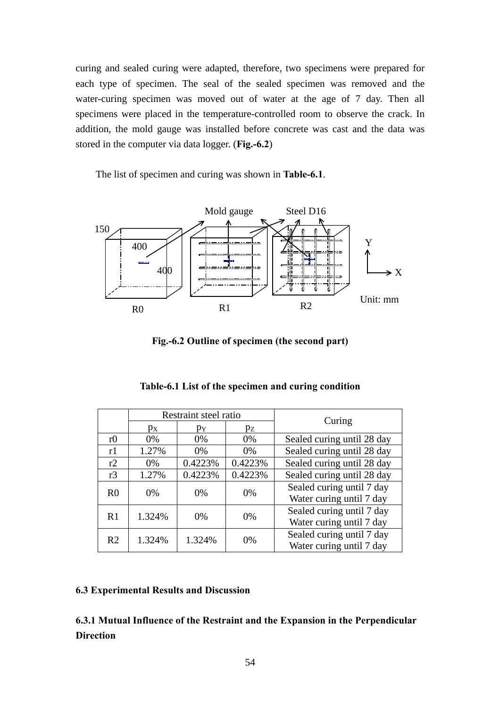curing and sealed curing were adapted, therefore, two specimens were prepared for each type of specimen. The seal of the sealed specimen was removed and the water-curing specimen was moved out of water at the age of 7 day. Then all specimens were placed in the temperature-controlled room to observe the crack. In addition, the mold gauge was installed before concrete was cast and the data was stored in the computer via data logger. (**Fig.-6.2**)

The list of specimen and curing was shown in **Table-6.1**.



**Fig.-6.2 Outline of specimen (the second part)** 

|  |  |  | Table-6.1 List of the specimen and curing condition |
|--|--|--|-----------------------------------------------------|
|  |  |  |                                                     |

|                |        | Restraint steel ratio |         | Curing                     |  |
|----------------|--------|-----------------------|---------|----------------------------|--|
|                | $p_X$  | pу                    | Dz.     |                            |  |
| r0             | 0%     | 0%                    | 0%      | Sealed curing until 28 day |  |
| r1             | 1.27%  | $0\%$                 | 0%      | Sealed curing until 28 day |  |
| r2             | 0%     | 0.4223%               | 0.4223% | Sealed curing until 28 day |  |
| r3             | 1.27%  | 0.4223%               | 0.4223% | Sealed curing until 28 day |  |
| R <sub>0</sub> | 0%     | 0%                    | 0%      | Sealed curing until 7 day  |  |
|                |        |                       |         | Water curing until 7 day   |  |
| R <sub>1</sub> | 1.324% | 0%<br>$0\%$           |         | Sealed curing until 7 day  |  |
|                |        |                       |         | Water curing until 7 day   |  |
| R <sub>2</sub> | 1.324% | 1.324%                | 0%      | Sealed curing until 7 day  |  |
|                |        |                       |         | Water curing until 7 day   |  |

# **6.3 Experimental Results and Discussion**

**6.3.1 Mutual Influence of the Restraint and the Expansion in the Perpendicular Direction**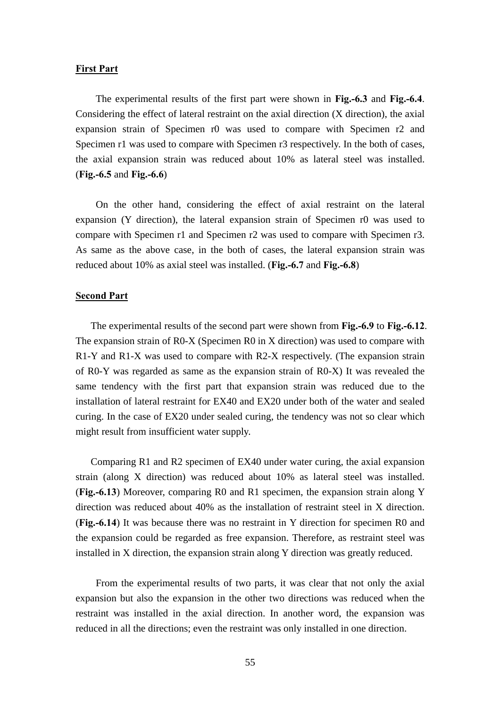## **First Part**

The experimental results of the first part were shown in **Fig.-6.3** and **Fig.-6.4**. Considering the effect of lateral restraint on the axial direction (X direction), the axial expansion strain of Specimen r0 was used to compare with Specimen r2 and Specimen r1 was used to compare with Specimen r3 respectively. In the both of cases, the axial expansion strain was reduced about 10% as lateral steel was installed. (**Fig.-6.5** and **Fig.-6.6**)

On the other hand, considering the effect of axial restraint on the lateral expansion (Y direction), the lateral expansion strain of Specimen r0 was used to compare with Specimen r1 and Specimen r2 was used to compare with Specimen r3. As same as the above case, in the both of cases, the lateral expansion strain was reduced about 10% as axial steel was installed. (**Fig.-6.7** and **Fig.-6.8**)

## **Second Part**

The experimental results of the second part were shown from **Fig.-6.9** to **Fig.-6.12**. The expansion strain of R0-X (Specimen R0 in X direction) was used to compare with R1-Y and R1-X was used to compare with R2-X respectively. (The expansion strain of R0-Y was regarded as same as the expansion strain of R0-X) It was revealed the same tendency with the first part that expansion strain was reduced due to the installation of lateral restraint for EX40 and EX20 under both of the water and sealed curing. In the case of EX20 under sealed curing, the tendency was not so clear which might result from insufficient water supply.

Comparing R1 and R2 specimen of EX40 under water curing, the axial expansion strain (along X direction) was reduced about 10% as lateral steel was installed. (**Fig.-6.13**) Moreover, comparing R0 and R1 specimen, the expansion strain along Y direction was reduced about 40% as the installation of restraint steel in X direction. (**Fig.-6.14**) It was because there was no restraint in Y direction for specimen R0 and the expansion could be regarded as free expansion. Therefore, as restraint steel was installed in X direction, the expansion strain along Y direction was greatly reduced.

From the experimental results of two parts, it was clear that not only the axial expansion but also the expansion in the other two directions was reduced when the restraint was installed in the axial direction. In another word, the expansion was reduced in all the directions; even the restraint was only installed in one direction.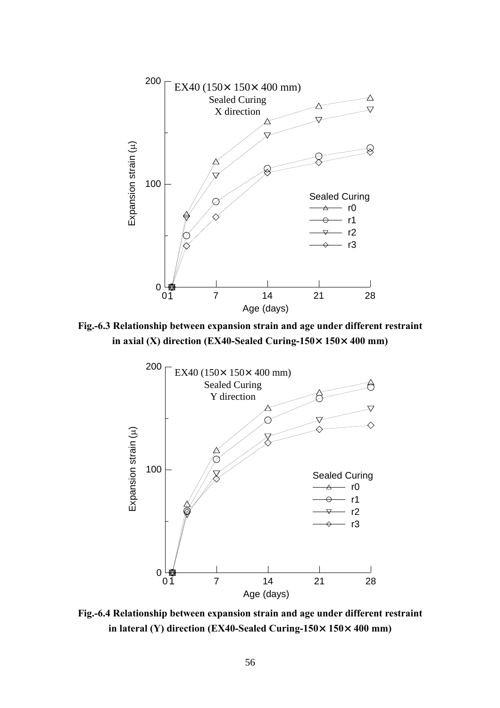

**Fig.-6.3 Relationship between expansion strain and age under different restraint in axial (X) direction (EX40-Sealed Curing-150**×**150**×**400 mm)** 



**Fig.-6.4 Relationship between expansion strain and age under different restraint in lateral (Y) direction (EX40-Sealed Curing-150**×**150**×**400 mm)**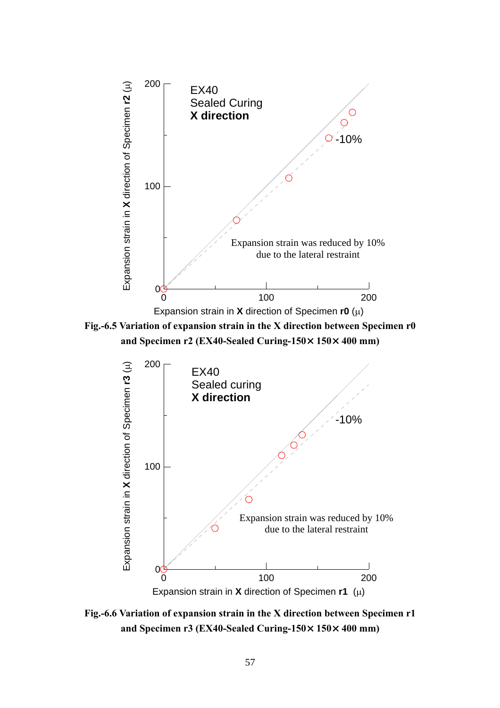

**Fig.-6.5 Variation of expansion strain in the X direction between Specimen r0 and Specimen r2 (EX40-Sealed Curing-150**×**150**×**400 mm)**



**Fig.-6.6 Variation of expansion strain in the X direction between Specimen r1 and Specimen r3 (EX40-Sealed Curing-150**×**150**×**400 mm)**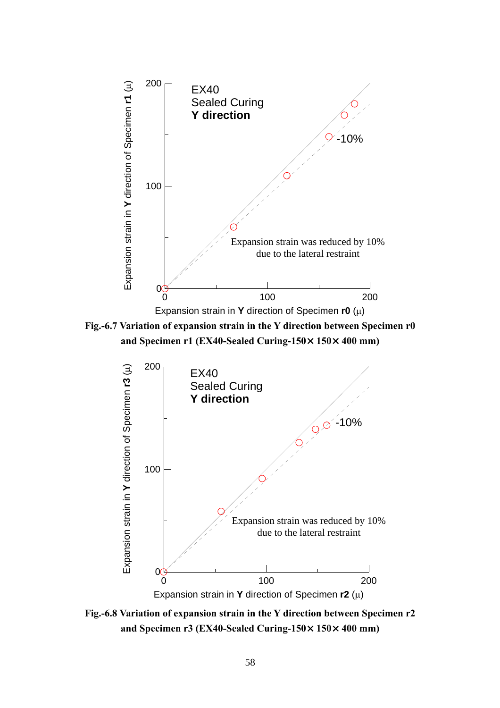

**Fig.-6.7 Variation of expansion strain in the Y direction between Specimen r0 and Specimen r1 (EX40-Sealed Curing-150**×**150**×**400 mm)**



**Fig.-6.8 Variation of expansion strain in the Y direction between Specimen r2 and Specimen r3 (EX40-Sealed Curing-150**×**150**×**400 mm)**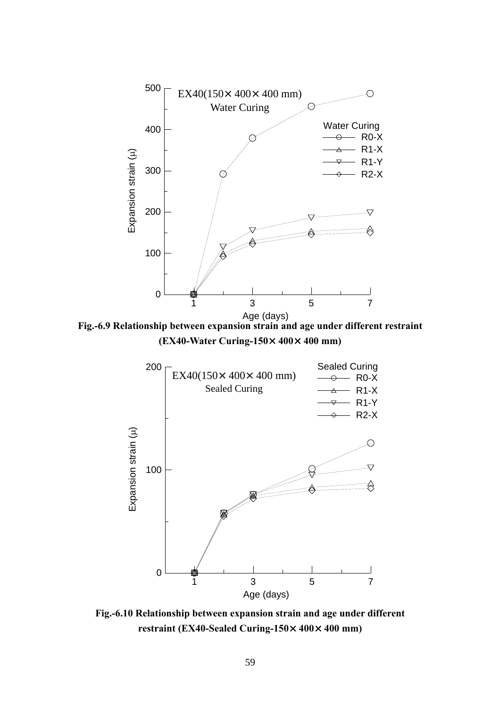

**Fig.-6.9 Relationship between expansion strain and age under different restraint (EX40-Water Curing-150**×**400**×**400 mm)** 



**Fig.-6.10 Relationship between expansion strain and age under different restraint (EX40-Sealed Curing-150**×**400**×**400 mm)**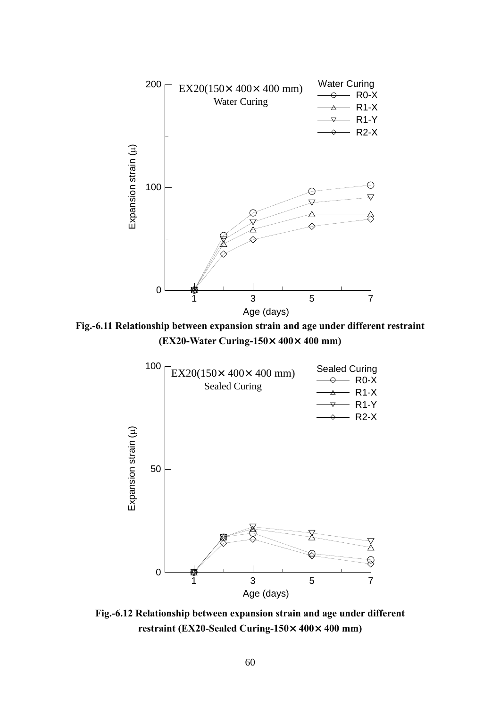

**Fig.-6.11 Relationship between expansion strain and age under different restraint (EX20-Water Curing-150**×**400**×**400 mm)** 



**Fig.-6.12 Relationship between expansion strain and age under different restraint (EX20-Sealed Curing-150**×**400**×**400 mm)**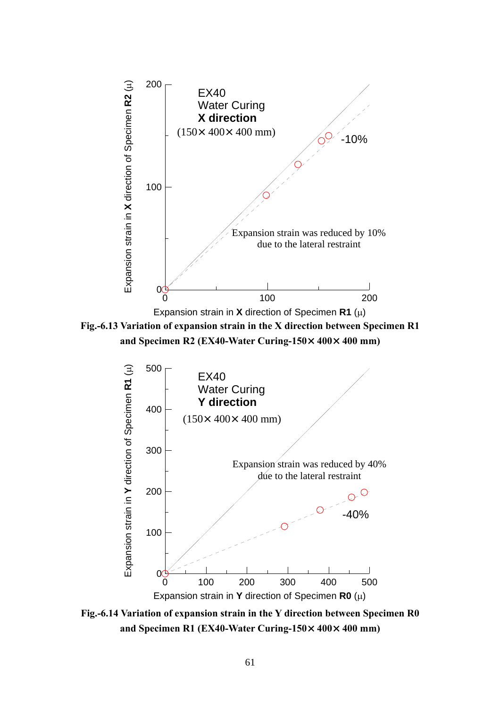

**Fig.-6.13 Variation of expansion strain in the X direction between Specimen R1 and Specimen R2 (EX40-Water Curing-150**×**400**×**400 mm)**



**Fig.-6.14 Variation of expansion strain in the Y direction between Specimen R0 and Specimen R1 (EX40-Water Curing-150**×**400**×**400 mm)**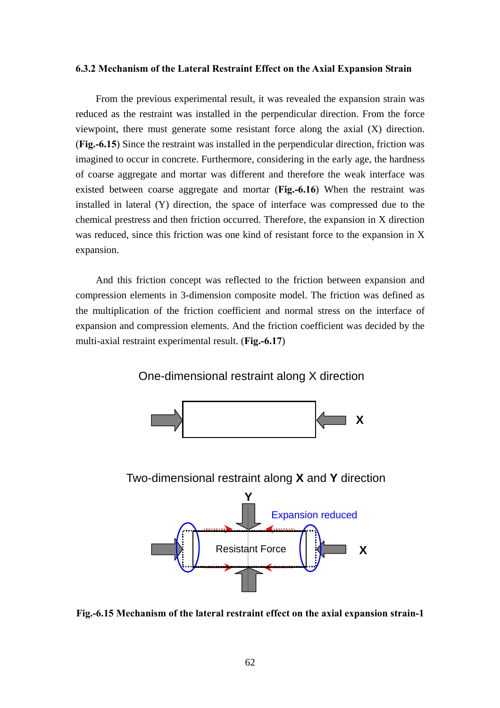## **6.3.2 Mechanism of the Lateral Restraint Effect on the Axial Expansion Strain**

From the previous experimental result, it was revealed the expansion strain was reduced as the restraint was installed in the perpendicular direction. From the force viewpoint, there must generate some resistant force along the axial (X) direction. (**Fig.-6.15**) Since the restraint was installed in the perpendicular direction, friction was imagined to occur in concrete. Furthermore, considering in the early age, the hardness of coarse aggregate and mortar was different and therefore the weak interface was existed between coarse aggregate and mortar (**Fig.-6.16**) When the restraint was installed in lateral (Y) direction, the space of interface was compressed due to the chemical prestress and then friction occurred. Therefore, the expansion in X direction was reduced, since this friction was one kind of resistant force to the expansion in X expansion.

And this friction concept was reflected to the friction between expansion and compression elements in 3-dimension composite model. The friction was defined as the multiplication of the friction coefficient and normal stress on the interface of expansion and compression elements. And the friction coefficient was decided by the multi-axial restraint experimental result. (**Fig.-6.17**)



One-dimensional restraint along X direction

**Fig.-6.15 Mechanism of the lateral restraint effect on the axial expansion strain-1**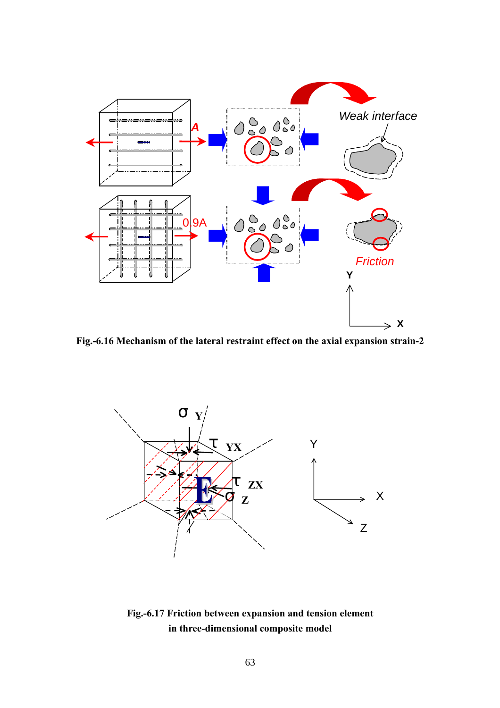

**Fig.-6.16 Mechanism of the lateral restraint effect on the axial expansion strain-2**



**Fig.-6.17 Friction between expansion and tension element in three-dimensional composite model**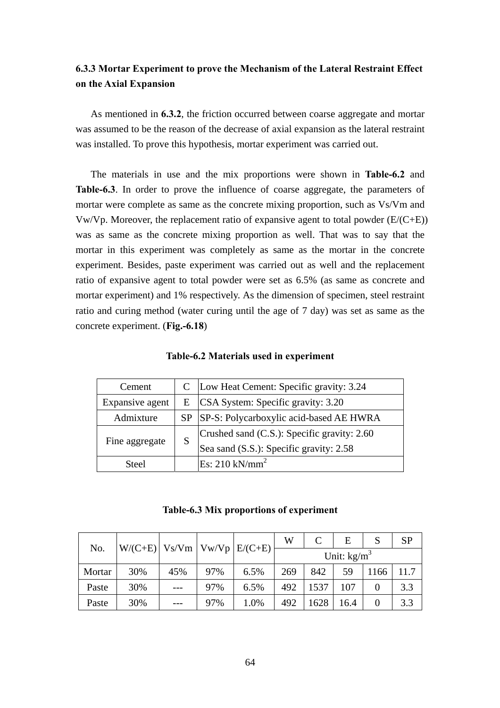# **6.3.3 Mortar Experiment to prove the Mechanism of the Lateral Restraint Effect on the Axial Expansion**

As mentioned in **6.3.2**, the friction occurred between coarse aggregate and mortar was assumed to be the reason of the decrease of axial expansion as the lateral restraint was installed. To prove this hypothesis, mortar experiment was carried out.

The materials in use and the mix proportions were shown in **Table-6.2** and **Table-6.3**. In order to prove the influence of coarse aggregate, the parameters of mortar were complete as same as the concrete mixing proportion, such as Vs/Vm and Vw/Vp. Moreover, the replacement ratio of expansive agent to total powder (E/(C+E)) was as same as the concrete mixing proportion as well. That was to say that the mortar in this experiment was completely as same as the mortar in the concrete experiment. Besides, paste experiment was carried out as well and the replacement ratio of expansive agent to total powder were set as 6.5% (as same as concrete and mortar experiment) and 1% respectively. As the dimension of specimen, steel restraint ratio and curing method (water curing until the age of 7 day) was set as same as the concrete experiment. (**Fig.-6.18**)

| Cement          |  | C   Low Heat Cement: Specific gravity: 3.24 |
|-----------------|--|---------------------------------------------|
| Expansive agent |  | $E$ CSA System: Specific gravity: 3.20      |
| Admixture       |  | SP SP-S: Polycarboxylic acid-based AE HWRA  |
|                 |  | Crushed sand (C.S.): Specific gravity: 2.60 |
| Fine aggregate  |  | Sea sand (S.S.): Specific gravity: 2.58     |
| Steel           |  | $\text{Es: } 210 \text{ kN/mm}^2$           |

**Table-6.2 Materials used in experiment** 

|  |  |  |  |  |  |  | Table-6.3 Mix proportions of experiment |
|--|--|--|--|--|--|--|-----------------------------------------|
|--|--|--|--|--|--|--|-----------------------------------------|

| No.    |     |     |     | $ W/(C+E) $ Vs/Vm $ Vw/Vp E/(C+E)$ | W                     | $\mathcal{C}$ | E    |      | <b>SP</b> |
|--------|-----|-----|-----|------------------------------------|-----------------------|---------------|------|------|-----------|
|        |     |     |     |                                    | Unit: $\text{kg/m}^3$ |               |      |      |           |
| Mortar | 30% | 45% | 97% | 6.5%                               | 269                   | 842           | 59   | 1166 |           |
| Paste  | 30% |     | 97% | 6.5%                               | 492                   | 1537          | 107  |      | 3.3       |
| Paste  | 30% |     | 97% | 1.0%                               | 492                   | 1628          | 16.4 |      | 3.3       |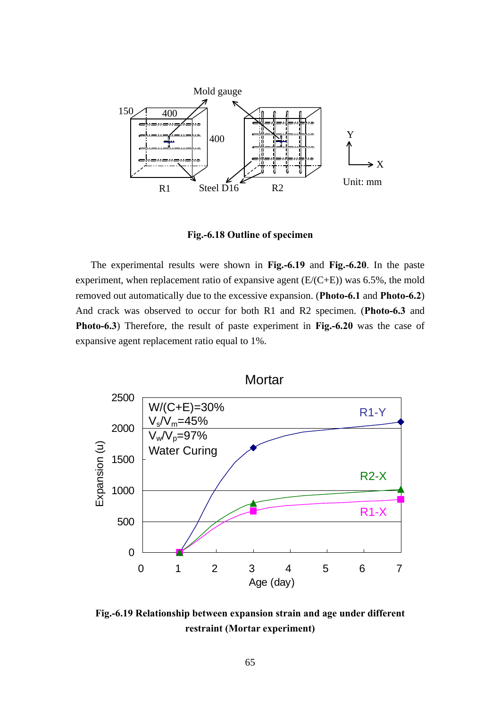

**Fig.-6.18 Outline of specimen**

The experimental results were shown in **Fig.-6.19** and **Fig.-6.20**. In the paste experiment, when replacement ratio of expansive agent  $(E/(C+E))$  was 6.5%, the mold removed out automatically due to the excessive expansion. (**Photo-6.1** and **Photo-6.2**) And crack was observed to occur for both R1 and R2 specimen. (**Photo-6.3** and **Photo-6.3**) Therefore, the result of paste experiment in **Fig.-6.20** was the case of expansive agent replacement ratio equal to 1%.



**Fig.-6.19 Relationship between expansion strain and age under different restraint (Mortar experiment)**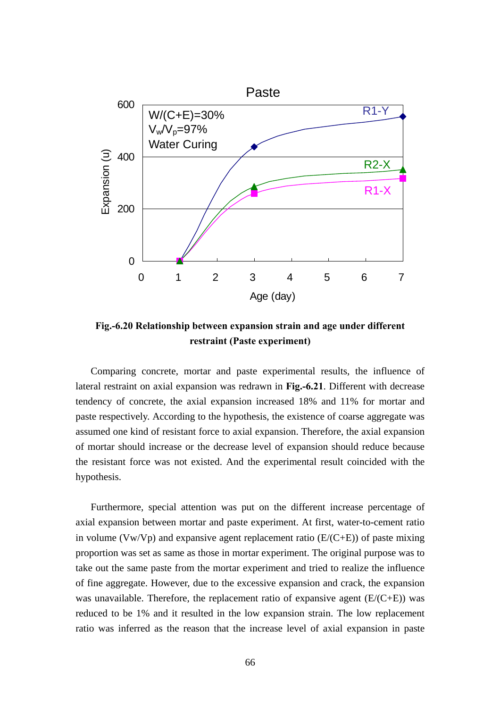

**Fig.-6.20 Relationship between expansion strain and age under different restraint (Paste experiment)**

Comparing concrete, mortar and paste experimental results, the influence of lateral restraint on axial expansion was redrawn in **Fig.-6.21**. Different with decrease tendency of concrete, the axial expansion increased 18% and 11% for mortar and paste respectively. According to the hypothesis, the existence of coarse aggregate was assumed one kind of resistant force to axial expansion. Therefore, the axial expansion of mortar should increase or the decrease level of expansion should reduce because the resistant force was not existed. And the experimental result coincided with the hypothesis.

Furthermore, special attention was put on the different increase percentage of axial expansion between mortar and paste experiment. At first, water-to-cement ratio in volume (Vw/Vp) and expansive agent replacement ratio ( $E/(C+E)$ ) of paste mixing proportion was set as same as those in mortar experiment. The original purpose was to take out the same paste from the mortar experiment and tried to realize the influence of fine aggregate. However, due to the excessive expansion and crack, the expansion was unavailable. Therefore, the replacement ratio of expansive agent  $(E/(C+E))$  was reduced to be 1% and it resulted in the low expansion strain. The low replacement ratio was inferred as the reason that the increase level of axial expansion in paste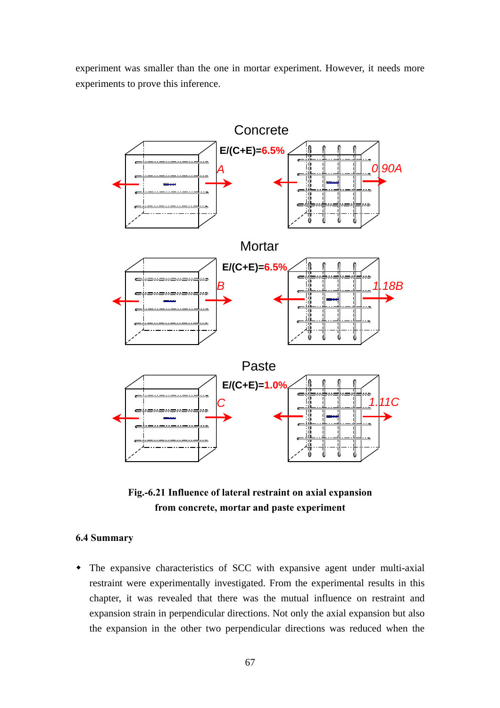experiment was smaller than the one in mortar experiment. However, it needs more experiments to prove this inference.





# **6.4 Summary**

 The expansive characteristics of SCC with expansive agent under multi-axial restraint were experimentally investigated. From the experimental results in this chapter, it was revealed that there was the mutual influence on restraint and expansion strain in perpendicular directions. Not only the axial expansion but also the expansion in the other two perpendicular directions was reduced when the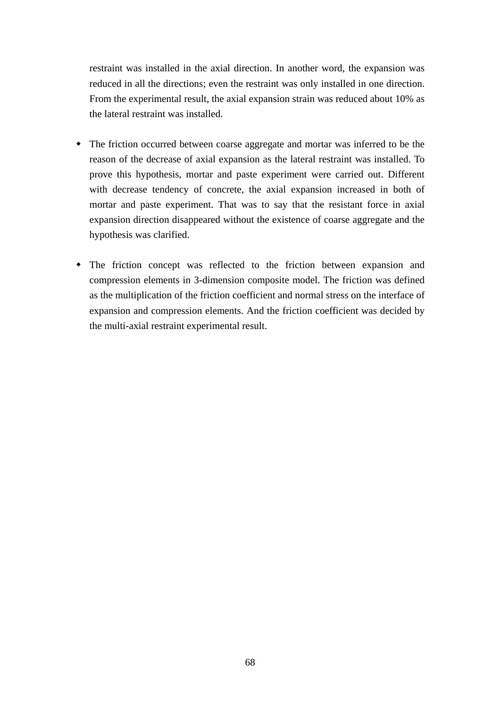restraint was installed in the axial direction. In another word, the expansion was reduced in all the directions; even the restraint was only installed in one direction. From the experimental result, the axial expansion strain was reduced about 10% as the lateral restraint was installed.

- The friction occurred between coarse aggregate and mortar was inferred to be the reason of the decrease of axial expansion as the lateral restraint was installed. To prove this hypothesis, mortar and paste experiment were carried out. Different with decrease tendency of concrete, the axial expansion increased in both of mortar and paste experiment. That was to say that the resistant force in axial expansion direction disappeared without the existence of coarse aggregate and the hypothesis was clarified.
- The friction concept was reflected to the friction between expansion and compression elements in 3-dimension composite model. The friction was defined as the multiplication of the friction coefficient and normal stress on the interface of expansion and compression elements. And the friction coefficient was decided by the multi-axial restraint experimental result.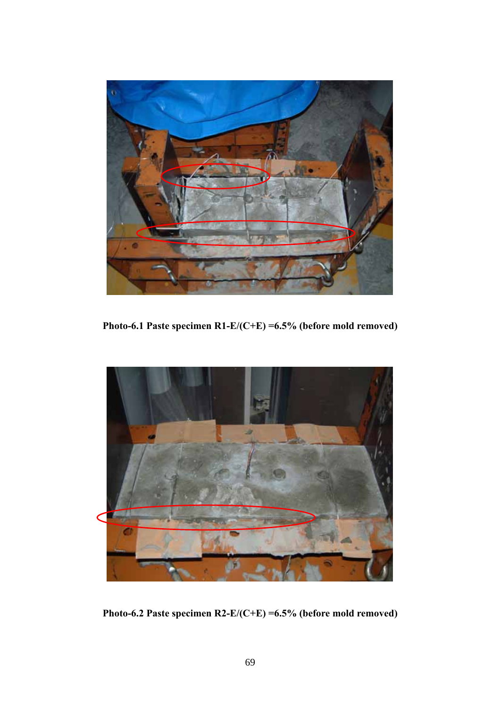

**Photo-6.1 Paste specimen R1-E/(C+E) =6.5% (before mold removed)**



**Photo-6.2 Paste specimen R2-E/(C+E) =6.5% (before mold removed)**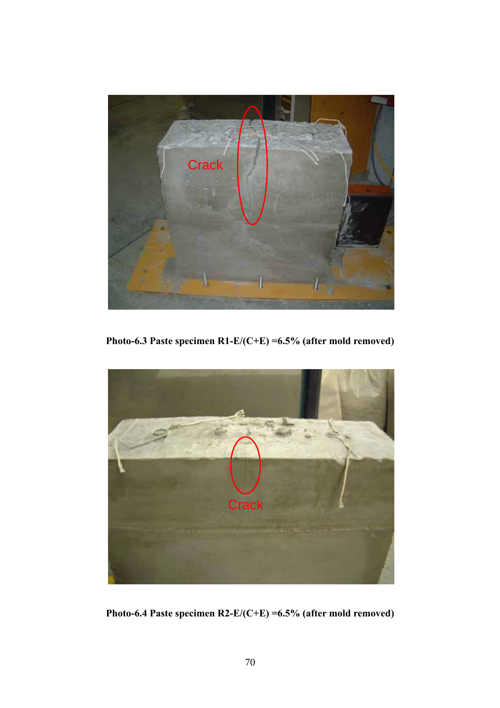

**Photo-6.3 Paste specimen R1-E/(C+E) =6.5% (after mold removed)**



**Photo-6.4 Paste specimen R2-E/(C+E) =6.5% (after mold removed)**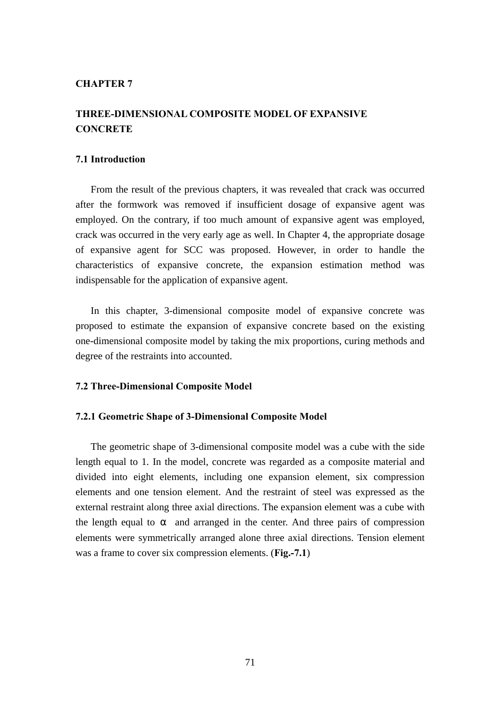## **CHAPTER 7**

# **THREE-DIMENSIONAL COMPOSITE MODEL OF EXPANSIVE CONCRETE**

### **7.1 Introduction**

From the result of the previous chapters, it was revealed that crack was occurred after the formwork was removed if insufficient dosage of expansive agent was employed. On the contrary, if too much amount of expansive agent was employed, crack was occurred in the very early age as well. In Chapter 4, the appropriate dosage of expansive agent for SCC was proposed. However, in order to handle the characteristics of expansive concrete, the expansion estimation method was indispensable for the application of expansive agent.

In this chapter, 3-dimensional composite model of expansive concrete was proposed to estimate the expansion of expansive concrete based on the existing one-dimensional composite model by taking the mix proportions, curing methods and degree of the restraints into accounted.

#### **7.2 Three-Dimensional Composite Model**

### **7.2.1 Geometric Shape of 3-Dimensional Composite Model**

The geometric shape of 3-dimensional composite model was a cube with the side length equal to 1. In the model, concrete was regarded as a composite material and divided into eight elements, including one expansion element, six compression elements and one tension element. And the restraint of steel was expressed as the external restraint along three axial directions. The expansion element was a cube with the length equal to and arranged in the center. And three pairs of compression elements were symmetrically arranged alone three axial directions. Tension element was a frame to cover six compression elements. (**Fig.-7.1**)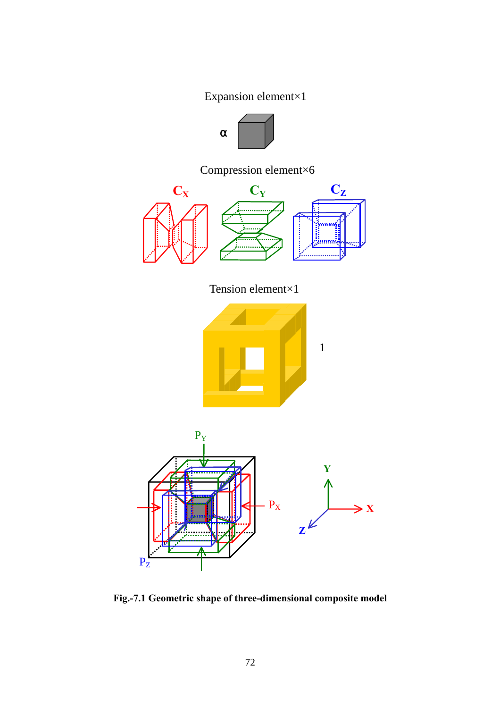Expansion element×1



Compression element×6



Tension element×1





**Fig.-7.1 Geometric shape of three-dimensional composite model**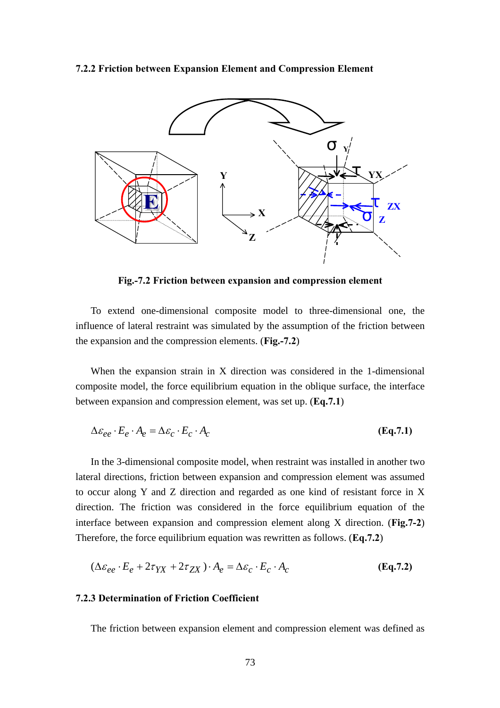## **7.2.2 Friction between Expansion Element and Compression Element**



**Fig.-7.2 Friction between expansion and compression element** 

To extend one-dimensional composite model to three-dimensional one, the influence of lateral restraint was simulated by the assumption of the friction between the expansion and the compression elements. (**Fig.-7.2**)

When the expansion strain in X direction was considered in the 1-dimensional composite model, the force equilibrium equation in the oblique surface, the interface between expansion and compression element, was set up. (**Eq.7.1**)

$$
\Delta \varepsilon_{ee} \cdot E_e \cdot A_e = \Delta \varepsilon_c \cdot E_c \cdot A_c \tag{Eq.7.1}
$$

In the 3-dimensional composite model, when restraint was installed in another two lateral directions, friction between expansion and compression element was assumed to occur along Y and Z direction and regarded as one kind of resistant force in X direction. The friction was considered in the force equilibrium equation of the interface between expansion and compression element along X direction. (**Fig.7-2**) Therefore, the force equilibrium equation was rewritten as follows. (**Eq.7.2**)

$$
(\Delta \varepsilon_{ee} \cdot E_e + 2\tau_{YY} + 2\tau_{ZX}) \cdot A_e = \Delta \varepsilon_c \cdot E_c \cdot A_c
$$
 (Eq.7.2)

## **7.2.3 Determination of Friction Coefficient**

The friction between expansion element and compression element was defined as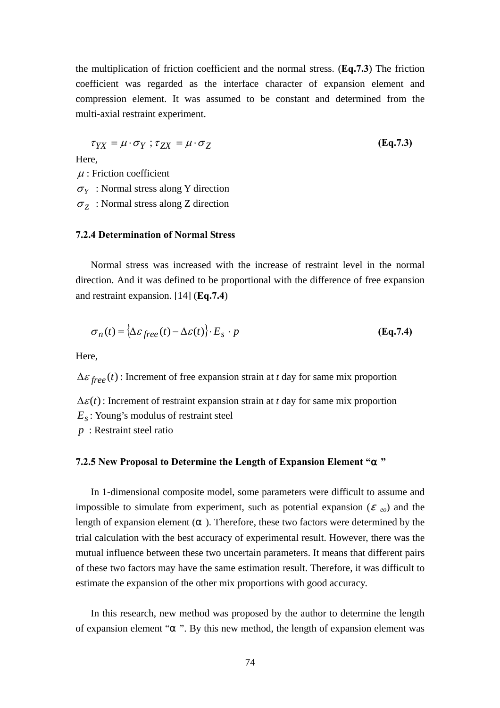the multiplication of friction coefficient and the normal stress. (**Eq.7.3**) The friction coefficient was regarded as the interface character of expansion element and compression element. It was assumed to be constant and determined from the multi-axial restraint experiment.

$$
\tau_{YX} = \mu \cdot \sigma_Y ; \tau_{ZX} = \mu \cdot \sigma_Z
$$
 (Eq.7.3)

Here,

 $\mu$ : Friction coefficient

 $\sigma_Y$ : Normal stress along Y direction

 $\sigma$ <sub>Z</sub> : Normal stress along Z direction

## **7.2.4 Determination of Normal Stress**

Normal stress was increased with the increase of restraint level in the normal direction. And it was defined to be proportional with the difference of free expansion and restraint expansion. [14] (**Eq.7.4**)

$$
\sigma_n(t) = \left\{ \Delta \varepsilon_{free}(t) - \Delta \varepsilon(t) \right\} \cdot E_s \cdot p \tag{Eq.7.4}
$$

Here,

 $\Delta \varepsilon_{free}(t)$ : Increment of free expansion strain at *t* day for same mix proportion

 $\Delta \varepsilon(t)$ : Increment of restraint expansion strain at *t* day for same mix proportion *Es*: Young's modulus of restraint steel *p* : Restraint steel ratio

## **7.2.5 New Proposal to Determine the Length of Expansion Element "**

In 1-dimensional composite model, some parameters were difficult to assume and impossible to simulate from experiment, such as potential expansion ( *eo*) and the length of expansion element ( ). Therefore, these two factors were determined by the trial calculation with the best accuracy of experimental result. However, there was the mutual influence between these two uncertain parameters. It means that different pairs of these two factors may have the same estimation result. Therefore, it was difficult to estimate the expansion of the other mix proportions with good accuracy.

In this research, new method was proposed by the author to determine the length of expansion element " ". By this new method, the length of expansion element was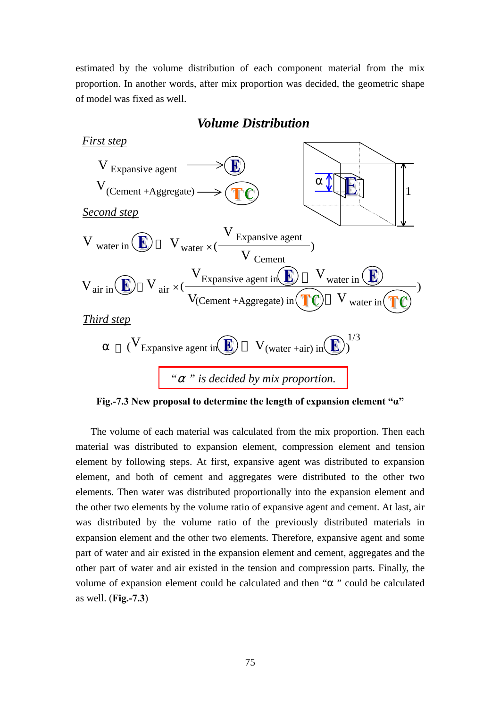estimated by the volume distribution of each component material from the mix proportion. In another words, after mix proportion was decided, the geometric shape of model was fixed as well.





**Fig.-7.3 New proposal to determine the length of expansion element "α"** 

The volume of each material was calculated from the mix proportion. Then each material was distributed to expansion element, compression element and tension element by following steps. At first, expansive agent was distributed to expansion element, and both of cement and aggregates were distributed to the other two elements. Then water was distributed proportionally into the expansion element and the other two elements by the volume ratio of expansive agent and cement. At last, air was distributed by the volume ratio of the previously distributed materials in expansion element and the other two elements. Therefore, expansive agent and some part of water and air existed in the expansion element and cement, aggregates and the other part of water and air existed in the tension and compression parts. Finally, the volume of expansion element could be calculated and then " " could be calculated as well. (**Fig.-7.3**)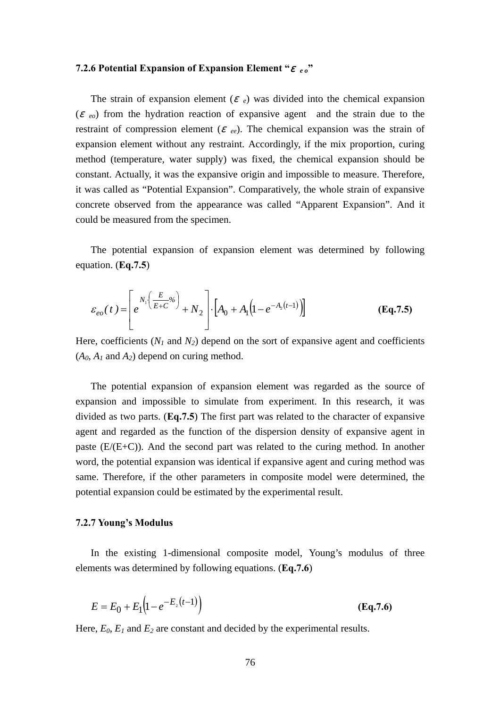# **7.2.6 Potential Expansion of Expansion Element "**ε*e o***"**

The strain of expansion element ( *<sup>e</sup>*) was divided into the chemical expansion ( *eo*) from the hydration reaction of expansive agent and the strain due to the restraint of compression element ( *ee*). The chemical expansion was the strain of expansion element without any restraint. Accordingly, if the mix proportion, curing method (temperature, water supply) was fixed, the chemical expansion should be constant. Actually, it was the expansive origin and impossible to measure. Therefore, it was called as "Potential Expansion". Comparatively, the whole strain of expansive concrete observed from the appearance was called "Apparent Expansion". And it could be measured from the specimen.

The potential expansion of expansion element was determined by following equation. (**Eq.7.5**)

$$
\varepsilon_{eo}(t) = \left[ e^{N_1 \left( \frac{E}{E+C} \theta_0 \right)} + N_2 \right] \cdot \left[ A_0 + A_1 \left( 1 - e^{-A_2(t-1)} \right) \right]
$$
(Eq.7.5)

Here, coefficients  $(N_1 \text{ and } N_2)$  depend on the sort of expansive agent and coefficients  $(A_0, A_1 \text{ and } A_2)$  depend on curing method.

The potential expansion of expansion element was regarded as the source of expansion and impossible to simulate from experiment. In this research, it was divided as two parts. (**Eq.7.5**) The first part was related to the character of expansive agent and regarded as the function of the dispersion density of expansive agent in paste (E/(E+C)). And the second part was related to the curing method. In another word, the potential expansion was identical if expansive agent and curing method was same. Therefore, if the other parameters in composite model were determined, the potential expansion could be estimated by the experimental result.

#### **7.2.7 Young's Modulus**

In the existing 1-dimensional composite model, Young's modulus of three elements was determined by following equations. (**Eq.7.6**)

$$
E = E_0 + E_1 \left( 1 - e^{-E_2(t-1)} \right)
$$
 (Eq.7.6)

Here,  $E_0$ ,  $E_1$  and  $E_2$  are constant and decided by the experimental results.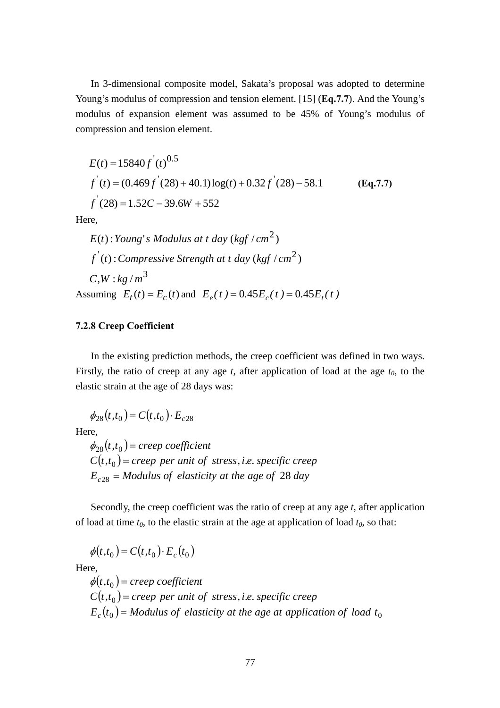In 3-dimensional composite model, Sakata's proposal was adopted to determine Young's modulus of compression and tension element. [15] (**Eq.7.7**). And the Young's modulus of expansion element was assumed to be 45% of Young's modulus of compression and tension element.

$$
E(t) = 15840 f'(t)^{0.5}
$$
  
\n
$$
f'(t) = (0.469 f'(28) + 40.1) \log(t) + 0.32 f'(28) - 58.1
$$
 (Eq.7.7)  
\n
$$
f'(28) = 1.52C - 39.6W + 552
$$
  
\nHere,  
\n
$$
E(t): Young's Modulus at t day (kgf/cm2)
$$

$$
f'(t)
$$
: *Compressive Strength at t day* (kgf / cm<sup>2</sup>)  
\n $C, W : kg/m^3$   
\nAssuming  $E_t(t) = E_c(t)$  and  $E_e(t) = 0.45E_c(t) = 0.45E_t(t)$ 

## **7.2.8 Creep Coefficient**

In the existing prediction methods, the creep coefficient was defined in two ways. Firstly, the ratio of creep at any age  $t$ , after application of load at the age  $t_0$ , to the elastic strain at the age of 28 days was:

 $\phi_{28} (t,t_0) = C(t,t_0) \cdot E_{c28}$ 

Here,

 $\phi_{28}(t,t_0)$  = *creep coefficient*  $C(t,t_0) = \text{creep per unit of stress, i.e. specific creep}$  $E_{c28}$  = Modulus of elasticity at the age of 28 day

Secondly, the creep coefficient was the ratio of creep at any age *t*, after application of load at time  $t_0$ , to the elastic strain at the age at application of load  $t_0$ , so that:

$$
\phi(t,t_0) = C(t,t_0) \cdot E_c(t_0)
$$

Here,

 $\phi(t,t_0) =$  *creep coefficient*  $C(t,t_0) =$  *creep per unit of stress, i.e. specific creep*  $E_c(t_0) =$  *Modulus of elasticity at the age at application of load*  $t_0$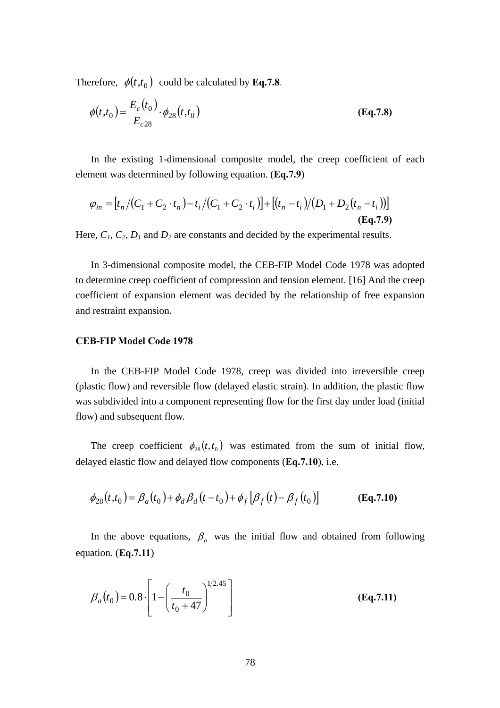Therefore,  $\phi(t, t_0)$  could be calculated by **Eq.7.8**.

$$
\phi(t,t_0) = \frac{E_c(t_0)}{E_{c28}} \cdot \phi_{28}(t,t_0)
$$
\n(Eq.7.8)

In the existing 1-dimensional composite model, the creep coefficient of each element was determined by following equation. (**Eq.7.9**)

$$
\varphi_{in} = [t_n/(C_1 + C_2 \cdot t_n) - t_i/(C_1 + C_2 \cdot t_i)] + [(t_n - t_i)/(D_1 + D_2(t_n - t_i))]
$$
\n(Eq.7.9)

Here,  $C_1$ ,  $C_2$ ,  $D_1$  and  $D_2$  are constants and decided by the experimental results.

In 3-dimensional composite model, the CEB-FIP Model Code 1978 was adopted to determine creep coefficient of compression and tension element. [16] And the creep coefficient of expansion element was decided by the relationship of free expansion and restraint expansion.

## **CEB-FIP Model Code 1978**

In the CEB-FIP Model Code 1978, creep was divided into irreversible creep (plastic flow) and reversible flow (delayed elastic strain). In addition, the plastic flow was subdivided into a component representing flow for the first day under load (initial flow) and subsequent flow.

The creep coefficient  $\phi_{28}(t, t_0)$  was estimated from the sum of initial flow, delayed elastic flow and delayed flow components (**Eq.7.10**), i.e.

$$
\phi_{28}(t,t_0) = \beta_a(t_0) + \phi_d \beta_d (t - t_0) + \phi_f [\beta_f(t) - \beta_f(t_0)]
$$
 (Eq.7.10)

In the above equations,  $\beta_a$  was the initial flow and obtained from following equation. (**Eq.7.11**)

$$
\beta_a(t_0) = 0.8 \cdot \left[ 1 - \left( \frac{t_0}{t_0 + 47} \right)^{1/2.45} \right]
$$
 (Eq.7.11)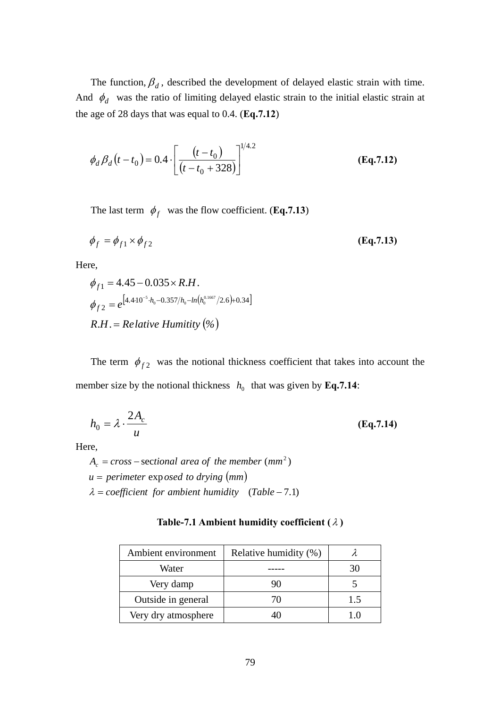The function,  $\beta_d$ , described the development of delayed elastic strain with time. And  $\phi_d$  was the ratio of limiting delayed elastic strain to the initial elastic strain at the age of 28 days that was equal to 0.4. (**Eq.7.12**)

$$
\phi_d \beta_d \left( t - t_0 \right) = 0.4 \cdot \left[ \frac{\left( t - t_0 \right)}{\left( t - t_0 + 328 \right)} \right]^{1/4.2}
$$
\n(Eq.7.12)

The last term  $\phi_f$  was the flow coefficient. (**Eq.7.13**)

$$
\phi_f = \phi_{f1} \times \phi_{f2} \tag{Eq.7.13}
$$

Here,

$$
\phi_{f1} = 4.45 - 0.035 \times R.H.
$$
  
\n
$$
\phi_{f2} = e^{\left[4.410^{-5} \cdot h_0 - 0.357/h_0 - \ln\left(h_0^{0.1667}/2.6\right) + 0.34\right]}
$$
  
\n
$$
R.H. = Relative\ Humitivity \ (\%)
$$

The term  $\phi_{f2}$  was the notional thickness coefficient that takes into account the member size by the notional thickness  $h_0$  that was given by **Eq.7.14**:

$$
h_0 = \lambda \cdot \frac{2A_c}{u} \tag{Eq.7.14}
$$

Here,

 $u = perimeter$  *exposed to drying* (*mm*)  $\lambda = \text{coefficient}$  *for ambient humidity* (Table - 7.1)  $A_c = cross - sectional area of the member (mm<sup>2</sup>)$ 

**Table-7.1 Ambient humidity coefficient (**λ **)** 

| Ambient environment | Relative humidity (%) |     |
|---------------------|-----------------------|-----|
| Water               |                       |     |
| Very damp           |                       |     |
| Outside in general  | 70                    | 1.5 |
| Very dry atmosphere |                       |     |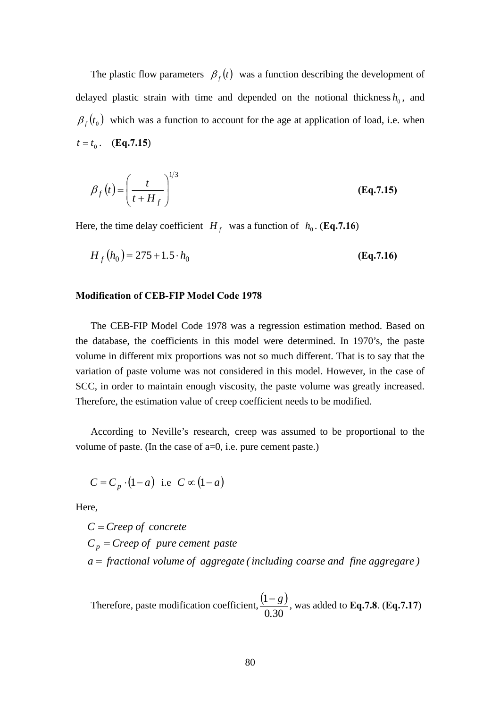The plastic flow parameters  $\beta_f(t)$  was a function describing the development of delayed plastic strain with time and depended on the notional thickness  $h_0$ , and  $\beta_f(t_0)$  which was a function to account for the age at application of load, i.e. when  $t = t_0$ . (**Eq.7.15**)

$$
\beta_f(t) = \left(\frac{t}{t + H_f}\right)^{1/3}
$$
 (Eq.7.15)

Here, the time delay coefficient  $H_f$  was a function of  $h_0$ . (**Eq.7.16**)

$$
H_f(h_0) = 275 + 1.5 \cdot h_0 \tag{Eq.7.16}
$$

## **Modification of CEB-FIP Model Code 1978**

The CEB-FIP Model Code 1978 was a regression estimation method. Based on the database, the coefficients in this model were determined. In 1970's, the paste volume in different mix proportions was not so much different. That is to say that the variation of paste volume was not considered in this model. However, in the case of SCC, in order to maintain enough viscosity, the paste volume was greatly increased. Therefore, the estimation value of creep coefficient needs to be modified.

According to Neville's research, creep was assumed to be proportional to the volume of paste. (In the case of a=0, i.e. pure cement paste.)

$$
C = C_p \cdot (1 - a)
$$
 i.e  $C \propto (1 - a)$ 

Here,

*a fractional volume of aggregate (including coarse and fine aggregare )* =  $C_p$  = Creep of pure cement paste *C Creep of concrete* =

Therefore, paste modification coefficient,  $\frac{(1-g)}{(1-g)^2}$  $0.30$  $\left( \frac{1}{2} \right)$ *.*  $\frac{-g}{\sqrt{2}}$ , was added to **Eq.7.8**. (**Eq.7.17**)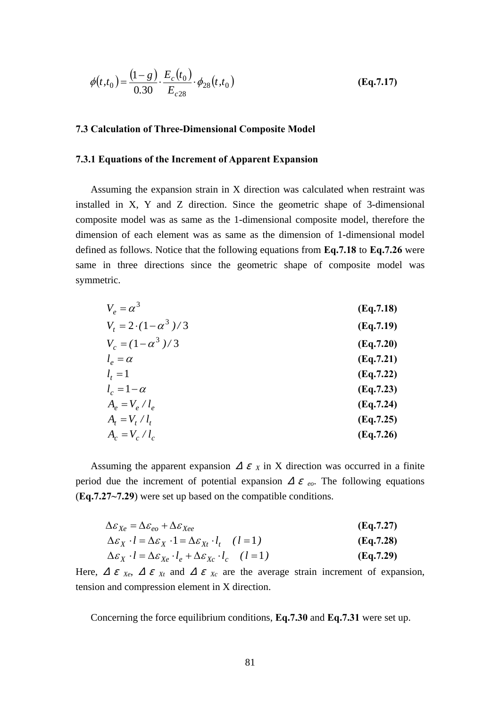$$
\phi(t,t_0) = \frac{(1-g)}{0.30} \cdot \frac{E_c(t_0)}{E_{c28}} \cdot \phi_{28}(t,t_0)
$$
\n(Eq.7.17)

## **7.3 Calculation of Three-Dimensional Composite Model**

## **7.3.1 Equations of the Increment of Apparent Expansion**

Assuming the expansion strain in X direction was calculated when restraint was installed in X, Y and Z direction. Since the geometric shape of 3-dimensional composite model was as same as the 1-dimensional composite model, therefore the dimension of each element was as same as the dimension of 1-dimensional model defined as follows. Notice that the following equations from **Eq.7.18** to **Eq.7.26** were same in three directions since the geometric shape of composite model was symmetric.

| $V_e = \alpha^3$                 | (Eq.7.18) |
|----------------------------------|-----------|
| $V_t = 2 \cdot (1 - \alpha^3)/3$ | (Eq.7.19) |
| $V_c = (1 - \alpha^3)/3$         | (Eq.7.20) |
| $l_e = \alpha$                   | (Eq.7.21) |
| $l_{t} = 1$                      | (Eq.7.22) |
| $l_c = 1 - \alpha$               | (Eq.7.23) |
| $A_{\rho} = V_{\rho} / l_{\rho}$ | (Eq.7.24) |
| $A_t = V_t / l_t$                | (Eq.7.25) |
| $A_c = V_c / l_c$                | (Eq.7.26) |

Assuming the apparent expansion  $\bar{x}$  in X direction was occurred in a finite period due the increment of potential expansion <sub>eq</sub>. The following equations (**Eq.7.27~7.29**) were set up based on the compatible conditions.

$$
\Delta \varepsilon_{Xe} = \Delta \varepsilon_{eo} + \Delta \varepsilon_{Xee}
$$
\n(Eq.7.27)  
\n
$$
\Delta \varepsilon_{A} = \Delta \varepsilon_{A} - \Delta \varepsilon_{A} = \Delta \varepsilon_{A} - (1 - 1)
$$
\n(Eq.7.28)

$$
\Delta \varepsilon_X \cdot l - \Delta \varepsilon_X \cdot 1 - \Delta \varepsilon_{Xt} \cdot t_t \quad (l-1)
$$
\n
$$
\Delta \varepsilon_X \cdot l = \Delta \varepsilon_{Xe} \cdot l_e + \Delta \varepsilon_{Xc} \cdot l_c \quad (l=1)
$$
\n(Eq.7.29)

Here,  $X_e$ ,  $X_t$  and  $X_c$  are the average strain increment of expansion, tension and compression element in X direction.

Concerning the force equilibrium conditions, **Eq.7.30** and **Eq.7.31** were set up.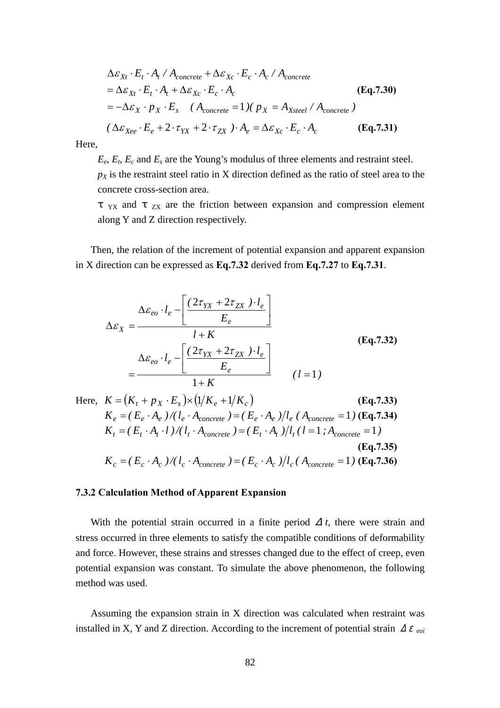$$
\Delta \varepsilon_{Xt} \cdot E_t \cdot A_t / A_{concrete} + \Delta \varepsilon_{Xc} \cdot E_c \cdot A_c / A_{concrete}
$$
\n
$$
= \Delta \varepsilon_{Xt} \cdot E_t \cdot A_t + \Delta \varepsilon_{Xc} \cdot E_c \cdot A_c
$$
\n
$$
= -\Delta \varepsilon_X \cdot p_X \cdot E_s \quad (A_{concrete} = 1) (p_X = A_{Xsteel} / A_{concrete})
$$
\n
$$
(\Delta \varepsilon_{Xee} \cdot E_e + 2 \cdot \tau_{YX} + 2 \cdot \tau_{ZX}) \cdot A_e = \Delta \varepsilon_{Xc} \cdot E_c \cdot A_c
$$
\n(Eq.7.31)

Here,

*Ee*, *Et*, *Ec* and *Es* are the Young's modulus of three elements and restraint steel.  $p<sub>X</sub>$  is the restraint steel ratio in X direction defined as the ratio of steel area to the concrete cross-section area.

YX and ZX are the friction between expansion and compression element along Y and Z direction respectively.

Then, the relation of the increment of potential expansion and apparent expansion in X direction can be expressed as **Eq.7.32** derived from **Eq.7.27** to **Eq.7.31**.

$$
\Delta \varepsilon_{X} = \frac{\Delta \varepsilon_{eo} \cdot l_e - \left[ \frac{(2\tau_{YX} + 2\tau_{ZX}) \cdot l_e}{E_e} \right]}{l + K}
$$
\n
$$
= \frac{\Delta \varepsilon_{eo} \cdot l_e - \left[ \frac{(2\tau_{YX} + 2\tau_{ZX}) \cdot l_e}{E_e} \right]}{1 + K}
$$
\n(Eq.7.32)

Here, 
$$
K = (K_t + p_X \cdot E_s) \times (1/K_e + 1/K_c)
$$
 (Eq.7.33)  
\n $K_e = (E_e \cdot A_e) / (l_e \cdot A_{concrete}) = (E_e \cdot A_e) / l_e (A_{concrete} = 1) (\text{Eq.7.34})$   
\n $K_t = (E_t \cdot A_t \cdot l) / (l_t \cdot A_{concrete}) = (E_t \cdot A_t) / l_t (l = 1; A_{concrete} = 1)$   
\n $(\text{Eq.7.35})$   
\n $K_c = (E_c \cdot A_c) / (l_c \cdot A_{concrete}) = (E_c \cdot A_c) / l_c (A_{concrete} = 1) (\text{Eq.7.36})$ 

## **7.3.2 Calculation Method of Apparent Expansion**

With the potential strain occurred in a finite period *t*, there were strain and stress occurred in three elements to satisfy the compatible conditions of deformability and force. However, these strains and stresses changed due to the effect of creep, even potential expansion was constant. To simulate the above phenomenon, the following method was used.

Assuming the expansion strain in X direction was calculated when restraint was installed in X, Y and Z direction. According to the increment of potential strain <sub>eoi</sub>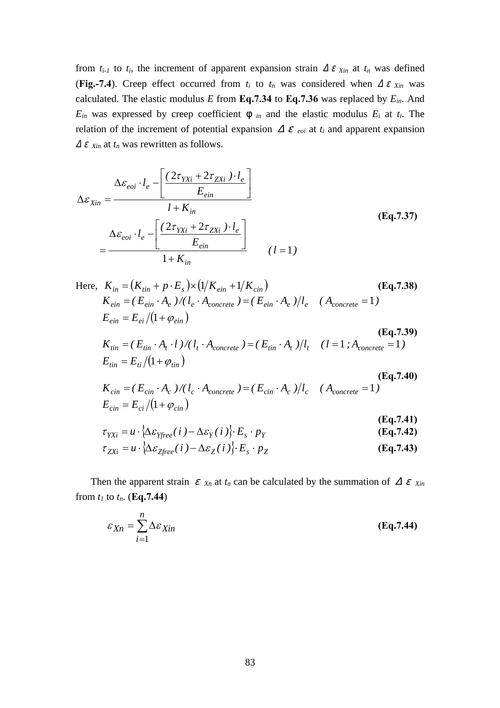from  $t_{i-1}$  to  $t_i$ , the increment of apparent expansion strain  $\chi_{in}$  at  $t_n$  was defined (**Fig.-7.4**). Creep effect occurred from  $t_i$  to  $t_n$  was considered when  $X_{i}$  was calculated. The elastic modulus *E* from **Eq.7.34** to **Eq.7.36** was replaced by *Ein*. And  $E_{in}$  was expressed by creep coefficient *in* and the elastic modulus  $E_i$  at  $t_i$ . The relation of the increment of potential expansion  $e^{i\theta}$  at  $t_i$  and apparent expansion

Δε*Xin* at *tn* was rewritten as follows.

$$
\Delta \varepsilon_{Xin} = \frac{\Delta \varepsilon_{eoi} \cdot l_e - \left[ \frac{(2\tau_{YXi} + 2\tau_{ZXi}) \cdot l_e}{E_{ein}} \right]}{l + K_{in}}
$$
\n
$$
= \frac{\Delta \varepsilon_{eoi} \cdot l_e - \left[ \frac{(2\tau_{YXi} + 2\tau_{ZXi}) \cdot l_e}{E_{ein}} \right]}{1 + K_{in}}
$$
\n(Eq.7.37)

Here, 
$$
K_{in} = (K_{tin} + p \cdot E_s) \times (1/K_{ein} + 1/K_{cin})
$$
 (Eq.7.38)  
\n $K_{ein} = (E_{ein} \cdot A_e) / (l_e \cdot A_{concrete}) = (E_{ein} \cdot A_e) / l_e$  ( $A_{concrete} = 1$ )  
\n $E_{ein} = E_{ei} / (1 + \varphi_{ein})$  (Eq.7.39)  
\n $K_{tin} = (E_{tin} \cdot A_t \cdot l) / (l_t \cdot A_{concrete}) = (E_{tin} \cdot A_t) / l_t$  ( $l = 1; A_{concrete} = 1$ )  
\n $E_{tin} = E_{ti} / (1 + \varphi_{tin})$  (Eq.7.40)  
\n $K_{cin} = (E_{cin} \cdot A_c) / (l_c \cdot A_{concrete}) = (E_{cin} \cdot A_c) / l_c$  ( $A_{concrete} = 1$ )  
\n $E_{cin} = E_{ci} / (1 + \varphi_{cin})$  (Eq.7.41)  
\n $\tau_{YXi} = u \cdot \{ \Delta \varepsilon_{Yfree}(i) - \Delta \varepsilon_Y(i) \} \cdot E_s \cdot p_Y$  (Eq.7.42)  
\n $\tau_{ZXi} = u \cdot \{ \Delta \varepsilon_{Zfree}(i) - \Delta \varepsilon_Z(i) \} \cdot E_s \cdot p_Z$  (Eq.7.43)

Then the apparent strain  $X_n$  at  $t_n$  can be calculated by the summation of  $X_{i n}$ from  $t_1$  to  $t_n$ . (**Eq.7.44**)

$$
\varepsilon_{Xn} = \sum_{i=1}^{n} \Delta \varepsilon_{Xin}
$$
 (Eq.7.44)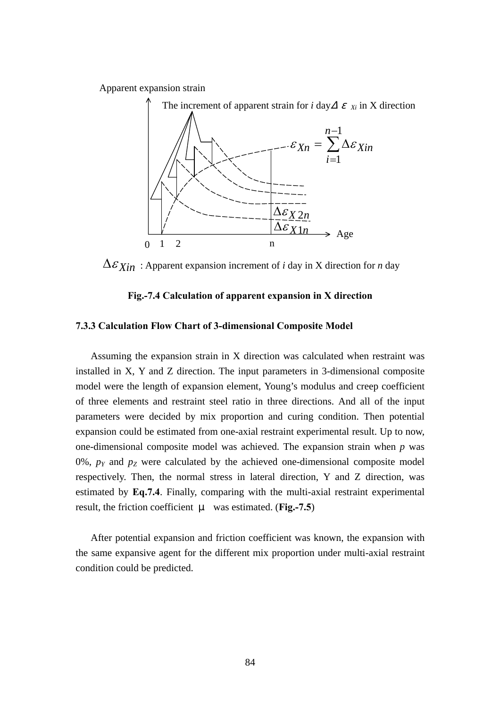Apparent expansion strain



 $\Delta \mathcal{E}_{Xin}$ : Apparent expansion increment of *i* day in X direction for *n* day

# **Fig.-7.4 Calculation of apparent expansion in X direction**

## **7.3.3 Calculation Flow Chart of 3-dimensional Composite Model**

Assuming the expansion strain in X direction was calculated when restraint was installed in X, Y and Z direction. The input parameters in 3-dimensional composite model were the length of expansion element, Young's modulus and creep coefficient of three elements and restraint steel ratio in three directions. And all of the input parameters were decided by mix proportion and curing condition. Then potential expansion could be estimated from one-axial restraint experimental result. Up to now, one-dimensional composite model was achieved. The expansion strain when *p* was 0%,  $p_Y$  and  $p_Z$  were calculated by the achieved one-dimensional composite model respectively. Then, the normal stress in lateral direction, Y and Z direction, was estimated by **Eq.7.4**. Finally, comparing with the multi-axial restraint experimental result, the friction coefficient μ was estimated. (**Fig.-7.5**)

After potential expansion and friction coefficient was known, the expansion with the same expansive agent for the different mix proportion under multi-axial restraint condition could be predicted.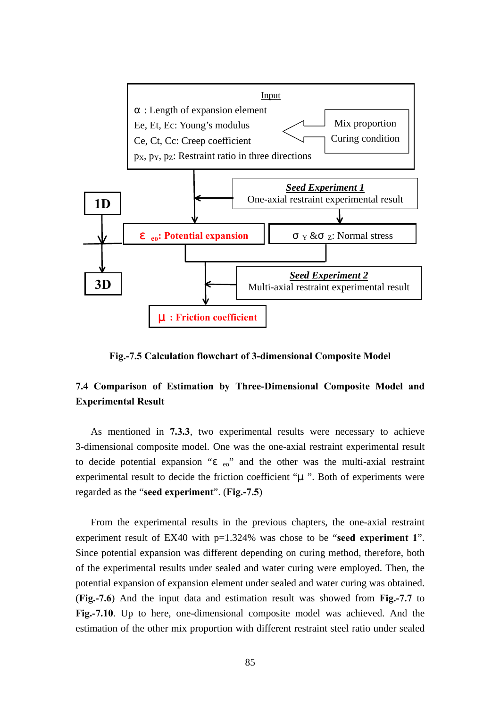

**Fig.-7.5 Calculation flowchart of 3-dimensional Composite Model** 

# **7.4 Comparison of Estimation by Three-Dimensional Composite Model and Experimental Result**

As mentioned in **7.3.3**, two experimental results were necessary to achieve 3-dimensional composite model. One was the one-axial restraint experimental result to decide potential expansion " $_{\rm ee}$ " and the other was the multi-axial restraint experimental result to decide the friction coefficient " $\mu$ ". Both of experiments were regarded as the "**seed experiment**". (**Fig.-7.5**)

From the experimental results in the previous chapters, the one-axial restraint experiment result of EX40 with p=1.324% was chose to be "**seed experiment 1**". Since potential expansion was different depending on curing method, therefore, both of the experimental results under sealed and water curing were employed. Then, the potential expansion of expansion element under sealed and water curing was obtained. (**Fig.-7.6**) And the input data and estimation result was showed from **Fig.-7.7** to **Fig.-7.10**. Up to here, one-dimensional composite model was achieved. And the estimation of the other mix proportion with different restraint steel ratio under sealed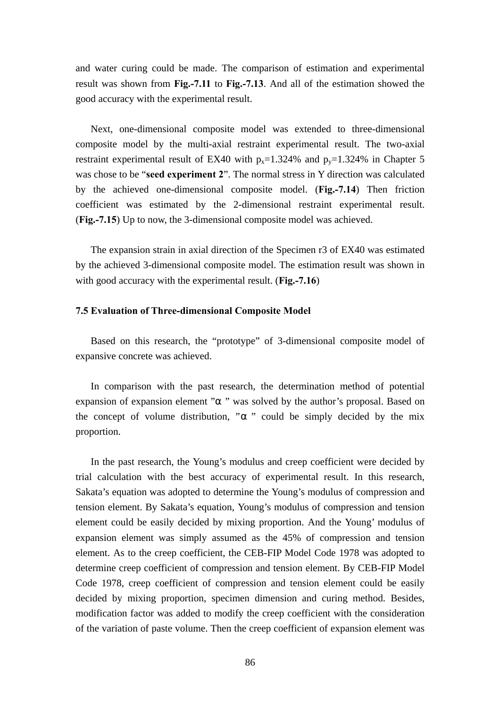and water curing could be made. The comparison of estimation and experimental result was shown from **Fig.-7.11** to **Fig.-7.13**. And all of the estimation showed the good accuracy with the experimental result.

Next, one-dimensional composite model was extended to three-dimensional composite model by the multi-axial restraint experimental result. The two-axial restraint experimental result of EX40 with  $p_x=1.324\%$  and  $p_y=1.324\%$  in Chapter 5 was chose to be "**seed experiment 2**". The normal stress in Y direction was calculated by the achieved one-dimensional composite model. (**Fig.-7.14**) Then friction coefficient was estimated by the 2-dimensional restraint experimental result. (**Fig.-7.15**) Up to now, the 3-dimensional composite model was achieved.

The expansion strain in axial direction of the Specimen r3 of EX40 was estimated by the achieved 3-dimensional composite model. The estimation result was shown in with good accuracy with the experimental result. (**Fig.-7.16**)

## **7.5 Evaluation of Three-dimensional Composite Model**

Based on this research, the "prototype" of 3-dimensional composite model of expansive concrete was achieved.

In comparison with the past research, the determination method of potential expansion of expansion element " " was solved by the author's proposal. Based on the concept of volume distribution, " " could be simply decided by the mix proportion.

In the past research, the Young's modulus and creep coefficient were decided by trial calculation with the best accuracy of experimental result. In this research, Sakata's equation was adopted to determine the Young's modulus of compression and tension element. By Sakata's equation, Young's modulus of compression and tension element could be easily decided by mixing proportion. And the Young' modulus of expansion element was simply assumed as the 45% of compression and tension element. As to the creep coefficient, the CEB-FIP Model Code 1978 was adopted to determine creep coefficient of compression and tension element. By CEB-FIP Model Code 1978, creep coefficient of compression and tension element could be easily decided by mixing proportion, specimen dimension and curing method. Besides, modification factor was added to modify the creep coefficient with the consideration of the variation of paste volume. Then the creep coefficient of expansion element was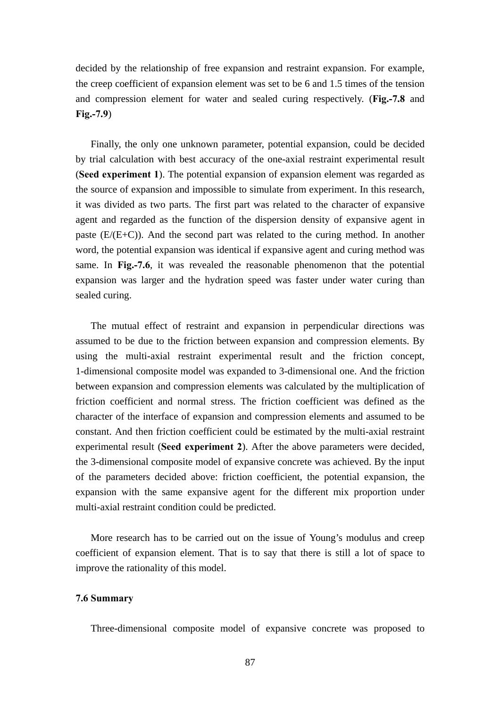decided by the relationship of free expansion and restraint expansion. For example, the creep coefficient of expansion element was set to be 6 and 1.5 times of the tension and compression element for water and sealed curing respectively. (**Fig.-7.8** and **Fig.-7.9**)

Finally, the only one unknown parameter, potential expansion, could be decided by trial calculation with best accuracy of the one-axial restraint experimental result (**Seed experiment 1**). The potential expansion of expansion element was regarded as the source of expansion and impossible to simulate from experiment. In this research, it was divided as two parts. The first part was related to the character of expansive agent and regarded as the function of the dispersion density of expansive agent in paste (E/(E+C)). And the second part was related to the curing method. In another word, the potential expansion was identical if expansive agent and curing method was same. In **Fig.-7.6**, it was revealed the reasonable phenomenon that the potential expansion was larger and the hydration speed was faster under water curing than sealed curing.

The mutual effect of restraint and expansion in perpendicular directions was assumed to be due to the friction between expansion and compression elements. By using the multi-axial restraint experimental result and the friction concept, 1-dimensional composite model was expanded to 3-dimensional one. And the friction between expansion and compression elements was calculated by the multiplication of friction coefficient and normal stress. The friction coefficient was defined as the character of the interface of expansion and compression elements and assumed to be constant. And then friction coefficient could be estimated by the multi-axial restraint experimental result (**Seed experiment 2**). After the above parameters were decided, the 3-dimensional composite model of expansive concrete was achieved. By the input of the parameters decided above: friction coefficient, the potential expansion, the expansion with the same expansive agent for the different mix proportion under multi-axial restraint condition could be predicted.

More research has to be carried out on the issue of Young's modulus and creep coefficient of expansion element. That is to say that there is still a lot of space to improve the rationality of this model.

# **7.6 Summary**

Three-dimensional composite model of expansive concrete was proposed to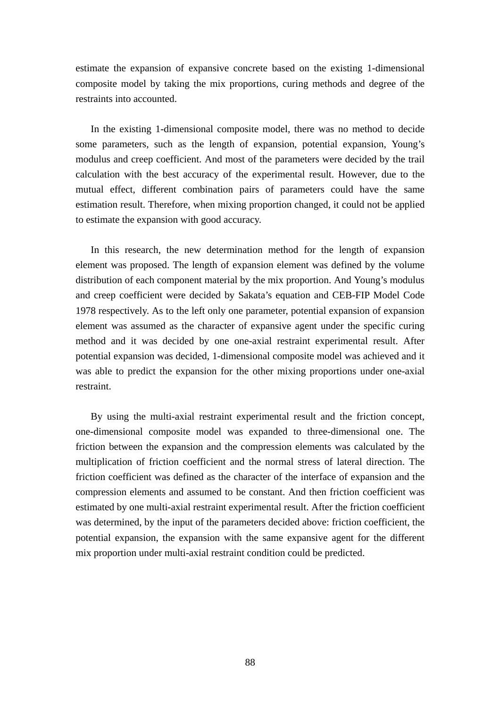estimate the expansion of expansive concrete based on the existing 1-dimensional composite model by taking the mix proportions, curing methods and degree of the restraints into accounted.

In the existing 1-dimensional composite model, there was no method to decide some parameters, such as the length of expansion, potential expansion, Young's modulus and creep coefficient. And most of the parameters were decided by the trail calculation with the best accuracy of the experimental result. However, due to the mutual effect, different combination pairs of parameters could have the same estimation result. Therefore, when mixing proportion changed, it could not be applied to estimate the expansion with good accuracy.

In this research, the new determination method for the length of expansion element was proposed. The length of expansion element was defined by the volume distribution of each component material by the mix proportion. And Young's modulus and creep coefficient were decided by Sakata's equation and CEB-FIP Model Code 1978 respectively. As to the left only one parameter, potential expansion of expansion element was assumed as the character of expansive agent under the specific curing method and it was decided by one one-axial restraint experimental result. After potential expansion was decided, 1-dimensional composite model was achieved and it was able to predict the expansion for the other mixing proportions under one-axial restraint.

By using the multi-axial restraint experimental result and the friction concept, one-dimensional composite model was expanded to three-dimensional one. The friction between the expansion and the compression elements was calculated by the multiplication of friction coefficient and the normal stress of lateral direction. The friction coefficient was defined as the character of the interface of expansion and the compression elements and assumed to be constant. And then friction coefficient was estimated by one multi-axial restraint experimental result. After the friction coefficient was determined, by the input of the parameters decided above: friction coefficient, the potential expansion, the expansion with the same expansive agent for the different mix proportion under multi-axial restraint condition could be predicted.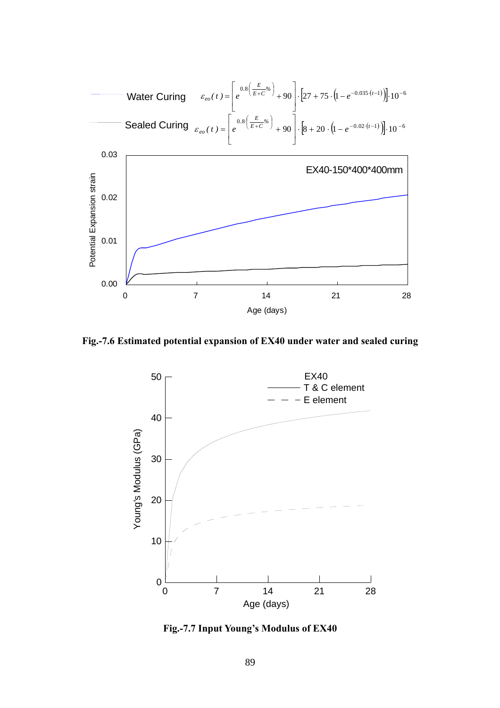

**Fig.-7.6 Estimated potential expansion of EX40 under water and sealed curing** 



**Fig.-7.7 Input Young's Modulus of EX40**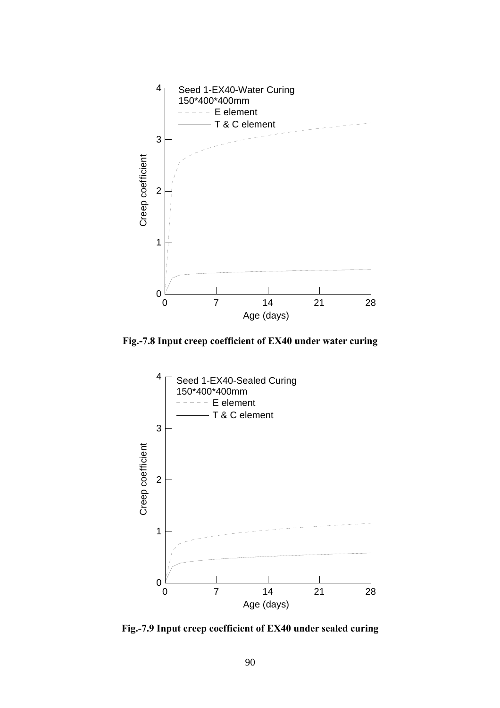

**Fig.-7.8 Input creep coefficient of EX40 under water curing**



**Fig.-7.9 Input creep coefficient of EX40 under sealed curing**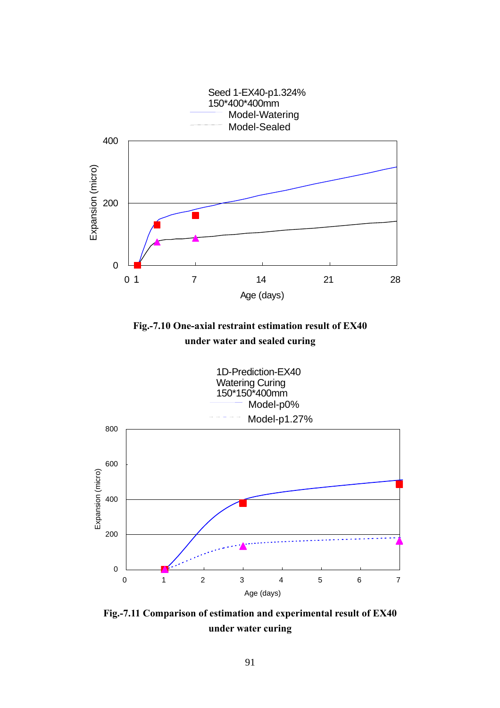





**Fig.-7.11 Comparison of estimation and experimental result of EX40 under water curing**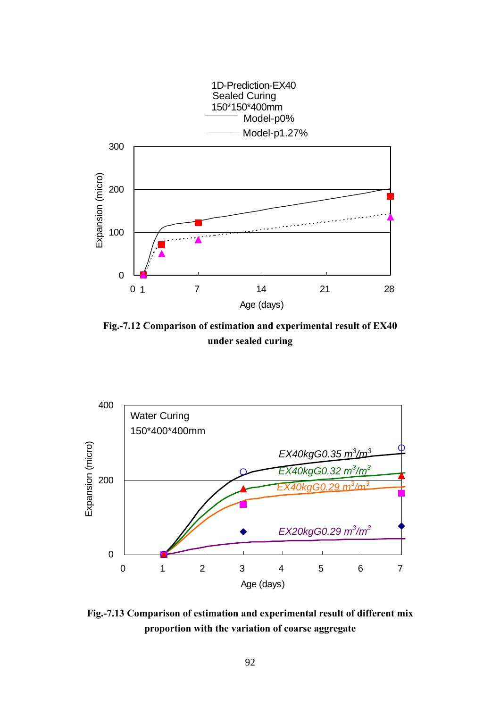

**Fig.-7.12 Comparison of estimation and experimental result of EX40 under sealed curing**



**Fig.-7.13 Comparison of estimation and experimental result of different mix proportion with the variation of coarse aggregate**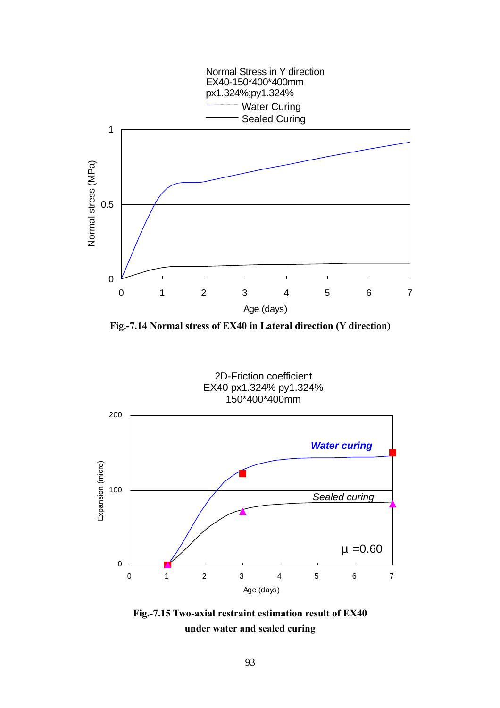

**Fig.-7.14 Normal stress of EX40 in Lateral direction (Y direction)**



**Fig.-7.15 Two-axial restraint estimation result of EX40 under water and sealed curing**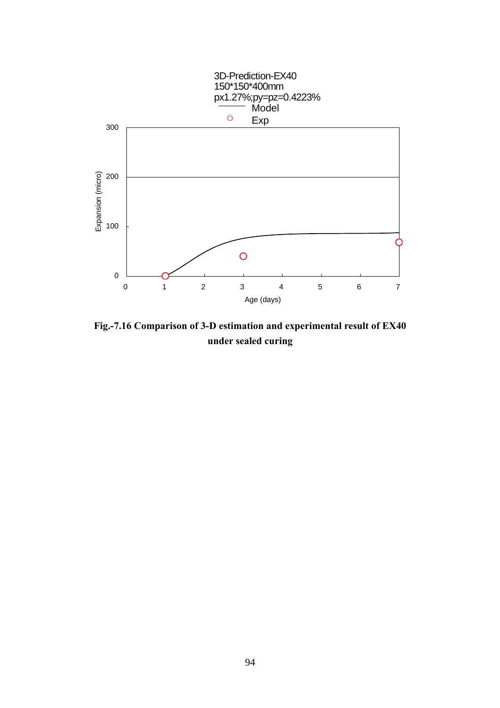

**Fig.-7.16 Comparison of 3-D estimation and experimental result of EX40 under sealed curing**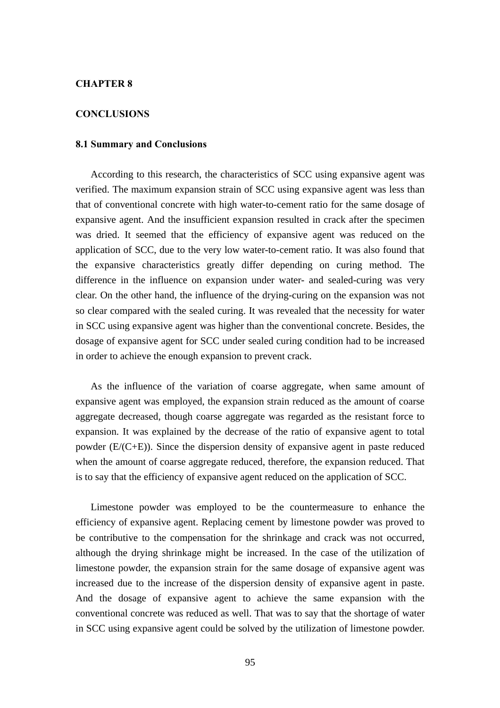## **CHAPTER 8**

## **CONCLUSIONS**

#### **8.1 Summary and Conclusions**

According to this research, the characteristics of SCC using expansive agent was verified. The maximum expansion strain of SCC using expansive agent was less than that of conventional concrete with high water-to-cement ratio for the same dosage of expansive agent. And the insufficient expansion resulted in crack after the specimen was dried. It seemed that the efficiency of expansive agent was reduced on the application of SCC, due to the very low water-to-cement ratio. It was also found that the expansive characteristics greatly differ depending on curing method. The difference in the influence on expansion under water- and sealed-curing was very clear. On the other hand, the influence of the drying-curing on the expansion was not so clear compared with the sealed curing. It was revealed that the necessity for water in SCC using expansive agent was higher than the conventional concrete. Besides, the dosage of expansive agent for SCC under sealed curing condition had to be increased in order to achieve the enough expansion to prevent crack.

As the influence of the variation of coarse aggregate, when same amount of expansive agent was employed, the expansion strain reduced as the amount of coarse aggregate decreased, though coarse aggregate was regarded as the resistant force to expansion. It was explained by the decrease of the ratio of expansive agent to total powder (E/(C+E)). Since the dispersion density of expansive agent in paste reduced when the amount of coarse aggregate reduced, therefore, the expansion reduced. That is to say that the efficiency of expansive agent reduced on the application of SCC.

Limestone powder was employed to be the countermeasure to enhance the efficiency of expansive agent. Replacing cement by limestone powder was proved to be contributive to the compensation for the shrinkage and crack was not occurred, although the drying shrinkage might be increased. In the case of the utilization of limestone powder, the expansion strain for the same dosage of expansive agent was increased due to the increase of the dispersion density of expansive agent in paste. And the dosage of expansive agent to achieve the same expansion with the conventional concrete was reduced as well. That was to say that the shortage of water in SCC using expansive agent could be solved by the utilization of limestone powder.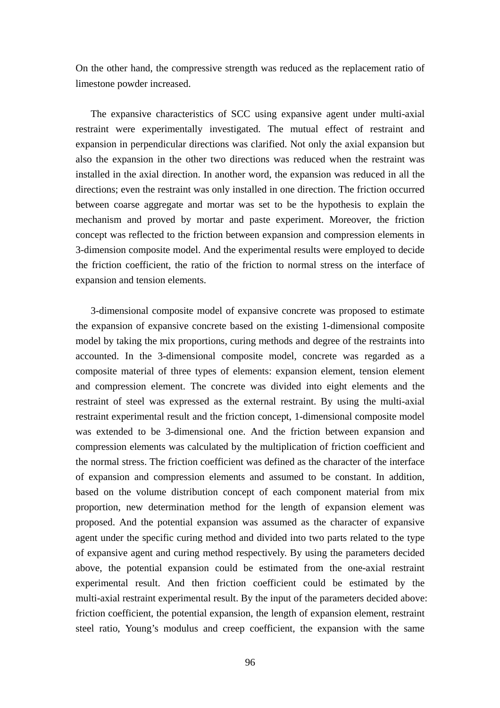On the other hand, the compressive strength was reduced as the replacement ratio of limestone powder increased.

The expansive characteristics of SCC using expansive agent under multi-axial restraint were experimentally investigated. The mutual effect of restraint and expansion in perpendicular directions was clarified. Not only the axial expansion but also the expansion in the other two directions was reduced when the restraint was installed in the axial direction. In another word, the expansion was reduced in all the directions; even the restraint was only installed in one direction. The friction occurred between coarse aggregate and mortar was set to be the hypothesis to explain the mechanism and proved by mortar and paste experiment. Moreover, the friction concept was reflected to the friction between expansion and compression elements in 3-dimension composite model. And the experimental results were employed to decide the friction coefficient, the ratio of the friction to normal stress on the interface of expansion and tension elements.

3-dimensional composite model of expansive concrete was proposed to estimate the expansion of expansive concrete based on the existing 1-dimensional composite model by taking the mix proportions, curing methods and degree of the restraints into accounted. In the 3-dimensional composite model, concrete was regarded as a composite material of three types of elements: expansion element, tension element and compression element. The concrete was divided into eight elements and the restraint of steel was expressed as the external restraint. By using the multi-axial restraint experimental result and the friction concept, 1-dimensional composite model was extended to be 3-dimensional one. And the friction between expansion and compression elements was calculated by the multiplication of friction coefficient and the normal stress. The friction coefficient was defined as the character of the interface of expansion and compression elements and assumed to be constant. In addition, based on the volume distribution concept of each component material from mix proportion, new determination method for the length of expansion element was proposed. And the potential expansion was assumed as the character of expansive agent under the specific curing method and divided into two parts related to the type of expansive agent and curing method respectively. By using the parameters decided above, the potential expansion could be estimated from the one-axial restraint experimental result. And then friction coefficient could be estimated by the multi-axial restraint experimental result. By the input of the parameters decided above: friction coefficient, the potential expansion, the length of expansion element, restraint steel ratio, Young's modulus and creep coefficient, the expansion with the same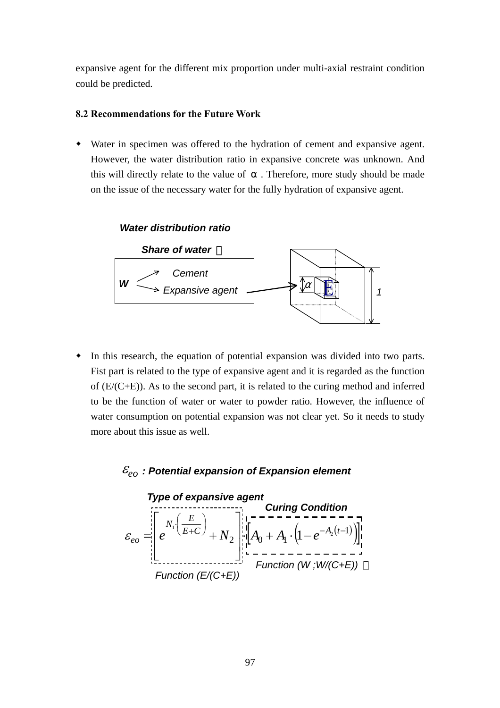expansive agent for the different mix proportion under multi-axial restraint condition could be predicted.

# **8.2 Recommendations for the Future Work**

 Water in specimen was offered to the hydration of cement and expansive agent. However, the water distribution ratio in expansive concrete was unknown. And this will directly relate to the value of . Therefore, more study should be made on the issue of the necessary water for the fully hydration of expansive agent.

# *Water distribution ratio*



 In this research, the equation of potential expansion was divided into two parts. Fist part is related to the type of expansive agent and it is regarded as the function of (E/(C+E)). As to the second part, it is related to the curing method and inferred to be the function of water or water to powder ratio. However, the influence of water consumption on potential expansion was not clear yet. So it needs to study more about this issue as well.

# <sup>ε</sup> *eo : Potential expansion of Expansion element*

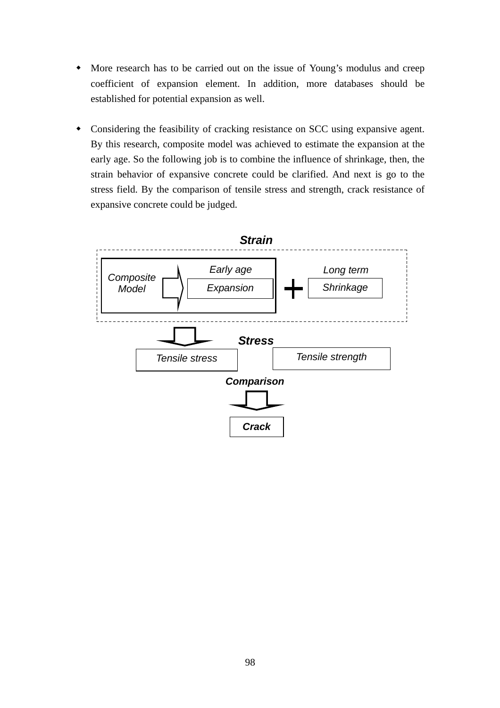- More research has to be carried out on the issue of Young's modulus and creep coefficient of expansion element. In addition, more databases should be established for potential expansion as well.
- Considering the feasibility of cracking resistance on SCC using expansive agent. By this research, composite model was achieved to estimate the expansion at the early age. So the following job is to combine the influence of shrinkage, then, the strain behavior of expansive concrete could be clarified. And next is go to the stress field. By the comparison of tensile stress and strength, crack resistance of expansive concrete could be judged.

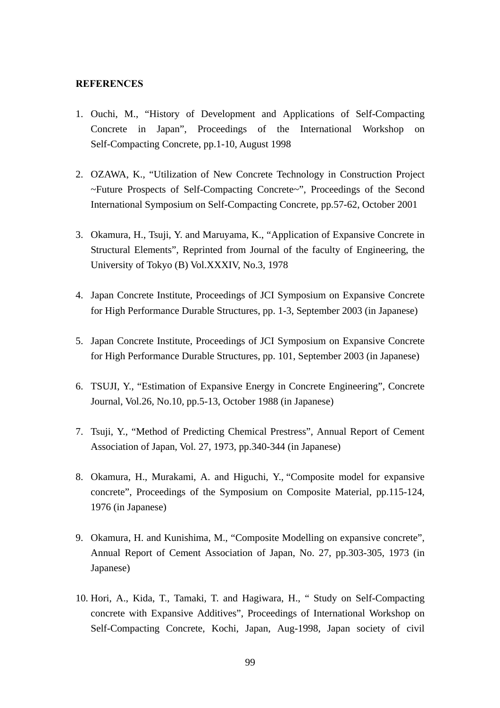#### **REFERENCES**

- 1. Ouchi, M., "History of Development and Applications of Self-Compacting Concrete in Japan", Proceedings of the International Workshop on Self-Compacting Concrete, pp.1-10, August 1998
- 2. OZAWA, K., "Utilization of New Concrete Technology in Construction Project ~Future Prospects of Self-Compacting Concrete~", Proceedings of the Second International Symposium on Self-Compacting Concrete, pp.57-62, October 2001
- 3. Okamura, H., Tsuji, Y. and Maruyama, K., "Application of Expansive Concrete in Structural Elements", Reprinted from Journal of the faculty of Engineering, the University of Tokyo (B) Vol.XXXIV, No.3, 1978
- 4. Japan Concrete Institute, Proceedings of JCI Symposium on Expansive Concrete for High Performance Durable Structures, pp. 1-3, September 2003 (in Japanese)
- 5. Japan Concrete Institute, Proceedings of JCI Symposium on Expansive Concrete for High Performance Durable Structures, pp. 101, September 2003 (in Japanese)
- 6. TSUJI, Y., "Estimation of Expansive Energy in Concrete Engineering", Concrete Journal, Vol.26, No.10, pp.5-13, October 1988 (in Japanese)
- 7. Tsuji, Y., "Method of Predicting Chemical Prestress", Annual Report of Cement Association of Japan, Vol. 27, 1973, pp.340-344 (in Japanese)
- 8. Okamura, H., Murakami, A. and Higuchi, Y., "Composite model for expansive concrete", Proceedings of the Symposium on Composite Material, pp.115-124, 1976 (in Japanese)
- 9. Okamura, H. and Kunishima, M., "Composite Modelling on expansive concrete", Annual Report of Cement Association of Japan, No. 27, pp.303-305, 1973 (in Japanese)
- 10. Hori, A., Kida, T., Tamaki, T. and Hagiwara, H., " Study on Self-Compacting concrete with Expansive Additives", Proceedings of International Workshop on Self-Compacting Concrete, Kochi, Japan, Aug-1998, Japan society of civil